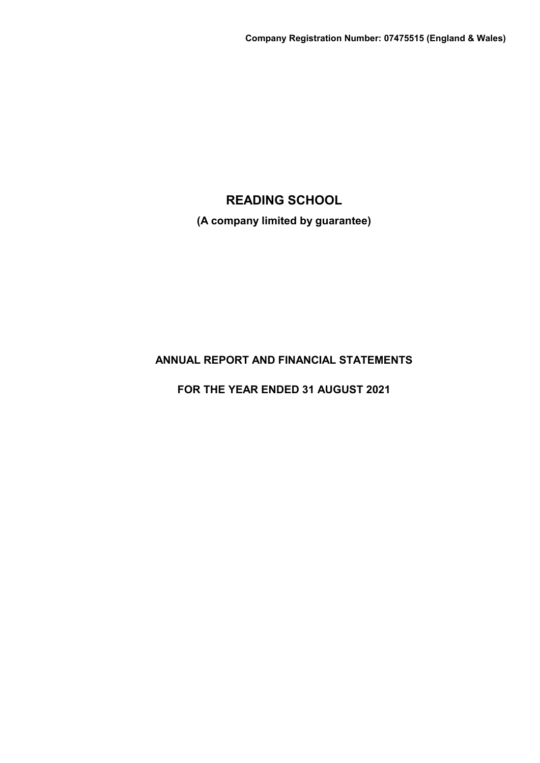**(A company limited by guarantee)**

# **ANNUAL REPORT AND FINANCIAL STATEMENTS**

**FOR THE YEAR ENDED 31 AUGUST 2021**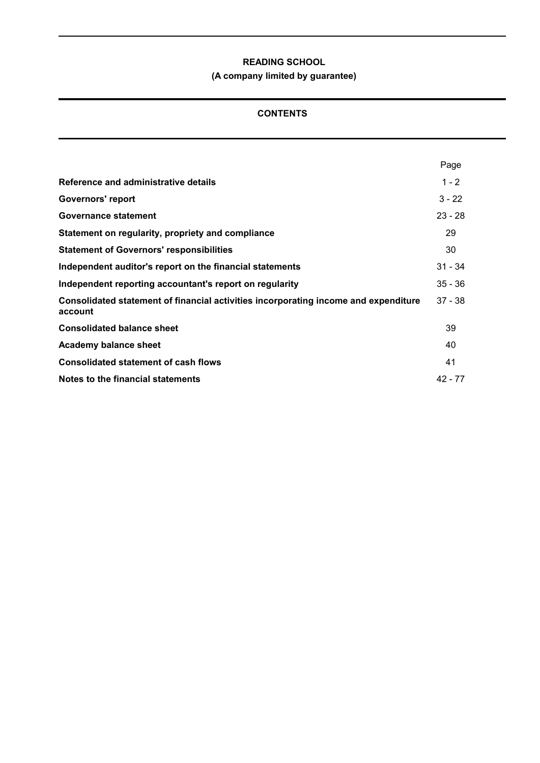# **(A company limited by guarantee)**

# **CONTENTS**

|                                                                                                | Page      |
|------------------------------------------------------------------------------------------------|-----------|
| Reference and administrative details                                                           | $1 - 2$   |
| <b>Governors' report</b>                                                                       | $3 - 22$  |
| <b>Governance statement</b>                                                                    | $23 - 28$ |
| Statement on regularity, propriety and compliance                                              | 29        |
| <b>Statement of Governors' responsibilities</b>                                                | 30        |
| Independent auditor's report on the financial statements                                       | $31 - 34$ |
| Independent reporting accountant's report on regularity                                        | $35 - 36$ |
| Consolidated statement of financial activities incorporating income and expenditure<br>account | $37 - 38$ |
| <b>Consolidated balance sheet</b>                                                              | 39        |
| <b>Academy balance sheet</b>                                                                   | 40        |
| <b>Consolidated statement of cash flows</b>                                                    | 41        |
| Notes to the financial statements                                                              | $42 - 77$ |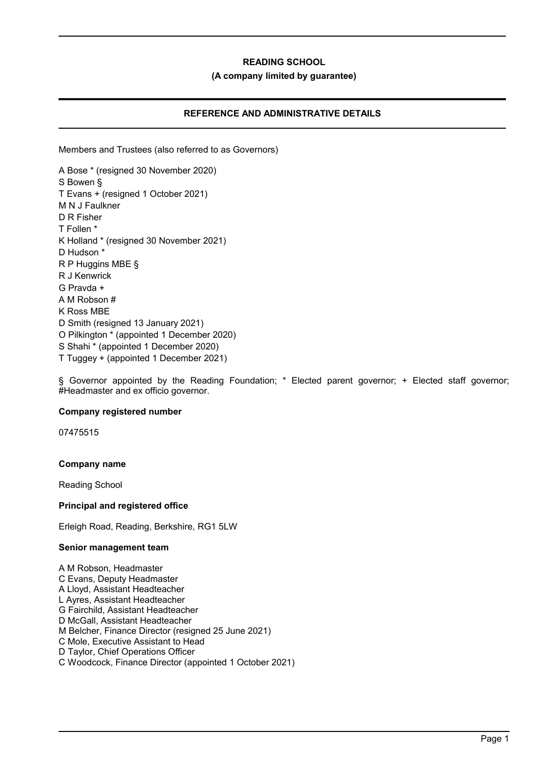### **(A company limited by guarantee)**

# **REFERENCE AND ADMINISTRATIVE DETAILS**

Members and Trustees (also referred to as Governors)

A Bose \* (resigned 30 November 2020) S Bowen § T Evans + (resigned 1 October 2021) M N J Faulkner D R Fisher T Follen \* K Holland \* (resigned 30 November 2021) D Hudson \* R P Huggins MBE § R J Kenwrick G Pravda + A M Robson # K Ross MBE D Smith (resigned 13 January 2021) O Pilkington \* (appointed 1 December 2020) S Shahi \* (appointed 1 December 2020) T Tuggey + (appointed 1 December 2021)

§ Governor appointed by the Reading Foundation; \* Elected parent governor; + Elected staff governor; #Headmaster and ex officio governor.

### **Company registered number**

07475515

### **Company name**

Reading School

### **Principal and registered office**

Erleigh Road, Reading, Berkshire, RG1 5LW

### **Senior management team**

A M Robson, Headmaster C Evans, Deputy Headmaster A Lloyd, Assistant Headteacher L Ayres, Assistant Headteacher G Fairchild, Assistant Headteacher D McGall, Assistant Headteacher M Belcher, Finance Director (resigned 25 June 2021) C Mole, Executive Assistant to Head D Taylor, Chief Operations Officer C Woodcock, Finance Director (appointed 1 October 2021)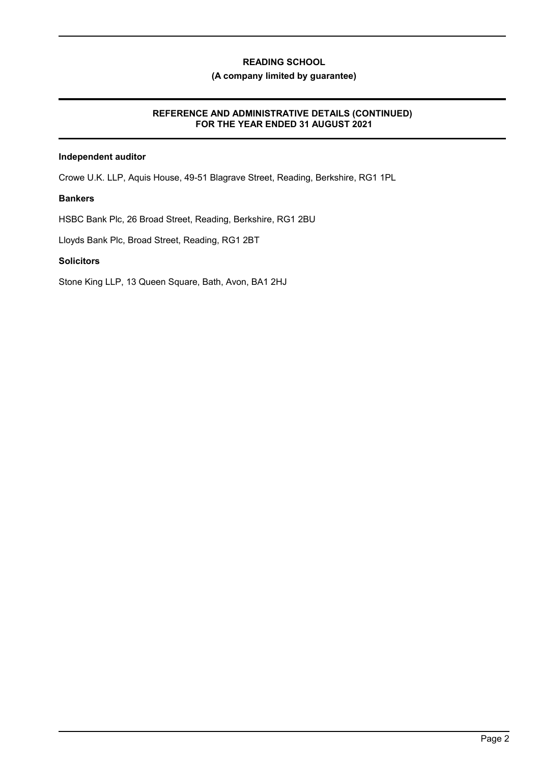# **(A company limited by guarantee)**

# **REFERENCE AND ADMINISTRATIVE DETAILS (CONTINUED) FOR THE YEAR ENDED 31 AUGUST 2021**

# **Independent auditor**

Crowe U.K. LLP, Aquis House, 49-51 Blagrave Street, Reading, Berkshire, RG1 1PL

### **Bankers**

HSBC Bank Plc, 26 Broad Street, Reading, Berkshire, RG1 2BU

Lloyds Bank Plc, Broad Street, Reading, RG1 2BT

### **Solicitors**

Stone King LLP, 13 Queen Square, Bath, Avon, BA1 2HJ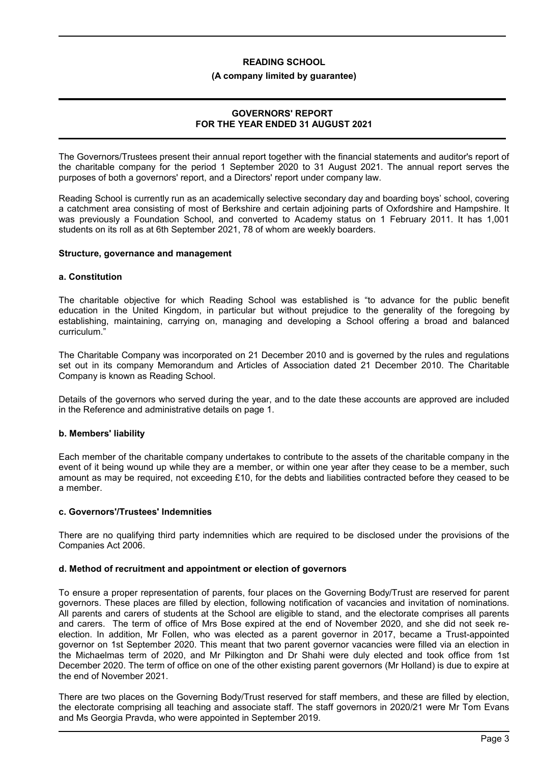#### **(A company limited by guarantee)**

### **GOVERNORS' REPORT FOR THE YEAR ENDED 31 AUGUST 2021**

The Governors/Trustees present their annual report together with the financial statements and auditor's report of the charitable company for the period 1 September 2020 to 31 August 2021. The annual report serves the purposes of both a governors' report, and a Directors' report under company law.

Reading School is currently run as an academically selective secondary day and boarding boys' school, covering a catchment area consisting of most of Berkshire and certain adjoining parts of Oxfordshire and Hampshire. It was previously a Foundation School, and converted to Academy status on 1 February 2011. It has 1,001 students on its roll as at 6th September 2021, 78 of whom are weekly boarders.

### **Structure, governance and management**

### **a. Constitution**

The charitable objective for which Reading School was established is "to advance for the public benefit education in the United Kingdom, in particular but without prejudice to the generality of the foregoing by establishing, maintaining, carrying on, managing and developing a School offering a broad and balanced curriculum."

The Charitable Company was incorporated on 21 December 2010 and is governed by the rules and regulations set out in its company Memorandum and Articles of Association dated 21 December 2010. The Charitable Company is known as Reading School.

Details of the governors who served during the year, and to the date these accounts are approved are included in the Reference and administrative details on page 1.

### **b. Members' liability**

Each member of the charitable company undertakes to contribute to the assets of the charitable company in the event of it being wound up while they are a member, or within one year after they cease to be a member, such amount as may be required, not exceeding £10, for the debts and liabilities contracted before they ceased to be a member.

### **c. Governors'/Trustees' Indemnities**

There are no qualifying third party indemnities which are required to be disclosed under the provisions of the Companies Act 2006.

### **d. Method of recruitment and appointment or election of governors**

To ensure a proper representation of parents, four places on the Governing Body/Trust are reserved for parent governors. These places are filled by election, following notification of vacancies and invitation of nominations. All parents and carers of students at the School are eligible to stand, and the electorate comprises all parents and carers. The term of office of Mrs Bose expired at the end of November 2020, and she did not seek reelection. In addition, Mr Follen, who was elected as a parent governor in 2017, became a Trust-appointed governor on 1st September 2020. This meant that two parent governor vacancies were filled via an election in the Michaelmas term of 2020, and Mr Pilkington and Dr Shahi were duly elected and took office from 1st December 2020. The term of office on one of the other existing parent governors (Mr Holland) is due to expire at the end of November 2021.

There are two places on the Governing Body/Trust reserved for staff members, and these are filled by election, the electorate comprising all teaching and associate staff. The staff governors in 2020/21 were Mr Tom Evans and Ms Georgia Pravda, who were appointed in September 2019.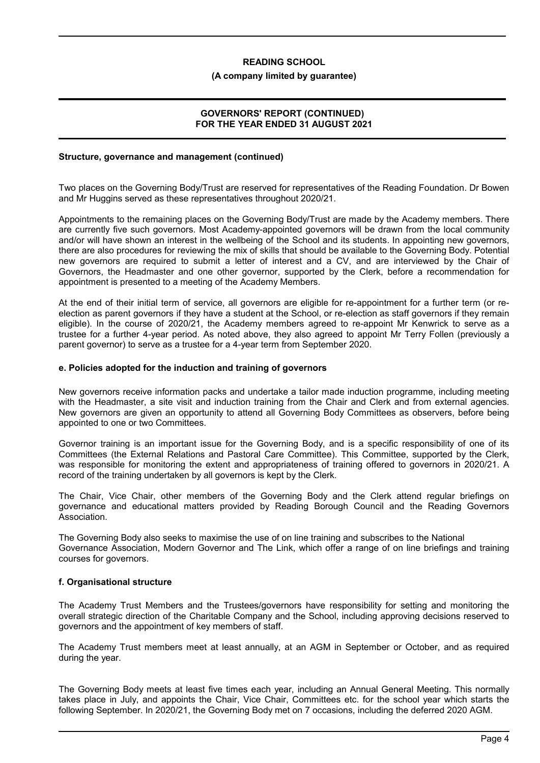#### **(A company limited by guarantee)**

### **GOVERNORS' REPORT (CONTINUED) FOR THE YEAR ENDED 31 AUGUST 2021**

### **Structure, governance and management (continued)**

Two places on the Governing Body/Trust are reserved for representatives of the Reading Foundation. Dr Bowen and Mr Huggins served as these representatives throughout 2020/21.

Appointments to the remaining places on the Governing Body/Trust are made by the Academy members. There are currently five such governors. Most Academy-appointed governors will be drawn from the local community and/or will have shown an interest in the wellbeing of the School and its students. In appointing new governors, there are also procedures for reviewing the mix of skills that should be available to the Governing Body. Potential new governors are required to submit a letter of interest and a CV, and are interviewed by the Chair of Governors, the Headmaster and one other governor, supported by the Clerk, before a recommendation for appointment is presented to a meeting of the Academy Members.

At the end of their initial term of service, all governors are eligible for re-appointment for a further term (or reelection as parent governors if they have a student at the School, or re-election as staff governors if they remain eligible). In the course of 2020/21, the Academy members agreed to re-appoint Mr Kenwrick to serve as a trustee for a further 4-year period. As noted above, they also agreed to appoint Mr Terry Follen (previously a parent governor) to serve as a trustee for a 4-year term from September 2020.

### **e. Policies adopted for the induction and training of governors**

New governors receive information packs and undertake a tailor made induction programme, including meeting with the Headmaster, a site visit and induction training from the Chair and Clerk and from external agencies. New governors are given an opportunity to attend all Governing Body Committees as observers, before being appointed to one or two Committees.

Governor training is an important issue for the Governing Body, and is a specific responsibility of one of its Committees (the External Relations and Pastoral Care Committee). This Committee, supported by the Clerk, was responsible for monitoring the extent and appropriateness of training offered to governors in 2020/21. A record of the training undertaken by all governors is kept by the Clerk.

The Chair, Vice Chair, other members of the Governing Body and the Clerk attend regular briefings on governance and educational matters provided by Reading Borough Council and the Reading Governors Association.

The Governing Body also seeks to maximise the use of on line training and subscribes to the National Governance Association, Modern Governor and The Link, which offer a range of on line briefings and training courses for governors.

### **f. Organisational structure**

The Academy Trust Members and the Trustees/governors have responsibility for setting and monitoring the overall strategic direction of the Charitable Company and the School, including approving decisions reserved to governors and the appointment of key members of staff.

The Academy Trust members meet at least annually, at an AGM in September or October, and as required during the year.

The Governing Body meets at least five times each year, including an Annual General Meeting. This normally takes place in July, and appoints the Chair, Vice Chair, Committees etc. for the school year which starts the following September. In 2020/21, the Governing Body met on 7 occasions, including the deferred 2020 AGM.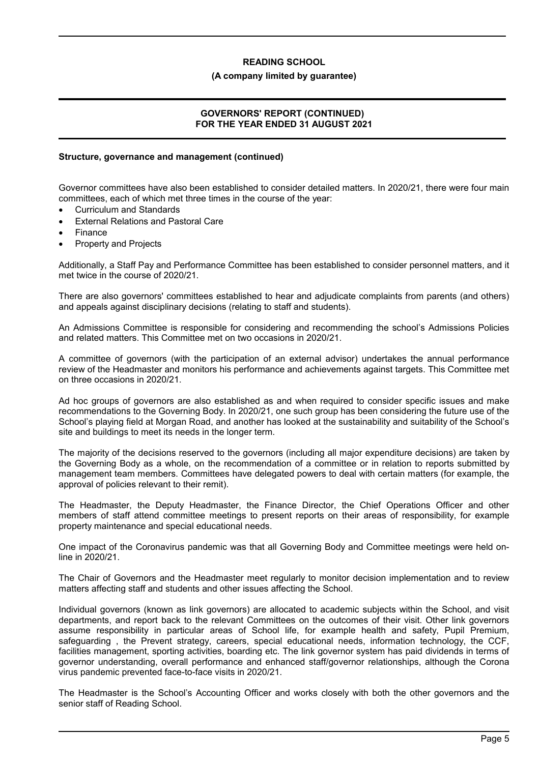### **(A company limited by guarantee)**

# **GOVERNORS' REPORT (CONTINUED) FOR THE YEAR ENDED 31 AUGUST 2021**

# **Structure, governance and management (continued)**

Governor committees have also been established to consider detailed matters. In 2020/21, there were four main committees, each of which met three times in the course of the year:

- Curriculum and Standards
- External Relations and Pastoral Care
- Finance
- Property and Projects

Additionally, a Staff Pay and Performance Committee has been established to consider personnel matters, and it met twice in the course of 2020/21.

There are also governors' committees established to hear and adjudicate complaints from parents (and others) and appeals against disciplinary decisions (relating to staff and students).

An Admissions Committee is responsible for considering and recommending the school's Admissions Policies and related matters. This Committee met on two occasions in 2020/21.

A committee of governors (with the participation of an external advisor) undertakes the annual performance review of the Headmaster and monitors his performance and achievements against targets. This Committee met on three occasions in 2020/21.

Ad hoc groups of governors are also established as and when required to consider specific issues and make recommendations to the Governing Body. In 2020/21, one such group has been considering the future use of the School's playing field at Morgan Road, and another has looked at the sustainability and suitability of the School's site and buildings to meet its needs in the longer term.

The majority of the decisions reserved to the governors (including all major expenditure decisions) are taken by the Governing Body as a whole, on the recommendation of a committee or in relation to reports submitted by management team members. Committees have delegated powers to deal with certain matters (for example, the approval of policies relevant to their remit).

The Headmaster, the Deputy Headmaster, the Finance Director, the Chief Operations Officer and other members of staff attend committee meetings to present reports on their areas of responsibility, for example property maintenance and special educational needs.

One impact of the Coronavirus pandemic was that all Governing Body and Committee meetings were held online in 2020/21.

The Chair of Governors and the Headmaster meet regularly to monitor decision implementation and to review matters affecting staff and students and other issues affecting the School.

Individual governors (known as link governors) are allocated to academic subjects within the School, and visit departments, and report back to the relevant Committees on the outcomes of their visit. Other link governors assume responsibility in particular areas of School life, for example health and safety, Pupil Premium, safeguarding , the Prevent strategy, careers, special educational needs, information technology, the CCF, facilities management, sporting activities, boarding etc. The link governor system has paid dividends in terms of governor understanding, overall performance and enhanced staff/governor relationships, although the Corona virus pandemic prevented face-to-face visits in 2020/21.

The Headmaster is the School's Accounting Officer and works closely with both the other governors and the senior staff of Reading School.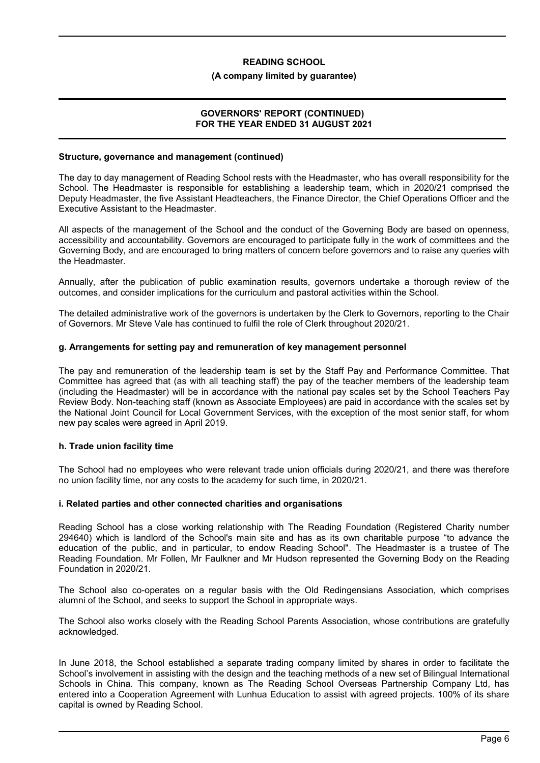### **(A company limited by guarantee)**

### **GOVERNORS' REPORT (CONTINUED) FOR THE YEAR ENDED 31 AUGUST 2021**

#### **Structure, governance and management (continued)**

The day to day management of Reading School rests with the Headmaster, who has overall responsibility for the School. The Headmaster is responsible for establishing a leadership team, which in 2020/21 comprised the Deputy Headmaster, the five Assistant Headteachers, the Finance Director, the Chief Operations Officer and the Executive Assistant to the Headmaster.

All aspects of the management of the School and the conduct of the Governing Body are based on openness, accessibility and accountability. Governors are encouraged to participate fully in the work of committees and the Governing Body, and are encouraged to bring matters of concern before governors and to raise any queries with the Headmaster.

Annually, after the publication of public examination results, governors undertake a thorough review of the outcomes, and consider implications for the curriculum and pastoral activities within the School.

The detailed administrative work of the governors is undertaken by the Clerk to Governors, reporting to the Chair of Governors. Mr Steve Vale has continued to fulfil the role of Clerk throughout 2020/21.

### **g. Arrangements for setting pay and remuneration of key management personnel**

The pay and remuneration of the leadership team is set by the Staff Pay and Performance Committee. That Committee has agreed that (as with all teaching staff) the pay of the teacher members of the leadership team (including the Headmaster) will be in accordance with the national pay scales set by the School Teachers Pay Review Body. Non-teaching staff (known as Associate Employees) are paid in accordance with the scales set by the National Joint Council for Local Government Services, with the exception of the most senior staff, for whom new pay scales were agreed in April 2019.

### **h. Trade union facility time**

The School had no employees who were relevant trade union officials during 2020/21, and there was therefore no union facility time, nor any costs to the academy for such time, in 2020/21.

### **i. Related parties and other connected charities and organisations**

Reading School has a close working relationship with The Reading Foundation (Registered Charity number 294640) which is landlord of the School's main site and has as its own charitable purpose "to advance the education of the public, and in particular, to endow Reading School''. The Headmaster is a trustee of The Reading Foundation. Mr Follen, Mr Faulkner and Mr Hudson represented the Governing Body on the Reading Foundation in 2020/21.

The School also co-operates on a regular basis with the Old Redingensians Association, which comprises alumni of the School, and seeks to support the School in appropriate ways.

The School also works closely with the Reading School Parents Association, whose contributions are gratefully acknowledged.

In June 2018, the School established a separate trading company limited by shares in order to facilitate the School's involvement in assisting with the design and the teaching methods of a new set of Bilingual International Schools in China. This company, known as The Reading School Overseas Partnership Company Ltd, has entered into a Cooperation Agreement with Lunhua Education to assist with agreed projects. 100% of its share capital is owned by Reading School.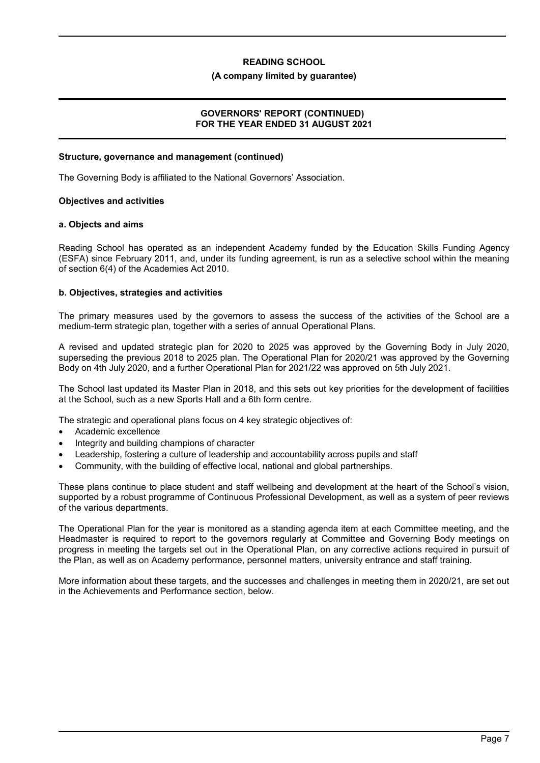### **(A company limited by guarantee)**

### **GOVERNORS' REPORT (CONTINUED) FOR THE YEAR ENDED 31 AUGUST 2021**

# **Structure, governance and management (continued)**

The Governing Body is affiliated to the National Governors' Association.

### **Objectives and activities**

### **a. Objects and aims**

Reading School has operated as an independent Academy funded by the Education Skills Funding Agency (ESFA) since February 2011, and, under its funding agreement, is run as a selective school within the meaning of section 6(4) of the Academies Act 2010.

### **b. Objectives, strategies and activities**

The primary measures used by the governors to assess the success of the activities of the School are a medium-term strategic plan, together with a series of annual Operational Plans.

A revised and updated strategic plan for 2020 to 2025 was approved by the Governing Body in July 2020, superseding the previous 2018 to 2025 plan. The Operational Plan for 2020/21 was approved by the Governing Body on 4th July 2020, and a further Operational Plan for 2021/22 was approved on 5th July 2021.

The School last updated its Master Plan in 2018, and this sets out key priorities for the development of facilities at the School, such as a new Sports Hall and a 6th form centre.

The strategic and operational plans focus on 4 key strategic objectives of:

- Academic excellence
- Integrity and building champions of character
- Leadership, fostering a culture of leadership and accountability across pupils and staff
- Community, with the building of effective local, national and global partnerships.

These plans continue to place student and staff wellbeing and development at the heart of the School's vision, supported by a robust programme of Continuous Professional Development, as well as a system of peer reviews of the various departments.

The Operational Plan for the year is monitored as a standing agenda item at each Committee meeting, and the Headmaster is required to report to the governors regularly at Committee and Governing Body meetings on progress in meeting the targets set out in the Operational Plan, on any corrective actions required in pursuit of the Plan, as well as on Academy performance, personnel matters, university entrance and staff training.

More information about these targets, and the successes and challenges in meeting them in 2020/21, are set out in the Achievements and Performance section, below.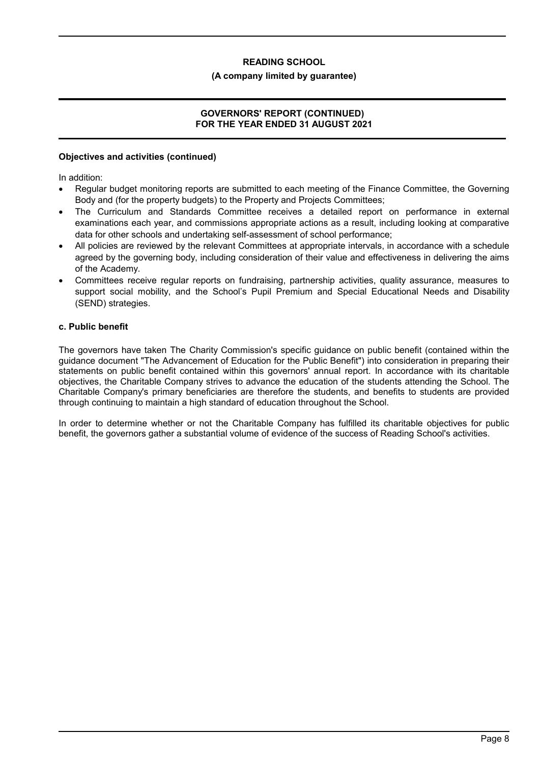### **(A company limited by guarantee)**

# **GOVERNORS' REPORT (CONTINUED) FOR THE YEAR ENDED 31 AUGUST 2021**

### **Objectives and activities (continued)**

In addition:

- Regular budget monitoring reports are submitted to each meeting of the Finance Committee, the Governing Body and (for the property budgets) to the Property and Projects Committees;
- The Curriculum and Standards Committee receives a detailed report on performance in external examinations each year, and commissions appropriate actions as a result, including looking at comparative data for other schools and undertaking self-assessment of school performance;
- All policies are reviewed by the relevant Committees at appropriate intervals, in accordance with a schedule agreed by the governing body, including consideration of their value and effectiveness in delivering the aims of the Academy.
- Committees receive regular reports on fundraising, partnership activities, quality assurance, measures to support social mobility, and the School's Pupil Premium and Special Educational Needs and Disability (SEND) strategies.

# **c. Public benefit**

The governors have taken The Charity Commission's specific guidance on public benefit (contained within the guidance document "The Advancement of Education for the Public Benefit") into consideration in preparing their statements on public benefit contained within this governors' annual report. In accordance with its charitable objectives, the Charitable Company strives to advance the education of the students attending the School. The Charitable Company's primary beneficiaries are therefore the students, and benefits to students are provided through continuing to maintain a high standard of education throughout the School.

In order to determine whether or not the Charitable Company has fulfilled its charitable objectives for public benefit, the governors gather a substantial volume of evidence of the success of Reading School's activities.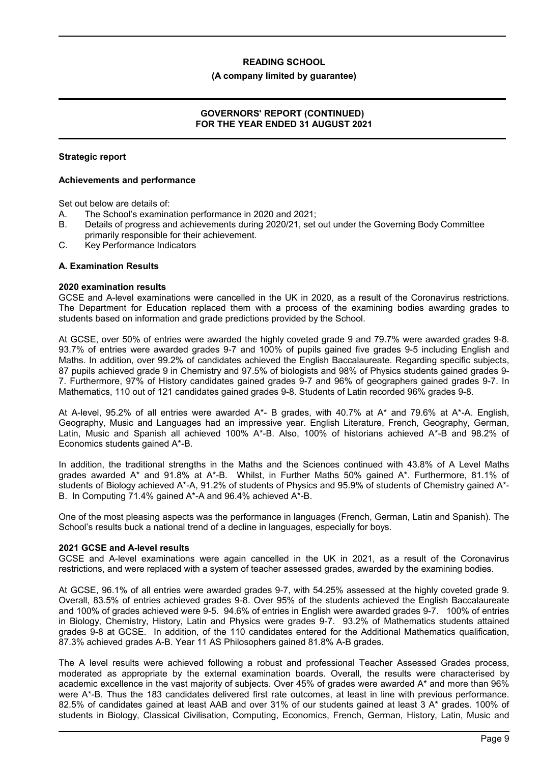#### **(A company limited by guarantee)**

### **GOVERNORS' REPORT (CONTINUED) FOR THE YEAR ENDED 31 AUGUST 2021**

### **Strategic report**

### **Achievements and performance**

Set out below are details of:

- A. The School's examination performance in 2020 and 2021;
- B. Details of progress and achievements during 2020/21, set out under the Governing Body Committee primarily responsible for their achievement.
- C. Key Performance Indicators

### **A. Examination Results**

#### **2020 examination results**

GCSE and A-level examinations were cancelled in the UK in 2020, as a result of the Coronavirus restrictions. The Department for Education replaced them with a process of the examining bodies awarding grades to students based on information and grade predictions provided by the School.

At GCSE, over 50% of entries were awarded the highly coveted grade 9 and 79.7% were awarded grades 9-8. 93.7% of entries were awarded grades 9-7 and 100% of pupils gained five grades 9-5 including English and Maths. In addition, over 99.2% of candidates achieved the English Baccalaureate. Regarding specific subjects, 87 pupils achieved grade 9 in Chemistry and 97.5% of biologists and 98% of Physics students gained grades 9- 7. Furthermore, 97% of History candidates gained grades 9-7 and 96% of geographers gained grades 9-7. In Mathematics, 110 out of 121 candidates gained grades 9-8. Students of Latin recorded 96% grades 9-8.

At A-level, 95.2% of all entries were awarded A\*- B grades, with 40.7% at A\* and 79.6% at A\*-A. English, Geography, Music and Languages had an impressive year. English Literature, French, Geography, German, Latin, Music and Spanish all achieved 100% A\*-B. Also, 100% of historians achieved A\*-B and 98.2% of Economics students gained A\*-B.

In addition, the traditional strengths in the Maths and the Sciences continued with 43.8% of A Level Maths grades awarded A\* and 91.8% at A\*-B. Whilst, in Further Maths 50% gained A\*. Furthermore, 81.1% of students of Biology achieved A\*-A, 91.2% of students of Physics and 95.9% of students of Chemistry gained A\*- B. In Computing 71.4% gained A\*-A and 96.4% achieved A\*-B.

One of the most pleasing aspects was the performance in languages (French, German, Latin and Spanish). The School's results buck a national trend of a decline in languages, especially for boys.

### **2021 GCSE and A-level results**

GCSE and A-level examinations were again cancelled in the UK in 2021, as a result of the Coronavirus restrictions, and were replaced with a system of teacher assessed grades, awarded by the examining bodies.

At GCSE, 96.1% of all entries were awarded grades 9-7, with 54.25% assessed at the highly coveted grade 9. Overall, 83.5% of entries achieved grades 9-8. Over 95% of the students achieved the English Baccalaureate and 100% of grades achieved were 9-5. 94.6% of entries in English were awarded grades 9-7. 100% of entries in Biology, Chemistry, History, Latin and Physics were grades 9-7. 93.2% of Mathematics students attained grades 9-8 at GCSE. In addition, of the 110 candidates entered for the Additional Mathematics qualification, 87.3% achieved grades A-B. Year 11 AS Philosophers gained 81.8% A-B grades.

The A level results were achieved following a robust and professional Teacher Assessed Grades process, moderated as appropriate by the external examination boards. Overall, the results were characterised by academic excellence in the vast majority of subjects. Over 45% of grades were awarded A\* and more than 96% were A\*-B. Thus the 183 candidates delivered first rate outcomes, at least in line with previous performance. 82.5% of candidates gained at least AAB and over 31% of our students gained at least 3 A\* grades. 100% of students in Biology, Classical Civilisation, Computing, Economics, French, German, History, Latin, Music and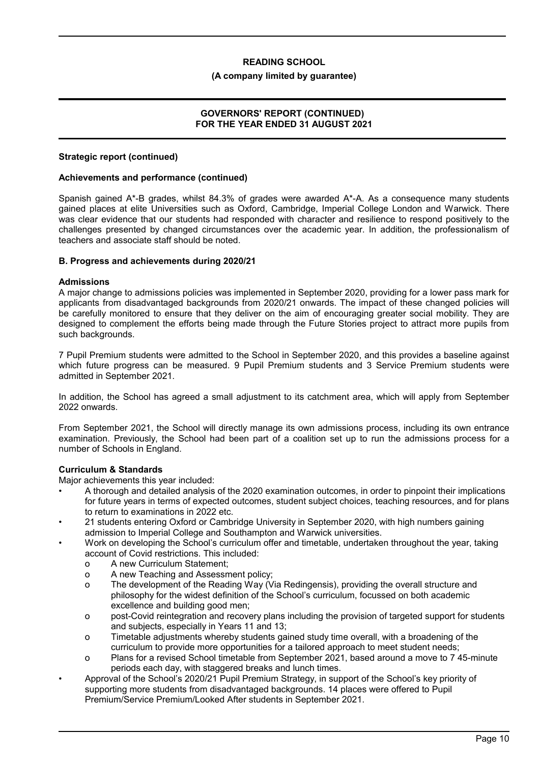### **(A company limited by guarantee)**

### **GOVERNORS' REPORT (CONTINUED) FOR THE YEAR ENDED 31 AUGUST 2021**

### **Strategic report (continued)**

### **Achievements and performance (continued)**

Spanish gained A\*-B grades, whilst 84.3% of grades were awarded A\*-A. As a consequence many students gained places at elite Universities such as Oxford, Cambridge, Imperial College London and Warwick. There was clear evidence that our students had responded with character and resilience to respond positively to the challenges presented by changed circumstances over the academic year. In addition, the professionalism of teachers and associate staff should be noted.

### **B. Progress and achievements during 2020/21**

### **Admissions**

A major change to admissions policies was implemented in September 2020, providing for a lower pass mark for applicants from disadvantaged backgrounds from 2020/21 onwards. The impact of these changed policies will be carefully monitored to ensure that they deliver on the aim of encouraging greater social mobility. They are designed to complement the efforts being made through the Future Stories project to attract more pupils from such backgrounds.

7 Pupil Premium students were admitted to the School in September 2020, and this provides a baseline against which future progress can be measured. 9 Pupil Premium students and 3 Service Premium students were admitted in September 2021.

In addition, the School has agreed a small adjustment to its catchment area, which will apply from September 2022 onwards.

From September 2021, the School will directly manage its own admissions process, including its own entrance examination. Previously, the School had been part of a coalition set up to run the admissions process for a number of Schools in England.

# **Curriculum & Standards**

Major achievements this year included:

- A thorough and detailed analysis of the 2020 examination outcomes, in order to pinpoint their implications for future years in terms of expected outcomes, student subject choices, teaching resources, and for plans to return to examinations in 2022 etc.
- 21 students entering Oxford or Cambridge University in September 2020, with high numbers gaining admission to Imperial College and Southampton and Warwick universities.
- Work on developing the School's curriculum offer and timetable, undertaken throughout the year, taking account of Covid restrictions. This included:
	- o A new Curriculum Statement;
	- o A new Teaching and Assessment policy;
	- o The development of the Reading Way (Via Redingensis), providing the overall structure and philosophy for the widest definition of the School's curriculum, focussed on both academic excellence and building good men;
	- o post-Covid reintegration and recovery plans including the provision of targeted support for students and subjects, especially in Years 11 and 13;
	- o Timetable adjustments whereby students gained study time overall, with a broadening of the curriculum to provide more opportunities for a tailored approach to meet student needs;
	- o Plans for a revised School timetable from September 2021, based around a move to 7 45-minute periods each day, with staggered breaks and lunch times.
- Approval of the School's 2020/21 Pupil Premium Strategy, in support of the School's key priority of supporting more students from disadvantaged backgrounds. 14 places were offered to Pupil Premium/Service Premium/Looked After students in September 2021.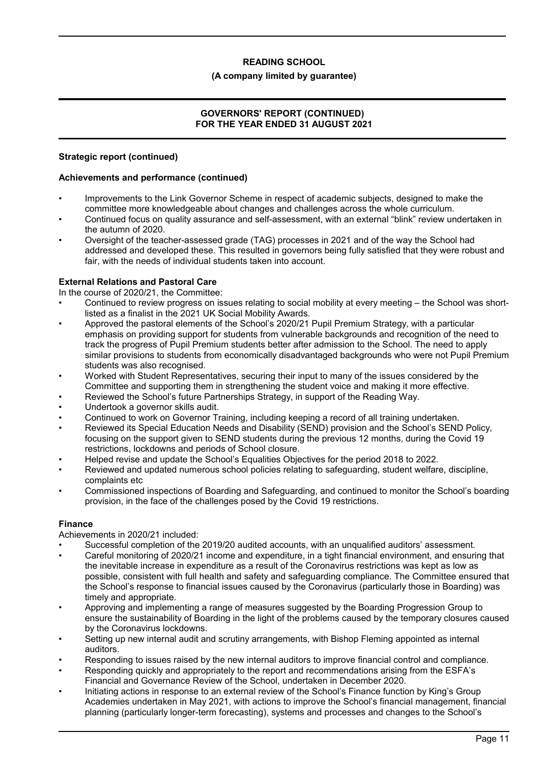# **(A company limited by guarantee)**

# **GOVERNORS' REPORT (CONTINUED) FOR THE YEAR ENDED 31 AUGUST 2021**

### **Strategic report (continued)**

### **Achievements and performance (continued)**

- Improvements to the Link Governor Scheme in respect of academic subjects, designed to make the committee more knowledgeable about changes and challenges across the whole curriculum.
- Continued focus on quality assurance and self-assessment, with an external "blink" review undertaken in the autumn of 2020.
- Oversight of the teacher-assessed grade (TAG) processes in 2021 and of the way the School had addressed and developed these. This resulted in governors being fully satisfied that they were robust and fair, with the needs of individual students taken into account.

# **External Relations and Pastoral Care**

In the course of 2020/21, the Committee:

- Continued to review progress on issues relating to social mobility at every meeting the School was shortlisted as a finalist in the 2021 UK Social Mobility Awards.
- Approved the pastoral elements of the School's 2020/21 Pupil Premium Strategy, with a particular emphasis on providing support for students from vulnerable backgrounds and recognition of the need to track the progress of Pupil Premium students better after admission to the School. The need to apply similar provisions to students from economically disadvantaged backgrounds who were not Pupil Premium students was also recognised.
- Worked with Student Representatives, securing their input to many of the issues considered by the Committee and supporting them in strengthening the student voice and making it more effective.
- Reviewed the School's future Partnerships Strategy, in support of the Reading Way.
- Undertook a governor skills audit.
- Continued to work on Governor Training, including keeping a record of all training undertaken.
- Reviewed its Special Education Needs and Disability (SEND) provision and the School's SEND Policy, focusing on the support given to SEND students during the previous 12 months, during the Covid 19 restrictions, lockdowns and periods of School closure.
- Helped revise and update the School's Equalities Objectives for the period 2018 to 2022.
- Reviewed and updated numerous school policies relating to safeguarding, student welfare, discipline, complaints etc
- Commissioned inspections of Boarding and Safeguarding, and continued to monitor the School's boarding provision, in the face of the challenges posed by the Covid 19 restrictions.

# **Finance**

Achievements in 2020/21 included:

- Successful completion of the 2019/20 audited accounts, with an unqualified auditors' assessment.
- Careful monitoring of 2020/21 income and expenditure, in a tight financial environment, and ensuring that the inevitable increase in expenditure as a result of the Coronavirus restrictions was kept as low as possible, consistent with full health and safety and safeguarding compliance. The Committee ensured that the School's response to financial issues caused by the Coronavirus (particularly those in Boarding) was timely and appropriate.
- Approving and implementing a range of measures suggested by the Boarding Progression Group to ensure the sustainability of Boarding in the light of the problems caused by the temporary closures caused by the Coronavirus lockdowns.
- Setting up new internal audit and scrutiny arrangements, with Bishop Fleming appointed as internal auditors.
- Responding to issues raised by the new internal auditors to improve financial control and compliance.
- Responding quickly and appropriately to the report and recommendations arising from the ESFA's Financial and Governance Review of the School, undertaken in December 2020.
- Initiating actions in response to an external review of the School's Finance function by King's Group Academies undertaken in May 2021, with actions to improve the School's financial management, financial planning (particularly longer-term forecasting), systems and processes and changes to the School's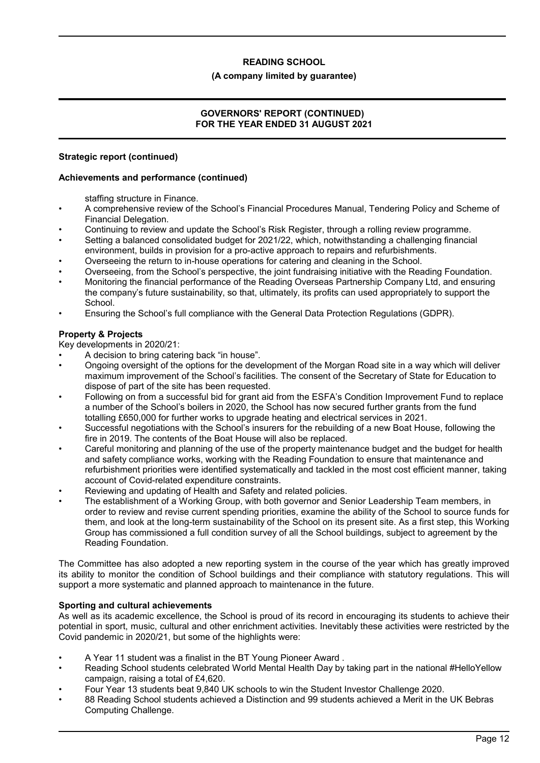### **(A company limited by guarantee)**

# **GOVERNORS' REPORT (CONTINUED) FOR THE YEAR ENDED 31 AUGUST 2021**

### **Strategic report (continued)**

### **Achievements and performance (continued)**

staffing structure in Finance.

- A comprehensive review of the School's Financial Procedures Manual, Tendering Policy and Scheme of Financial Delegation.
- Continuing to review and update the School's Risk Register, through a rolling review programme.
- Setting a balanced consolidated budget for 2021/22, which, notwithstanding a challenging financial environment, builds in provision for a pro-active approach to repairs and refurbishments.
- Overseeing the return to in-house operations for catering and cleaning in the School.
- Overseeing, from the School's perspective, the joint fundraising initiative with the Reading Foundation.
- Monitoring the financial performance of the Reading Overseas Partnership Company Ltd, and ensuring the company's future sustainability, so that, ultimately, its profits can used appropriately to support the School.
- Ensuring the School's full compliance with the General Data Protection Regulations (GDPR).

### **Property & Projects**

Key developments in 2020/21:

- A decision to bring catering back "in house".
- Ongoing oversight of the options for the development of the Morgan Road site in a way which will deliver maximum improvement of the School's facilities. The consent of the Secretary of State for Education to dispose of part of the site has been requested.
- Following on from a successful bid for grant aid from the ESFA's Condition Improvement Fund to replace a number of the School's boilers in 2020, the School has now secured further grants from the fund totalling £650,000 for further works to upgrade heating and electrical services in 2021.
- Successful negotiations with the School's insurers for the rebuilding of a new Boat House, following the fire in 2019. The contents of the Boat House will also be replaced.
- Careful monitoring and planning of the use of the property maintenance budget and the budget for health and safety compliance works, working with the Reading Foundation to ensure that maintenance and refurbishment priorities were identified systematically and tackled in the most cost efficient manner, taking account of Covid-related expenditure constraints.
- Reviewing and updating of Health and Safety and related policies.
- The establishment of a Working Group, with both governor and Senior Leadership Team members, in order to review and revise current spending priorities, examine the ability of the School to source funds for them, and look at the long-term sustainability of the School on its present site. As a first step, this Working Group has commissioned a full condition survey of all the School buildings, subject to agreement by the Reading Foundation.

The Committee has also adopted a new reporting system in the course of the year which has greatly improved its ability to monitor the condition of School buildings and their compliance with statutory regulations. This will support a more systematic and planned approach to maintenance in the future.

# **Sporting and cultural achievements**

As well as its academic excellence, the School is proud of its record in encouraging its students to achieve their potential in sport, music, cultural and other enrichment activities. Inevitably these activities were restricted by the Covid pandemic in 2020/21, but some of the highlights were:

- A Year 11 student was a finalist in the BT Young Pioneer Award .
- Reading School students celebrated World Mental Health Day by taking part in the national #HelloYellow campaign, raising a total of £4,620.
- Four Year 13 students beat 9,840 UK schools to win the Student Investor Challenge 2020.
- 88 Reading School students achieved a Distinction and 99 students achieved a Merit in the UK Bebras Computing Challenge.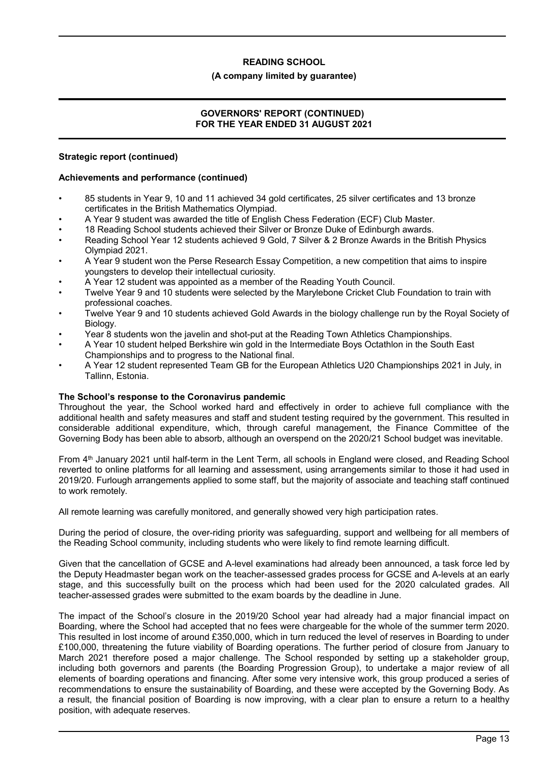### **(A company limited by guarantee)**

# **GOVERNORS' REPORT (CONTINUED) FOR THE YEAR ENDED 31 AUGUST 2021**

# **Strategic report (continued)**

### **Achievements and performance (continued)**

- 85 students in Year 9, 10 and 11 achieved 34 gold certificates, 25 silver certificates and 13 bronze certificates in the British Mathematics Olympiad.
- A Year 9 student was awarded the title of English Chess Federation (ECF) Club Master.
- 18 Reading School students achieved their Silver or Bronze Duke of Edinburgh awards.
- Reading School Year 12 students achieved 9 Gold, 7 Silver & 2 Bronze Awards in the British Physics Olympiad 2021.
- A Year 9 student won the Perse Research Essay Competition, a new competition that aims to inspire youngsters to develop their intellectual curiosity.
- A Year 12 student was appointed as a member of the Reading Youth Council.
- Twelve Year 9 and 10 students were selected by the Marylebone Cricket Club Foundation to train with professional coaches.
- Twelve Year 9 and 10 students achieved Gold Awards in the biology challenge run by the Royal Society of Biology.
- Year 8 students won the javelin and shot-put at the Reading Town Athletics Championships.
- A Year 10 student helped Berkshire win gold in the Intermediate Boys Octathlon in the South East Championships and to progress to the National final.
- A Year 12 student represented Team GB for the European Athletics U20 Championships 2021 in July, in Tallinn, Estonia.

# **The School's response to the Coronavirus pandemic**

Throughout the year, the School worked hard and effectively in order to achieve full compliance with the additional health and safety measures and staff and student testing required by the government. This resulted in considerable additional expenditure, which, through careful management, the Finance Committee of the Governing Body has been able to absorb, although an overspend on the 2020/21 School budget was inevitable.

From 4<sup>th</sup> January 2021 until half-term in the Lent Term, all schools in England were closed, and Reading School reverted to online platforms for all learning and assessment, using arrangements similar to those it had used in 2019/20. Furlough arrangements applied to some staff, but the majority of associate and teaching staff continued to work remotely.

All remote learning was carefully monitored, and generally showed very high participation rates.

During the period of closure, the over-riding priority was safeguarding, support and wellbeing for all members of the Reading School community, including students who were likely to find remote learning difficult.

Given that the cancellation of GCSE and A-level examinations had already been announced, a task force led by the Deputy Headmaster began work on the teacher-assessed grades process for GCSE and A-levels at an early stage, and this successfully built on the process which had been used for the 2020 calculated grades. All teacher-assessed grades were submitted to the exam boards by the deadline in June.

The impact of the School's closure in the 2019/20 School year had already had a major financial impact on Boarding, where the School had accepted that no fees were chargeable for the whole of the summer term 2020. This resulted in lost income of around £350,000, which in turn reduced the level of reserves in Boarding to under £100,000, threatening the future viability of Boarding operations. The further period of closure from January to March 2021 therefore posed a major challenge. The School responded by setting up a stakeholder group, including both governors and parents (the Boarding Progression Group), to undertake a major review of all elements of boarding operations and financing. After some very intensive work, this group produced a series of recommendations to ensure the sustainability of Boarding, and these were accepted by the Governing Body. As a result, the financial position of Boarding is now improving, with a clear plan to ensure a return to a healthy position, with adequate reserves.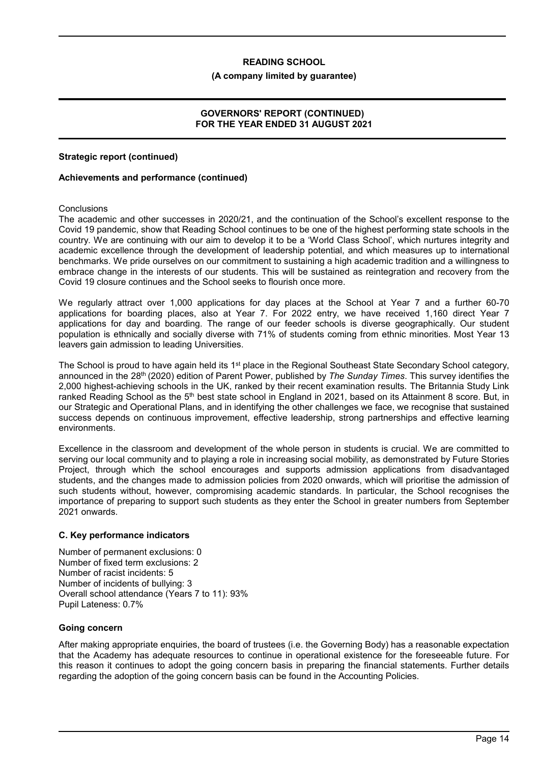### **(A company limited by guarantee)**

# **GOVERNORS' REPORT (CONTINUED) FOR THE YEAR ENDED 31 AUGUST 2021**

### **Strategic report (continued)**

### **Achievements and performance (continued)**

### **Conclusions**

The academic and other successes in 2020/21, and the continuation of the School's excellent response to the Covid 19 pandemic, show that Reading School continues to be one of the highest performing state schools in the country. We are continuing with our aim to develop it to be a 'World Class School', which nurtures integrity and academic excellence through the development of leadership potential, and which measures up to international benchmarks. We pride ourselves on our commitment to sustaining a high academic tradition and a willingness to embrace change in the interests of our students. This will be sustained as reintegration and recovery from the Covid 19 closure continues and the School seeks to flourish once more.

We regularly attract over 1,000 applications for day places at the School at Year 7 and a further 60-70 applications for boarding places, also at Year 7. For 2022 entry, we have received 1,160 direct Year 7 applications for day and boarding. The range of our feeder schools is diverse geographically. Our student population is ethnically and socially diverse with 71% of students coming from ethnic minorities. Most Year 13 leavers gain admission to leading Universities.

The School is proud to have again held its 1<sup>st</sup> place in the Regional Southeast State Secondary School category, announced in the 28th (2020) edition of Parent Power, published by *The Sunday Times*. This survey identifies the 2,000 highest-achieving schools in the UK, ranked by their recent examination results. The Britannia Study Link ranked Reading School as the 5<sup>th</sup> best state school in England in 2021, based on its Attainment 8 score. But, in our Strategic and Operational Plans, and in identifying the other challenges we face, we recognise that sustained success depends on continuous improvement, effective leadership, strong partnerships and effective learning environments.

Excellence in the classroom and development of the whole person in students is crucial. We are committed to serving our local community and to playing a role in increasing social mobility, as demonstrated by Future Stories Project, through which the school encourages and supports admission applications from disadvantaged students, and the changes made to admission policies from 2020 onwards, which will prioritise the admission of such students without, however, compromising academic standards. In particular, the School recognises the importance of preparing to support such students as they enter the School in greater numbers from September 2021 onwards.

### **C. Key performance indicators**

Number of permanent exclusions: 0 Number of fixed term exclusions: 2 Number of racist incidents: 5 Number of incidents of bullying: 3 Overall school attendance (Years 7 to 11): 93% Pupil Lateness: 0.7%

# **Going concern**

After making appropriate enquiries, the board of trustees (i.e. the Governing Body) has a reasonable expectation that the Academy has adequate resources to continue in operational existence for the foreseeable future. For this reason it continues to adopt the going concern basis in preparing the financial statements. Further details regarding the adoption of the going concern basis can be found in the Accounting Policies.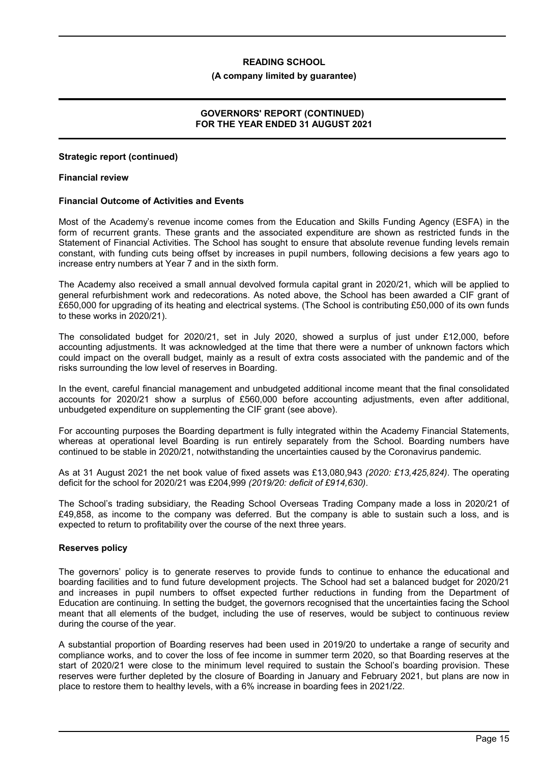#### **(A company limited by guarantee)**

### **GOVERNORS' REPORT (CONTINUED) FOR THE YEAR ENDED 31 AUGUST 2021**

### **Strategic report (continued)**

### **Financial review**

### **Financial Outcome of Activities and Events**

Most of the Academy's revenue income comes from the Education and Skills Funding Agency (ESFA) in the form of recurrent grants. These grants and the associated expenditure are shown as restricted funds in the Statement of Financial Activities. The School has sought to ensure that absolute revenue funding levels remain constant, with funding cuts being offset by increases in pupil numbers, following decisions a few years ago to increase entry numbers at Year 7 and in the sixth form.

The Academy also received a small annual devolved formula capital grant in 2020/21, which will be applied to general refurbishment work and redecorations. As noted above, the School has been awarded a CIF grant of £650,000 for upgrading of its heating and electrical systems. (The School is contributing £50,000 of its own funds to these works in 2020/21).

The consolidated budget for 2020/21, set in July 2020, showed a surplus of just under £12,000, before accounting adjustments. It was acknowledged at the time that there were a number of unknown factors which could impact on the overall budget, mainly as a result of extra costs associated with the pandemic and of the risks surrounding the low level of reserves in Boarding.

In the event, careful financial management and unbudgeted additional income meant that the final consolidated accounts for 2020/21 show a surplus of £560,000 before accounting adjustments, even after additional, unbudgeted expenditure on supplementing the CIF grant (see above).

For accounting purposes the Boarding department is fully integrated within the Academy Financial Statements, whereas at operational level Boarding is run entirely separately from the School. Boarding numbers have continued to be stable in 2020/21, notwithstanding the uncertainties caused by the Coronavirus pandemic.

As at 31 August 2021 the net book value of fixed assets was £13,080,943 *(2020: £13,425,824)*. The operating deficit for the school for 2020/21 was £204,999 *(2019/20: deficit of £914,630)*.

The School's trading subsidiary, the Reading School Overseas Trading Company made a loss in 2020/21 of £49,858, as income to the company was deferred. But the company is able to sustain such a loss, and is expected to return to profitability over the course of the next three years.

### **Reserves policy**

The governors' policy is to generate reserves to provide funds to continue to enhance the educational and boarding facilities and to fund future development projects. The School had set a balanced budget for 2020/21 and increases in pupil numbers to offset expected further reductions in funding from the Department of Education are continuing. In setting the budget, the governors recognised that the uncertainties facing the School meant that all elements of the budget, including the use of reserves, would be subject to continuous review during the course of the year.

A substantial proportion of Boarding reserves had been used in 2019/20 to undertake a range of security and compliance works, and to cover the loss of fee income in summer term 2020, so that Boarding reserves at the start of 2020/21 were close to the minimum level required to sustain the School's boarding provision. These reserves were further depleted by the closure of Boarding in January and February 2021, but plans are now in place to restore them to healthy levels, with a 6% increase in boarding fees in 2021/22.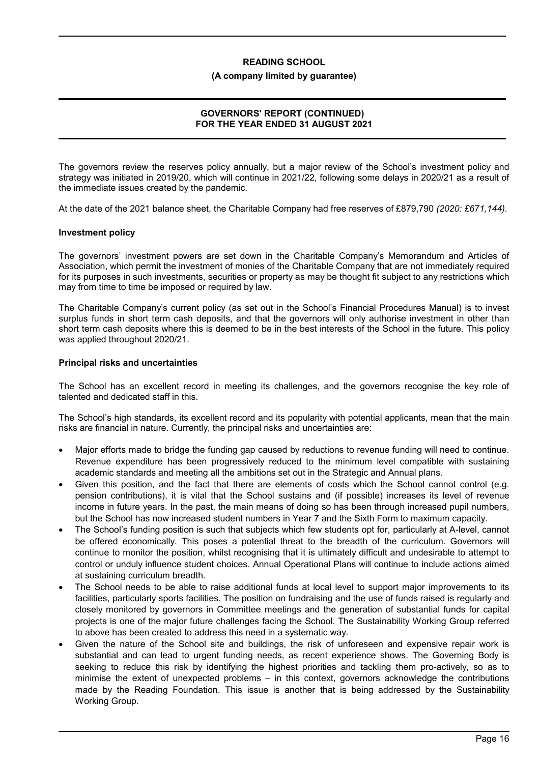### **(A company limited by guarantee)**

# **GOVERNORS' REPORT (CONTINUED) FOR THE YEAR ENDED 31 AUGUST 2021**

The governors review the reserves policy annually, but a major review of the School's investment policy and strategy was initiated in 2019/20, which will continue in 2021/22, following some delays in 2020/21 as a result of the immediate issues created by the pandemic.

At the date of the 2021 balance sheet, the Charitable Company had free reserves of £879,790 *(2020: £671,144).*

### **Investment policy**

The governors' investment powers are set down in the Charitable Company's Memorandum and Articles of Association, which permit the investment of monies of the Charitable Company that are not immediately required for its purposes in such investments, securities or property as may be thought fit subject to any restrictions which may from time to time be imposed or required by law.

The Charitable Company's current policy (as set out in the School's Financial Procedures Manual) is to invest surplus funds in short term cash deposits, and that the governors will only authorise investment in other than short term cash deposits where this is deemed to be in the best interests of the School in the future. This policy was applied throughout 2020/21.

### **Principal risks and uncertainties**

The School has an excellent record in meeting its challenges, and the governors recognise the key role of talented and dedicated staff in this.

The School's high standards, its excellent record and its popularity with potential applicants, mean that the main risks are financial in nature. Currently, the principal risks and uncertainties are:

- Major efforts made to bridge the funding gap caused by reductions to revenue funding will need to continue. Revenue expenditure has been progressively reduced to the minimum level compatible with sustaining academic standards and meeting all the ambitions set out in the Strategic and Annual plans.
- Given this position, and the fact that there are elements of costs which the School cannot control (e.g. pension contributions), it is vital that the School sustains and (if possible) increases its level of revenue income in future years. In the past, the main means of doing so has been through increased pupil numbers, but the School has now increased student numbers in Year 7 and the Sixth Form to maximum capacity.
- The School's funding position is such that subjects which few students opt for, particularly at A-level, cannot be offered economically. This poses a potential threat to the breadth of the curriculum. Governors will continue to monitor the position, whilst recognising that it is ultimately difficult and undesirable to attempt to control or unduly influence student choices. Annual Operational Plans will continue to include actions aimed at sustaining curriculum breadth.
- The School needs to be able to raise additional funds at local level to support major improvements to its facilities, particularly sports facilities. The position on fundraising and the use of funds raised is regularly and closely monitored by governors in Committee meetings and the generation of substantial funds for capital projects is one of the major future challenges facing the School. The Sustainability Working Group referred to above has been created to address this need in a systematic way.
- Given the nature of the School site and buildings, the risk of unforeseen and expensive repair work is substantial and can lead to urgent funding needs, as recent experience shows. The Governing Body is seeking to reduce this risk by identifying the highest priorities and tackling them pro-actively, so as to minimise the extent of unexpected problems – in this context, governors acknowledge the contributions made by the Reading Foundation. This issue is another that is being addressed by the Sustainability Working Group.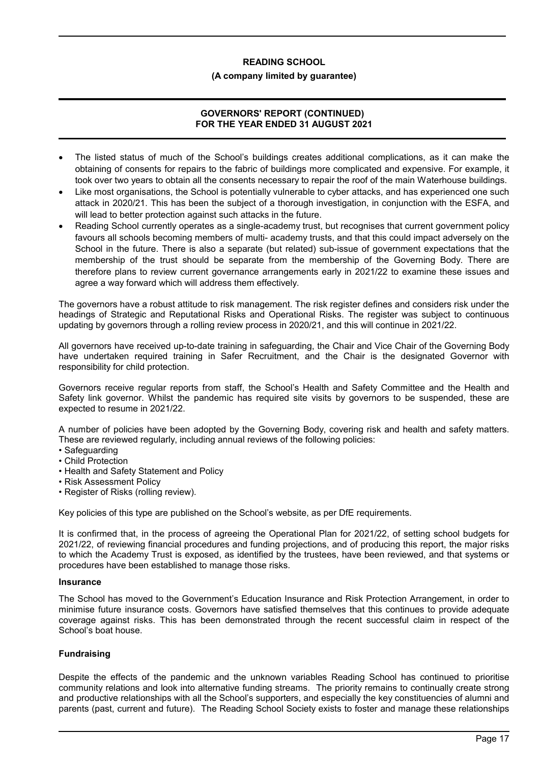### **(A company limited by guarantee)**

# **GOVERNORS' REPORT (CONTINUED) FOR THE YEAR ENDED 31 AUGUST 2021**

- The listed status of much of the School's buildings creates additional complications, as it can make the obtaining of consents for repairs to the fabric of buildings more complicated and expensive. For example, it took over two years to obtain all the consents necessary to repair the roof of the main Waterhouse buildings.
- Like most organisations, the School is potentially vulnerable to cyber attacks, and has experienced one such attack in 2020/21. This has been the subject of a thorough investigation, in conjunction with the ESFA, and will lead to better protection against such attacks in the future.
- Reading School currently operates as a single-academy trust, but recognises that current government policy favours all schools becoming members of multi- academy trusts, and that this could impact adversely on the School in the future. There is also a separate (but related) sub-issue of government expectations that the membership of the trust should be separate from the membership of the Governing Body. There are therefore plans to review current governance arrangements early in 2021/22 to examine these issues and agree a way forward which will address them effectively.

The governors have a robust attitude to risk management. The risk register defines and considers risk under the headings of Strategic and Reputational Risks and Operational Risks. The register was subject to continuous updating by governors through a rolling review process in 2020/21, and this will continue in 2021/22.

All governors have received up-to-date training in safeguarding, the Chair and Vice Chair of the Governing Body have undertaken required training in Safer Recruitment, and the Chair is the designated Governor with responsibility for child protection.

Governors receive regular reports from staff, the School's Health and Safety Committee and the Health and Safety link governor. Whilst the pandemic has required site visits by governors to be suspended, these are expected to resume in 2021/22.

A number of policies have been adopted by the Governing Body, covering risk and health and safety matters. These are reviewed regularly, including annual reviews of the following policies:

- Safeguarding
- Child Protection
- Health and Safety Statement and Policy
- Risk Assessment Policy
- Register of Risks (rolling review).

Key policies of this type are published on the School's website, as per DfE requirements.

It is confirmed that, in the process of agreeing the Operational Plan for 2021/22, of setting school budgets for 2021/22, of reviewing financial procedures and funding projections, and of producing this report, the major risks to which the Academy Trust is exposed, as identified by the trustees, have been reviewed, and that systems or procedures have been established to manage those risks.

### **Insurance**

The School has moved to the Government's Education Insurance and Risk Protection Arrangement, in order to minimise future insurance costs. Governors have satisfied themselves that this continues to provide adequate coverage against risks. This has been demonstrated through the recent successful claim in respect of the School's boat house.

# **Fundraising**

Despite the effects of the pandemic and the unknown variables Reading School has continued to prioritise community relations and look into alternative funding streams. The priority remains to continually create strong and productive relationships with all the School's supporters, and especially the key constituencies of alumni and parents (past, current and future). The Reading School Society exists to foster and manage these relationships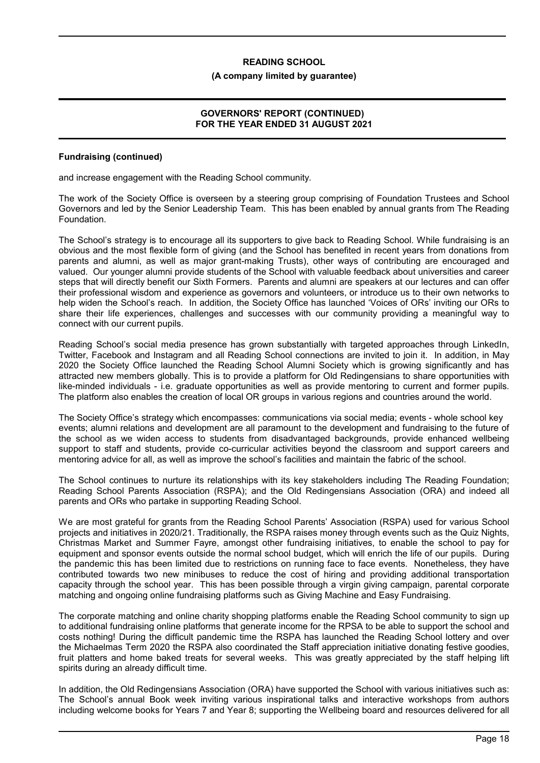#### **(A company limited by guarantee)**

### **GOVERNORS' REPORT (CONTINUED) FOR THE YEAR ENDED 31 AUGUST 2021**

### **Fundraising (continued)**

and increase engagement with the Reading School community.

The work of the Society Office is overseen by a steering group comprising of Foundation Trustees and School Governors and led by the Senior Leadership Team. This has been enabled by annual grants from The Reading Foundation.

The School's strategy is to encourage all its supporters to give back to Reading School. While fundraising is an obvious and the most flexible form of giving (and the School has benefited in recent years from donations from parents and alumni, as well as major grant-making Trusts), other ways of contributing are encouraged and valued. Our younger alumni provide students of the School with valuable feedback about universities and career steps that will directly benefit our Sixth Formers. Parents and alumni are speakers at our lectures and can offer their professional wisdom and experience as governors and volunteers, or introduce us to their own networks to help widen the School's reach. In addition, the Society Office has launched 'Voices of ORs' inviting our ORs to share their life experiences, challenges and successes with our community providing a meaningful way to connect with our current pupils.

Reading School's social media presence has grown substantially with targeted approaches through LinkedIn, Twitter, Facebook and Instagram and all Reading School connections are invited to join it. In addition, in May 2020 the Society Office launched the Reading School Alumni Society which is growing significantly and has attracted new members globally. This is to provide a platform for Old Redingensians to share opportunities with like-minded individuals - i.e. graduate opportunities as well as provide mentoring to current and former pupils. The platform also enables the creation of local OR groups in various regions and countries around the world.

The Society Office's strategy which encompasses: communications via social media; events - whole school key events; alumni relations and development are all paramount to the development and fundraising to the future of the school as we widen access to students from disadvantaged backgrounds, provide enhanced wellbeing support to staff and students, provide co-curricular activities beyond the classroom and support careers and mentoring advice for all, as well as improve the school's facilities and maintain the fabric of the school.

The School continues to nurture its relationships with its key stakeholders including The Reading Foundation; Reading School Parents Association (RSPA); and the Old Redingensians Association (ORA) and indeed all parents and ORs who partake in supporting Reading School.

We are most grateful for grants from the Reading School Parents' Association (RSPA) used for various School projects and initiatives in 2020/21. Traditionally, the RSPA raises money through events such as the Quiz Nights, Christmas Market and Summer Fayre, amongst other fundraising initiatives, to enable the school to pay for equipment and sponsor events outside the normal school budget, which will enrich the life of our pupils. During the pandemic this has been limited due to restrictions on running face to face events. Nonetheless, they have contributed towards two new minibuses to reduce the cost of hiring and providing additional transportation capacity through the school year. This has been possible through a virgin giving campaign, parental corporate matching and ongoing online fundraising platforms such as Giving Machine and Easy Fundraising.

The corporate matching and online charity shopping platforms enable the Reading School community to sign up to additional fundraising online platforms that generate income for the RPSA to be able to support the school and costs nothing! During the difficult pandemic time the RSPA has launched the Reading School lottery and over the Michaelmas Term 2020 the RSPA also coordinated the Staff appreciation initiative donating festive goodies, fruit platters and home baked treats for several weeks. This was greatly appreciated by the staff helping lift spirits during an already difficult time.

In addition, the Old Redingensians Association (ORA) have supported the School with various initiatives such as: The School's annual Book week inviting various inspirational talks and interactive workshops from authors including welcome books for Years 7 and Year 8; supporting the Wellbeing board and resources delivered for all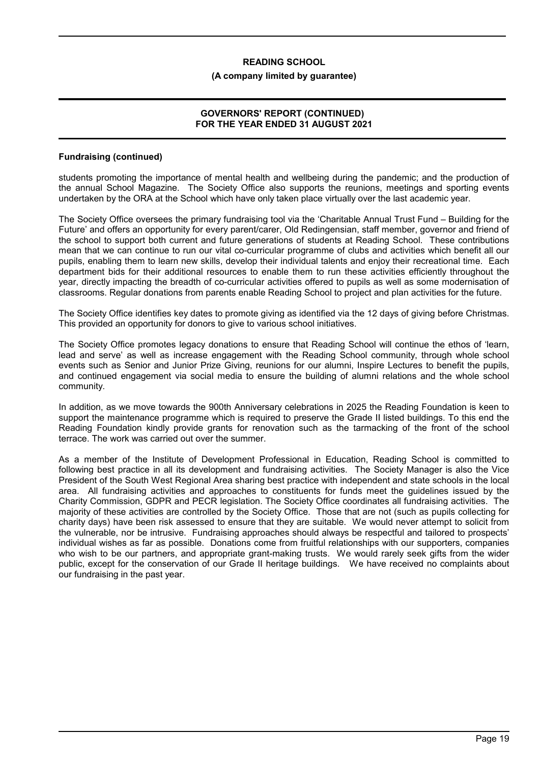#### **(A company limited by guarantee)**

### **GOVERNORS' REPORT (CONTINUED) FOR THE YEAR ENDED 31 AUGUST 2021**

### **Fundraising (continued)**

students promoting the importance of mental health and wellbeing during the pandemic; and the production of the annual School Magazine. The Society Office also supports the reunions, meetings and sporting events undertaken by the ORA at the School which have only taken place virtually over the last academic year.

The Society Office oversees the primary fundraising tool via the 'Charitable Annual Trust Fund – Building for the Future' and offers an opportunity for every parent/carer, Old Redingensian, staff member, governor and friend of the school to support both current and future generations of students at Reading School. These contributions mean that we can continue to run our vital co-curricular programme of clubs and activities which benefit all our pupils, enabling them to learn new skills, develop their individual talents and enjoy their recreational time. Each department bids for their additional resources to enable them to run these activities efficiently throughout the year, directly impacting the breadth of co-curricular activities offered to pupils as well as some modernisation of classrooms. Regular donations from parents enable Reading School to project and plan activities for the future.

The Society Office identifies key dates to promote giving as identified via the 12 days of giving before Christmas. This provided an opportunity for donors to give to various school initiatives.

The Society Office promotes legacy donations to ensure that Reading School will continue the ethos of 'learn, lead and serve' as well as increase engagement with the Reading School community, through whole school events such as Senior and Junior Prize Giving, reunions for our alumni, Inspire Lectures to benefit the pupils, and continued engagement via social media to ensure the building of alumni relations and the whole school community.

In addition, as we move towards the 900th Anniversary celebrations in 2025 the Reading Foundation is keen to support the maintenance programme which is required to preserve the Grade II listed buildings. To this end the Reading Foundation kindly provide grants for renovation such as the tarmacking of the front of the school terrace. The work was carried out over the summer.

As a member of the Institute of Development Professional in Education, Reading School is committed to following best practice in all its development and fundraising activities. The Society Manager is also the Vice President of the South West Regional Area sharing best practice with independent and state schools in the local area. All fundraising activities and approaches to constituents for funds meet the guidelines issued by the Charity Commission, GDPR and PECR legislation. The Society Office coordinates all fundraising activities. The majority of these activities are controlled by the Society Office. Those that are not (such as pupils collecting for charity days) have been risk assessed to ensure that they are suitable. We would never attempt to solicit from the vulnerable, nor be intrusive. Fundraising approaches should always be respectful and tailored to prospects' individual wishes as far as possible. Donations come from fruitful relationships with our supporters, companies who wish to be our partners, and appropriate grant-making trusts. We would rarely seek gifts from the wider public, except for the conservation of our Grade II heritage buildings. We have received no complaints about our fundraising in the past year.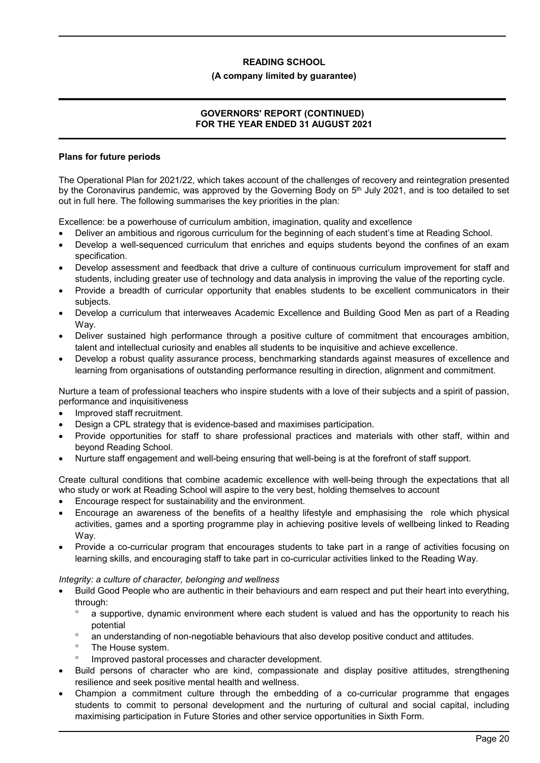### **(A company limited by guarantee)**

# **GOVERNORS' REPORT (CONTINUED) FOR THE YEAR ENDED 31 AUGUST 2021**

### **Plans for future periods**

The Operational Plan for 2021/22, which takes account of the challenges of recovery and reintegration presented by the Coronavirus pandemic, was approved by the Governing Body on 5<sup>th</sup> July 2021, and is too detailed to set out in full here. The following summarises the key priorities in the plan:

Excellence: be a powerhouse of curriculum ambition, imagination, quality and excellence

- Deliver an ambitious and rigorous curriculum for the beginning of each student's time at Reading School.
- Develop a well-sequenced curriculum that enriches and equips students beyond the confines of an exam specification.
- Develop assessment and feedback that drive a culture of continuous curriculum improvement for staff and students, including greater use of technology and data analysis in improving the value of the reporting cycle.
- Provide a breadth of curricular opportunity that enables students to be excellent communicators in their subjects.
- Develop a curriculum that interweaves Academic Excellence and Building Good Men as part of a Reading Way.
- Deliver sustained high performance through a positive culture of commitment that encourages ambition, talent and intellectual curiosity and enables all students to be inquisitive and achieve excellence.
- Develop a robust quality assurance process, benchmarking standards against measures of excellence and learning from organisations of outstanding performance resulting in direction, alignment and commitment.

Nurture a team of professional teachers who inspire students with a love of their subjects and a spirit of passion, performance and inquisitiveness

- Improved staff recruitment.
- Design a CPL strategy that is evidence-based and maximises participation.
- Provide opportunities for staff to share professional practices and materials with other staff, within and beyond Reading School.
- Nurture staff engagement and well-being ensuring that well-being is at the forefront of staff support.

Create cultural conditions that combine academic excellence with well-being through the expectations that all who study or work at Reading School will aspire to the very best, holding themselves to account

- Encourage respect for sustainability and the environment.
- Encourage an awareness of the benefits of a healthy lifestyle and emphasising the role which physical activities, games and a sporting programme play in achieving positive levels of wellbeing linked to Reading Way.
- Provide a co-curricular program that encourages students to take part in a range of activities focusing on learning skills, and encouraging staff to take part in co-curricular activities linked to the Reading Way.

# *Integrity: a culture of character, belonging and wellness*

- Build Good People who are authentic in their behaviours and earn respect and put their heart into everything, through:
	- <sup>o</sup> a supportive, dynamic environment where each student is valued and has the opportunity to reach his potential
	- an understanding of non-negotiable behaviours that also develop positive conduct and attitudes.
	- The House system.
	- <sup>o</sup> Improved pastoral processes and character development.
- Build persons of character who are kind, compassionate and display positive attitudes, strengthening resilience and seek positive mental health and wellness.
- Champion a commitment culture through the embedding of a co-curricular programme that engages students to commit to personal development and the nurturing of cultural and social capital, including maximising participation in Future Stories and other service opportunities in Sixth Form.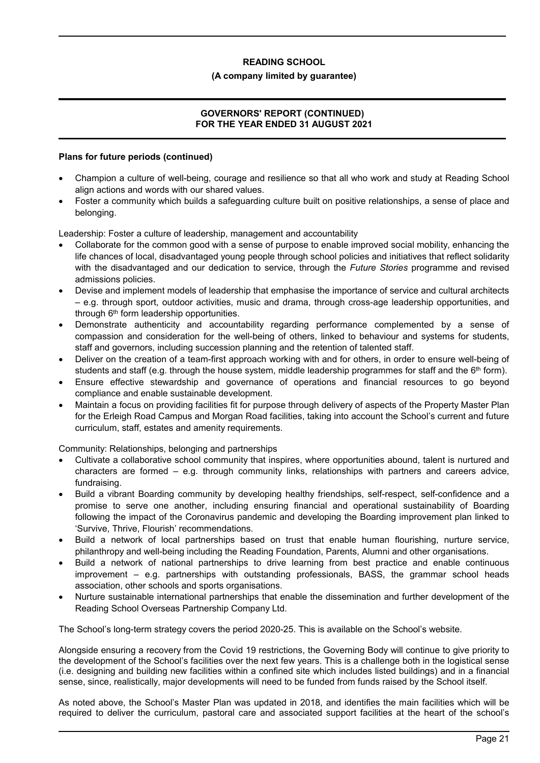### **(A company limited by guarantee)**

# **GOVERNORS' REPORT (CONTINUED) FOR THE YEAR ENDED 31 AUGUST 2021**

### **Plans for future periods (continued)**

- Champion a culture of well-being, courage and resilience so that all who work and study at Reading School align actions and words with our shared values.
- Foster a community which builds a safeguarding culture built on positive relationships, a sense of place and belonging.

Leadership: Foster a culture of leadership, management and accountability

- Collaborate for the common good with a sense of purpose to enable improved social mobility, enhancing the life chances of local, disadvantaged young people through school policies and initiatives that reflect solidarity with the disadvantaged and our dedication to service, through the *Future Stories* programme and revised admissions policies.
- Devise and implement models of leadership that emphasise the importance of service and cultural architects – e.g. through sport, outdoor activities, music and drama, through cross-age leadership opportunities, and through 6<sup>th</sup> form leadership opportunities.
- Demonstrate authenticity and accountability regarding performance complemented by a sense of compassion and consideration for the well-being of others, linked to behaviour and systems for students, staff and governors, including succession planning and the retention of talented staff.
- Deliver on the creation of a team-first approach working with and for others, in order to ensure well-being of students and staff (e.g. through the house system, middle leadership programmes for staff and the  $6<sup>th</sup>$  form).
- Ensure effective stewardship and governance of operations and financial resources to go beyond compliance and enable sustainable development.
- Maintain a focus on providing facilities fit for purpose through delivery of aspects of the Property Master Plan for the Erleigh Road Campus and Morgan Road facilities, taking into account the School's current and future curriculum, staff, estates and amenity requirements.

Community: Relationships, belonging and partnerships

- Cultivate a collaborative school community that inspires, where opportunities abound, talent is nurtured and characters are formed – e.g. through community links, relationships with partners and careers advice, fundraising.
- Build a vibrant Boarding community by developing healthy friendships, self-respect, self-confidence and a promise to serve one another, including ensuring financial and operational sustainability of Boarding following the impact of the Coronavirus pandemic and developing the Boarding improvement plan linked to 'Survive, Thrive, Flourish' recommendations.
- Build a network of local partnerships based on trust that enable human flourishing, nurture service, philanthropy and well-being including the Reading Foundation, Parents, Alumni and other organisations.
- Build a network of national partnerships to drive learning from best practice and enable continuous improvement – e.g. partnerships with outstanding professionals, BASS, the grammar school heads association, other schools and sports organisations.
- Nurture sustainable international partnerships that enable the dissemination and further development of the Reading School Overseas Partnership Company Ltd.

The School's long-term strategy covers the period 2020-25. This is available on the School's website.

Alongside ensuring a recovery from the Covid 19 restrictions, the Governing Body will continue to give priority to the development of the School's facilities over the next few years. This is a challenge both in the logistical sense (i.e. designing and building new facilities within a confined site which includes listed buildings) and in a financial sense, since, realistically, major developments will need to be funded from funds raised by the School itself.

As noted above, the School's Master Plan was updated in 2018, and identifies the main facilities which will be required to deliver the curriculum, pastoral care and associated support facilities at the heart of the school's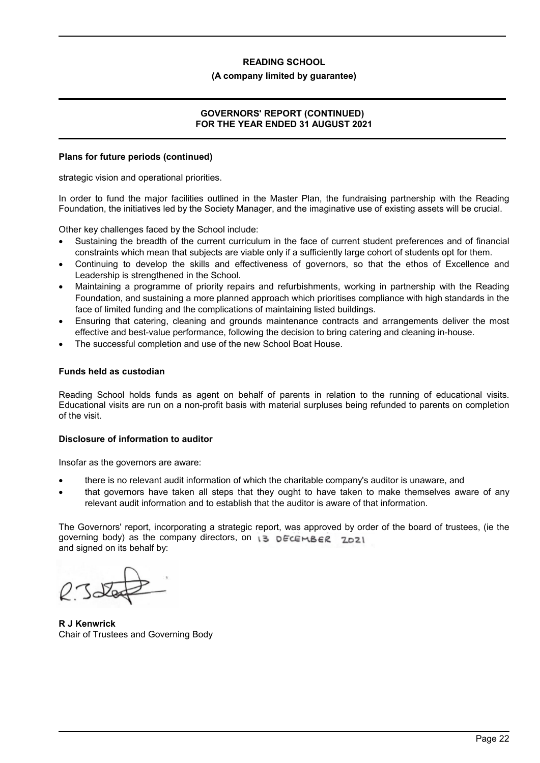### **(A company limited by guarantee)**

### **GOVERNORS' REPORT (CONTINUED) FOR THE YEAR ENDED 31 AUGUST 2021**

### **Plans for future periods (continued)**

strategic vision and operational priorities.

In order to fund the major facilities outlined in the Master Plan, the fundraising partnership with the Reading Foundation, the initiatives led by the Society Manager, and the imaginative use of existing assets will be crucial.

Other key challenges faced by the School include:

- Sustaining the breadth of the current curriculum in the face of current student preferences and of financial constraints which mean that subjects are viable only if a sufficiently large cohort of students opt for them.
- Continuing to develop the skills and effectiveness of governors, so that the ethos of Excellence and Leadership is strengthened in the School.
- Maintaining a programme of priority repairs and refurbishments, working in partnership with the Reading Foundation, and sustaining a more planned approach which prioritises compliance with high standards in the face of limited funding and the complications of maintaining listed buildings.
- Ensuring that catering, cleaning and grounds maintenance contracts and arrangements deliver the most effective and best-value performance, following the decision to bring catering and cleaning in-house.
- The successful completion and use of the new School Boat House.

### **Funds held as custodian**

Reading School holds funds as agent on behalf of parents in relation to the running of educational visits. Educational visits are run on a non-profit basis with material surpluses being refunded to parents on completion of the visit.

### **Disclosure of information to auditor**

Insofar as the governors are aware:

- there is no relevant audit information of which the charitable company's auditor is unaware, and
- that governors have taken all steps that they ought to have taken to make themselves aware of any relevant audit information and to establish that the auditor is aware of that information.

The Governors' report, incorporating a strategic report, was approved by order of the board of trustees, (ie the governing body) as the company directors, on  $\overline{13}$  DECEMBER ZDZ1 and signed on its behalf by:

**R J Kenwrick** Chair of Trustees and Governing Body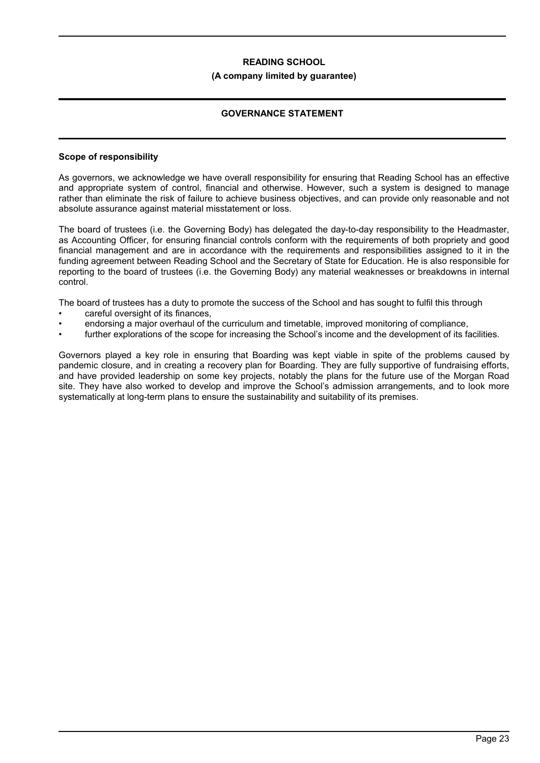### **(A company limited by guarantee)**

# **GOVERNANCE STATEMENT**

### **Scope of responsibility**

As governors, we acknowledge we have overall responsibility for ensuring that Reading School has an effective and appropriate system of control, financial and otherwise. However, such a system is designed to manage rather than eliminate the risk of failure to achieve business objectives, and can provide only reasonable and not absolute assurance against material misstatement or loss.

The board of trustees (i.e. the Governing Body) has delegated the day-to-day responsibility to the Headmaster, as Accounting Officer, for ensuring financial controls conform with the requirements of both propriety and good financial management and are in accordance with the requirements and responsibilities assigned to it in the funding agreement between Reading School and the Secretary of State for Education. He is also responsible for reporting to the board of trustees (i.e. the Governing Body) any material weaknesses or breakdowns in internal control.

The board of trustees has a duty to promote the success of the School and has sought to fulfil this through

- careful oversight of its finances.
- endorsing a major overhaul of the curriculum and timetable, improved monitoring of compliance,
- further explorations of the scope for increasing the School's income and the development of its facilities.

Governors played a key role in ensuring that Boarding was kept viable in spite of the problems caused by pandemic closure, and in creating a recovery plan for Boarding. They are fully supportive of fundraising efforts, and have provided leadership on some key projects, notably the plans for the future use of the Morgan Road site. They have also worked to develop and improve the School's admission arrangements, and to look more systematically at long-term plans to ensure the sustainability and suitability of its premises.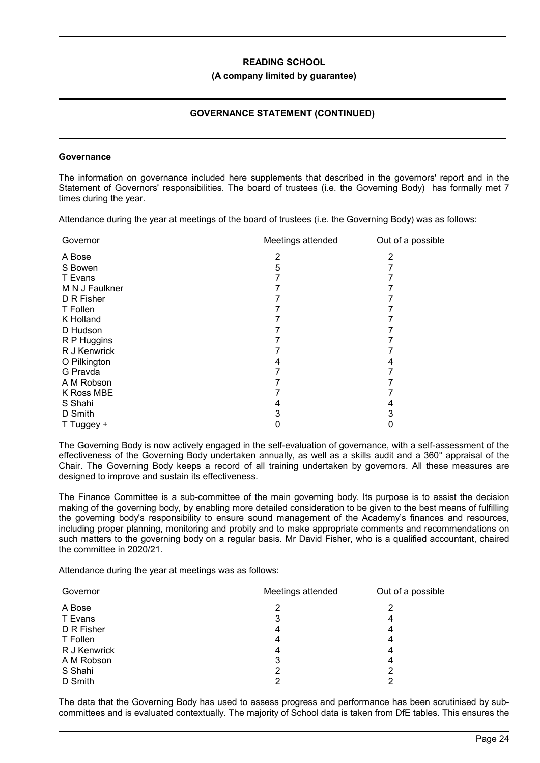#### **(A company limited by guarantee)**

# **GOVERNANCE STATEMENT (CONTINUED)**

#### **Governance**

The information on governance included here supplements that described in the governors' report and in the Statement of Governors' responsibilities. The board of trustees (i.e. the Governing Body) has formally met 7 times during the year.

Attendance during the year at meetings of the board of trustees (i.e. the Governing Body) was as follows:

| Governor       | Meetings attended | Out of a possible |
|----------------|-------------------|-------------------|
| A Bose         |                   |                   |
| S Bowen        | 5                 |                   |
| T Evans        |                   |                   |
| M N J Faulkner |                   |                   |
| D R Fisher     |                   |                   |
| T Follen       |                   |                   |
| K Holland      |                   |                   |
| D Hudson       |                   |                   |
| R P Huggins    |                   |                   |
| R J Kenwrick   |                   |                   |
| O Pilkington   |                   |                   |
| G Pravda       |                   |                   |
| A M Robson     |                   |                   |
| K Ross MBE     |                   |                   |
| S Shahi        |                   |                   |
| D Smith        |                   | 3                 |
| T Tuggey +     |                   |                   |

The Governing Body is now actively engaged in the self-evaluation of governance, with a self-assessment of the effectiveness of the Governing Body undertaken annually, as well as a skills audit and a 360° appraisal of the Chair. The Governing Body keeps a record of all training undertaken by governors. All these measures are designed to improve and sustain its effectiveness.

The Finance Committee is a sub-committee of the main governing body. Its purpose is to assist the decision making of the governing body, by enabling more detailed consideration to be given to the best means of fulfilling the governing body's responsibility to ensure sound management of the Academy's finances and resources, including proper planning, monitoring and probity and to make appropriate comments and recommendations on such matters to the governing body on a regular basis. Mr David Fisher, who is a qualified accountant, chaired the committee in 2020/21.

Attendance during the year at meetings was as follows:

| Governor     | Meetings attended | Out of a possible |
|--------------|-------------------|-------------------|
| A Bose       | 2                 | 2                 |
| T Evans      | 3                 | 4                 |
| D R Fisher   | 4                 | 4                 |
| T Follen     | 4                 | 4                 |
| R J Kenwrick | 4                 | 4                 |
| A M Robson   | 3                 | 4                 |
| S Shahi      | 2                 | 2                 |
| D Smith      | っ                 | າ                 |

The data that the Governing Body has used to assess progress and performance has been scrutinised by subcommittees and is evaluated contextually. The majority of School data is taken from DfE tables. This ensures the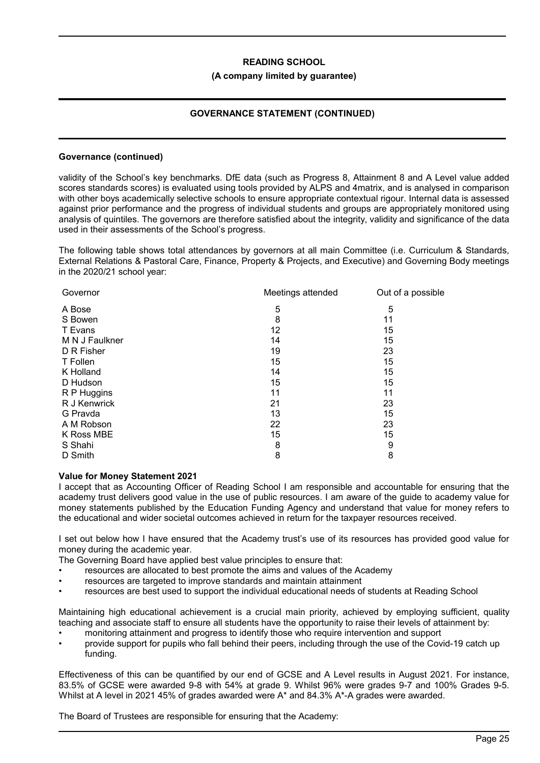### **(A company limited by guarantee)**

# **GOVERNANCE STATEMENT (CONTINUED)**

### **Governance (continued)**

validity of the School's key benchmarks. DfE data (such as Progress 8, Attainment 8 and A Level value added scores standards scores) is evaluated using tools provided by ALPS and 4matrix, and is analysed in comparison with other boys academically selective schools to ensure appropriate contextual rigour. Internal data is assessed against prior performance and the progress of individual students and groups are appropriately monitored using analysis of quintiles. The governors are therefore satisfied about the integrity, validity and significance of the data used in their assessments of the School's progress.

The following table shows total attendances by governors at all main Committee (i.e. Curriculum & Standards, External Relations & Pastoral Care, Finance, Property & Projects, and Executive) and Governing Body meetings in the 2020/21 school year:

| Governor       | Meetings attended | Out of a possible |
|----------------|-------------------|-------------------|
| A Bose         | 5                 | 5                 |
| S Bowen        | 8                 | 11                |
| T Evans        | 12                | 15                |
| M N J Faulkner | 14                | 15                |
| D R Fisher     | 19                | 23                |
| T Follen       | 15                | 15                |
| K Holland      | 14                | 15                |
| D Hudson       | 15                | 15                |
| R P Huggins    | 11                | 11                |
| R J Kenwrick   | 21                | 23                |
| G Pravda       | 13                | 15                |
| A M Robson     | 22                | 23                |
| K Ross MBE     | 15                | 15                |
| S Shahi        | 8                 | 9                 |
| D Smith        | 8                 | 8                 |

### **Value for Money Statement 2021**

I accept that as Accounting Officer of Reading School I am responsible and accountable for ensuring that the academy trust delivers good value in the use of public resources. I am aware of the guide to academy value for money statements published by the Education Funding Agency and understand that value for money refers to the educational and wider societal outcomes achieved in return for the taxpayer resources received.

I set out below how I have ensured that the Academy trust's use of its resources has provided good value for money during the academic year.

The Governing Board have applied best value principles to ensure that:

- resources are allocated to best promote the aims and values of the Academy
- resources are targeted to improve standards and maintain attainment
- resources are best used to support the individual educational needs of students at Reading School

Maintaining high educational achievement is a crucial main priority, achieved by employing sufficient, quality teaching and associate staff to ensure all students have the opportunity to raise their levels of attainment by:

- monitoring attainment and progress to identify those who require intervention and support
- provide support for pupils who fall behind their peers, including through the use of the Covid-19 catch up funding.

Effectiveness of this can be quantified by our end of GCSE and A Level results in August 2021. For instance, 83.5% of GCSE were awarded 9-8 with 54% at grade 9. Whilst 96% were grades 9-7 and 100% Grades 9-5. Whilst at A level in 2021 45% of grades awarded were A\* and 84.3% A\*-A grades were awarded.

The Board of Trustees are responsible for ensuring that the Academy: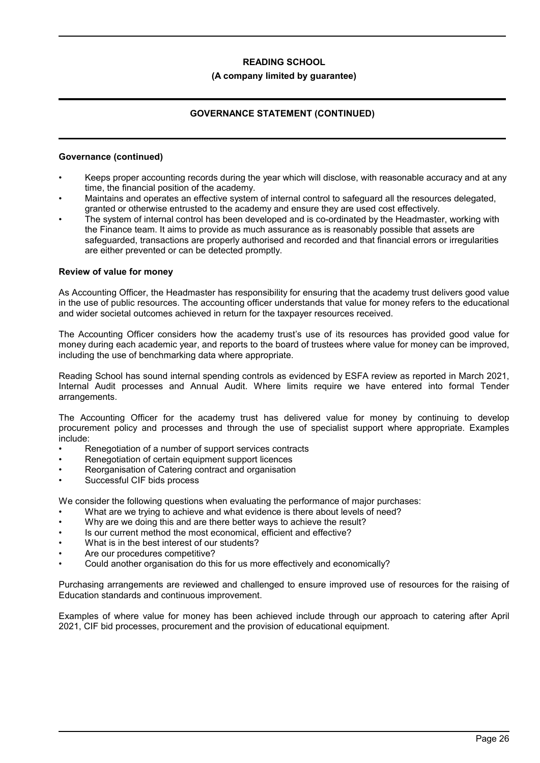### **(A company limited by guarantee)**

# **GOVERNANCE STATEMENT (CONTINUED)**

### **Governance (continued)**

- Keeps proper accounting records during the year which will disclose, with reasonable accuracy and at any time, the financial position of the academy.
- Maintains and operates an effective system of internal control to safeguard all the resources delegated, granted or otherwise entrusted to the academy and ensure they are used cost effectively.
- The system of internal control has been developed and is co-ordinated by the Headmaster, working with the Finance team. It aims to provide as much assurance as is reasonably possible that assets are safeguarded, transactions are properly authorised and recorded and that financial errors or irregularities are either prevented or can be detected promptly.

### **Review of value for money**

As Accounting Officer, the Headmaster has responsibility for ensuring that the academy trust delivers good value in the use of public resources. The accounting officer understands that value for money refers to the educational and wider societal outcomes achieved in return for the taxpayer resources received.

The Accounting Officer considers how the academy trust's use of its resources has provided good value for money during each academic year, and reports to the board of trustees where value for money can be improved, including the use of benchmarking data where appropriate.

Reading School has sound internal spending controls as evidenced by ESFA review as reported in March 2021, Internal Audit processes and Annual Audit. Where limits require we have entered into formal Tender arrangements.

The Accounting Officer for the academy trust has delivered value for money by continuing to develop procurement policy and processes and through the use of specialist support where appropriate. Examples include:

- Renegotiation of a number of support services contracts
- Renegotiation of certain equipment support licences
- Reorganisation of Catering contract and organisation
- Successful CIF bids process

We consider the following questions when evaluating the performance of major purchases:

- What are we trying to achieve and what evidence is there about levels of need?
- Why are we doing this and are there better ways to achieve the result?
- Is our current method the most economical, efficient and effective?
- What is in the best interest of our students?
- Are our procedures competitive?
- Could another organisation do this for us more effectively and economically?

Purchasing arrangements are reviewed and challenged to ensure improved use of resources for the raising of Education standards and continuous improvement.

Examples of where value for money has been achieved include through our approach to catering after April 2021, CIF bid processes, procurement and the provision of educational equipment.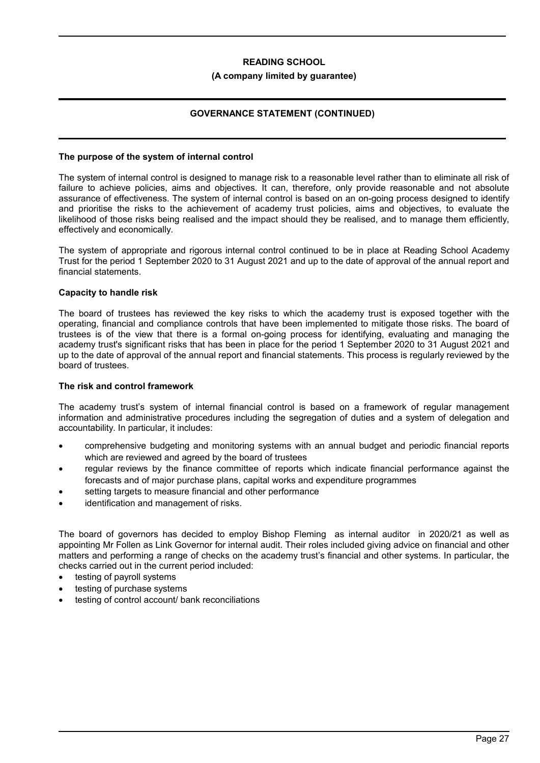### **(A company limited by guarantee)**

# **GOVERNANCE STATEMENT (CONTINUED)**

### **The purpose of the system of internal control**

The system of internal control is designed to manage risk to a reasonable level rather than to eliminate all risk of failure to achieve policies, aims and objectives. It can, therefore, only provide reasonable and not absolute assurance of effectiveness. The system of internal control is based on an on-going process designed to identify and prioritise the risks to the achievement of academy trust policies, aims and objectives, to evaluate the likelihood of those risks being realised and the impact should they be realised, and to manage them efficiently, effectively and economically.

The system of appropriate and rigorous internal control continued to be in place at Reading School Academy Trust for the period 1 September 2020 to 31 August 2021 and up to the date of approval of the annual report and financial statements.

### **Capacity to handle risk**

The board of trustees has reviewed the key risks to which the academy trust is exposed together with the operating, financial and compliance controls that have been implemented to mitigate those risks. The board of trustees is of the view that there is a formal on-going process for identifying, evaluating and managing the academy trust's significant risks that has been in place for the period 1 September 2020 to 31 August 2021 and up to the date of approval of the annual report and financial statements. This process is regularly reviewed by the board of trustees.

### **The risk and control framework**

The academy trust's system of internal financial control is based on a framework of regular management information and administrative procedures including the segregation of duties and a system of delegation and accountability. In particular, it includes:

- comprehensive budgeting and monitoring systems with an annual budget and periodic financial reports which are reviewed and agreed by the board of trustees
- regular reviews by the finance committee of reports which indicate financial performance against the forecasts and of major purchase plans, capital works and expenditure programmes
- setting targets to measure financial and other performance
- identification and management of risks.

The board of governors has decided to employ Bishop Fleming as internal auditor in 2020/21 as well as appointing Mr Follen as Link Governor for internal audit. Their roles included giving advice on financial and other matters and performing a range of checks on the academy trust's financial and other systems. In particular, the checks carried out in the current period included:

- testing of payroll systems
- testing of purchase systems
- testing of control account/ bank reconciliations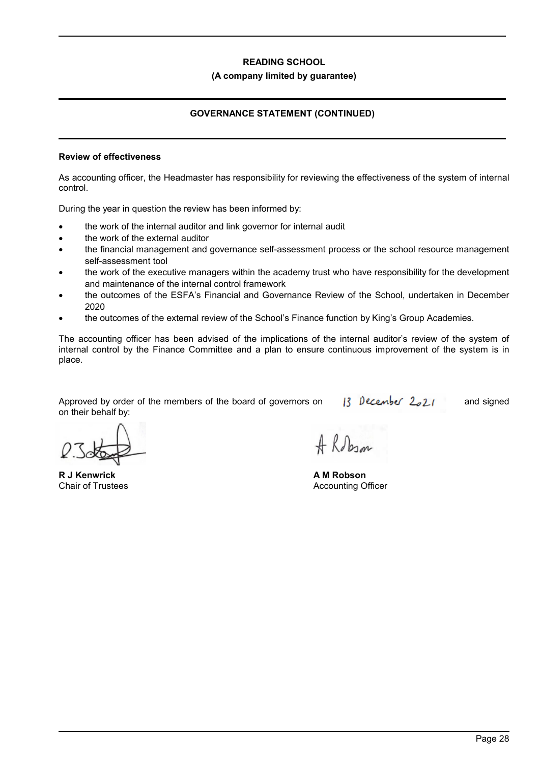### **(A company limited by guarantee)**

# **GOVERNANCE STATEMENT (CONTINUED)**

### **Review of effectiveness**

As accounting officer, the Headmaster has responsibility for reviewing the effectiveness of the system of internal control.

During the year in question the review has been informed by:

- the work of the internal auditor and link governor for internal audit
- the work of the external auditor
- the financial management and governance self-assessment process or the school resource management self-assessment tool
- the work of the executive managers within the academy trust who have responsibility for the development and maintenance of the internal control framework
- the outcomes of the ESFA's Financial and Governance Review of the School, undertaken in December 2020
- the outcomes of the external review of the School's Finance function by King's Group Academies.

The accounting officer has been advised of the implications of the internal auditor's review of the system of internal control by the Finance Committee and a plan to ensure continuous improvement of the system is in place.

Approved by order of the members of the board of governors on  $\frac{13}{13}$  December  $2.21$  and signed on their behalf by:

**R J Kenwrick** Chair of Trustees

Robin

**A M Robson**  Accounting Officer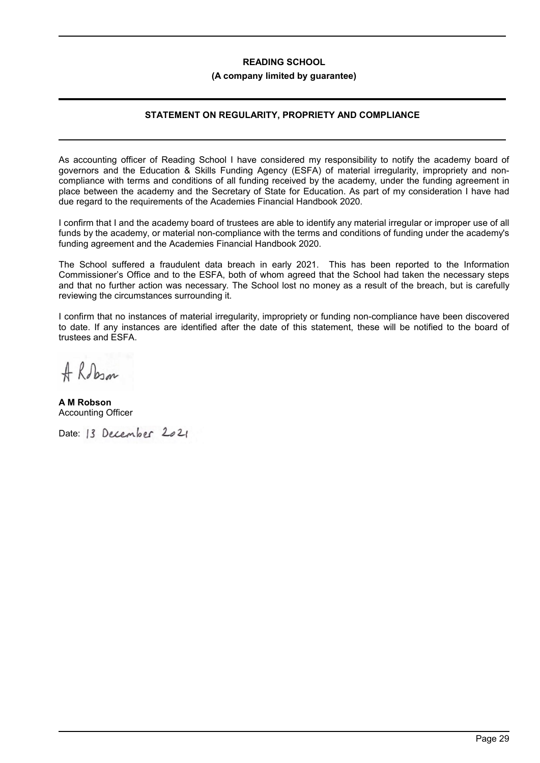### **(A company limited by guarantee)**

# **STATEMENT ON REGULARITY, PROPRIETY AND COMPLIANCE**

As accounting officer of Reading School I have considered my responsibility to notify the academy board of governors and the Education & Skills Funding Agency (ESFA) of material irregularity, impropriety and noncompliance with terms and conditions of all funding received by the academy, under the funding agreement in place between the academy and the Secretary of State for Education. As part of my consideration I have had due regard to the requirements of the Academies Financial Handbook 2020.

I confirm that I and the academy board of trustees are able to identify any material irregular or improper use of all funds by the academy, or material non-compliance with the terms and conditions of funding under the academy's funding agreement and the Academies Financial Handbook 2020.

The School suffered a fraudulent data breach in early 2021. This has been reported to the Information Commissioner's Office and to the ESFA, both of whom agreed that the School had taken the necessary steps and that no further action was necessary. The School lost no money as a result of the breach, but is carefully reviewing the circumstances surrounding it.

I confirm that no instances of material irregularity, impropriety or funding non-compliance have been discovered to date. If any instances are identified after the date of this statement, these will be notified to the board of trustees and ESFA.

A Robin

**A M Robson**  Accounting Officer

Date: 13 December 2021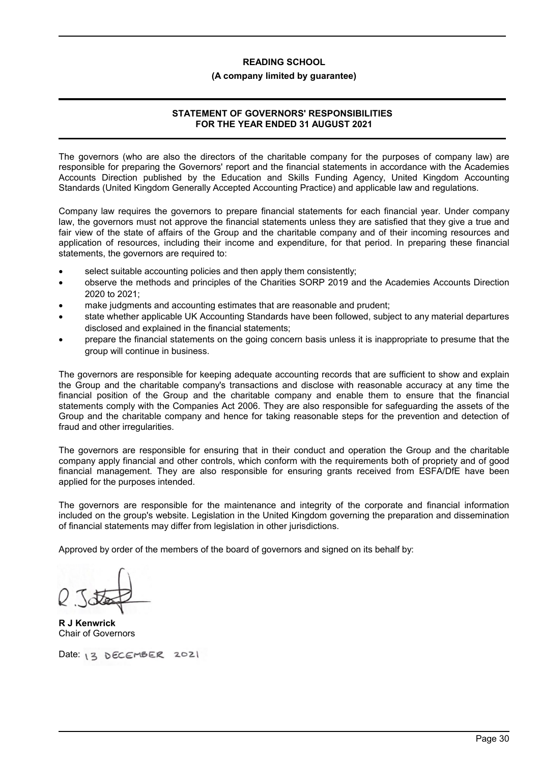#### **(A company limited by guarantee)**

# **STATEMENT OF GOVERNORS' RESPONSIBILITIES FOR THE YEAR ENDED 31 AUGUST 2021**

The governors (who are also the directors of the charitable company for the purposes of company law) are responsible for preparing the Governors' report and the financial statements in accordance with the Academies Accounts Direction published by the Education and Skills Funding Agency, United Kingdom Accounting Standards (United Kingdom Generally Accepted Accounting Practice) and applicable law and regulations.

Company law requires the governors to prepare financial statements for each financial year. Under company law, the governors must not approve the financial statements unless they are satisfied that they give a true and fair view of the state of affairs of the Group and the charitable company and of their incoming resources and application of resources, including their income and expenditure, for that period. In preparing these financial statements, the governors are required to:

- select suitable accounting policies and then apply them consistently;
- observe the methods and principles of the Charities SORP 2019 and the Academies Accounts Direction 2020 to 2021;
- make judgments and accounting estimates that are reasonable and prudent;
- state whether applicable UK Accounting Standards have been followed, subject to any material departures disclosed and explained in the financial statements;
- prepare the financial statements on the going concern basis unless it is inappropriate to presume that the group will continue in business.

The governors are responsible for keeping adequate accounting records that are sufficient to show and explain the Group and the charitable company's transactions and disclose with reasonable accuracy at any time the financial position of the Group and the charitable company and enable them to ensure that the financial statements comply with the Companies Act 2006. They are also responsible for safeguarding the assets of the Group and the charitable company and hence for taking reasonable steps for the prevention and detection of fraud and other irregularities.

The governors are responsible for ensuring that in their conduct and operation the Group and the charitable company apply financial and other controls, which conform with the requirements both of propriety and of good financial management. They are also responsible for ensuring grants received from ESFA/DfE have been applied for the purposes intended.

The governors are responsible for the maintenance and integrity of the corporate and financial information included on the group's website. Legislation in the United Kingdom governing the preparation and dissemination of financial statements may differ from legislation in other jurisdictions.

Approved by order of the members of the board of governors and signed on its behalf by:

**R J Kenwrick** Chair of Governors

Date: 13 DECEMBER 2021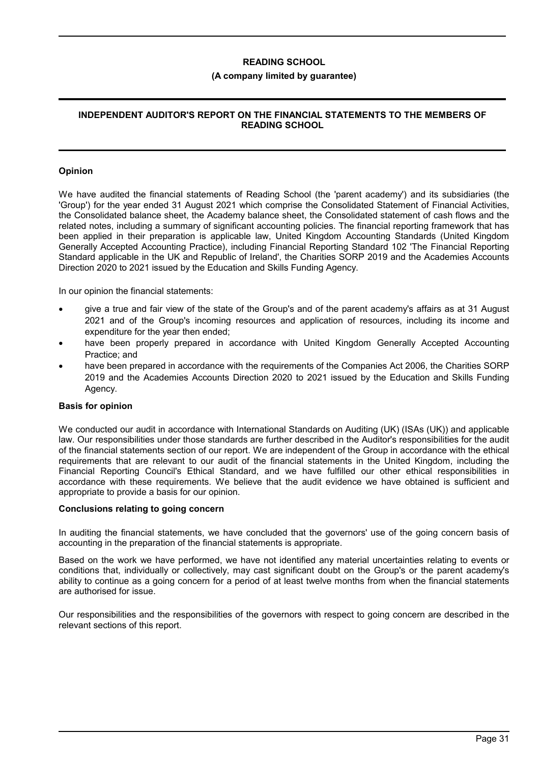### **(A company limited by guarantee)**

# **INDEPENDENT AUDITOR'S REPORT ON THE FINANCIAL STATEMENTS TO THE MEMBERS OF READING SCHOOL**

### **Opinion**

We have audited the financial statements of Reading School (the 'parent academy') and its subsidiaries (the 'Group') for the year ended 31 August 2021 which comprise the Consolidated Statement of Financial Activities, the Consolidated balance sheet, the Academy balance sheet, the Consolidated statement of cash flows and the related notes, including a summary of significant accounting policies. The financial reporting framework that has been applied in their preparation is applicable law, United Kingdom Accounting Standards (United Kingdom Generally Accepted Accounting Practice), including Financial Reporting Standard 102 'The Financial Reporting Standard applicable in the UK and Republic of Ireland', the Charities SORP 2019 and the Academies Accounts Direction 2020 to 2021 issued by the Education and Skills Funding Agency.

In our opinion the financial statements:

- give a true and fair view of the state of the Group's and of the parent academy's affairs as at 31 August 2021 and of the Group's incoming resources and application of resources, including its income and expenditure for the year then ended;
- have been properly prepared in accordance with United Kingdom Generally Accepted Accounting Practice; and
- have been prepared in accordance with the requirements of the Companies Act 2006, the Charities SORP 2019 and the Academies Accounts Direction 2020 to 2021 issued by the Education and Skills Funding Agency.

### **Basis for opinion**

We conducted our audit in accordance with International Standards on Auditing (UK) (ISAs (UK)) and applicable law. Our responsibilities under those standards are further described in the Auditor's responsibilities for the audit of the financial statements section of our report. We are independent of the Group in accordance with the ethical requirements that are relevant to our audit of the financial statements in the United Kingdom, including the Financial Reporting Council's Ethical Standard, and we have fulfilled our other ethical responsibilities in accordance with these requirements. We believe that the audit evidence we have obtained is sufficient and appropriate to provide a basis for our opinion.

### **Conclusions relating to going concern**

In auditing the financial statements, we have concluded that the governors' use of the going concern basis of accounting in the preparation of the financial statements is appropriate.

Based on the work we have performed, we have not identified any material uncertainties relating to events or conditions that, individually or collectively, may cast significant doubt on the Group's or the parent academy's ability to continue as a going concern for a period of at least twelve months from when the financial statements are authorised for issue.

Our responsibilities and the responsibilities of the governors with respect to going concern are described in the relevant sections of this report.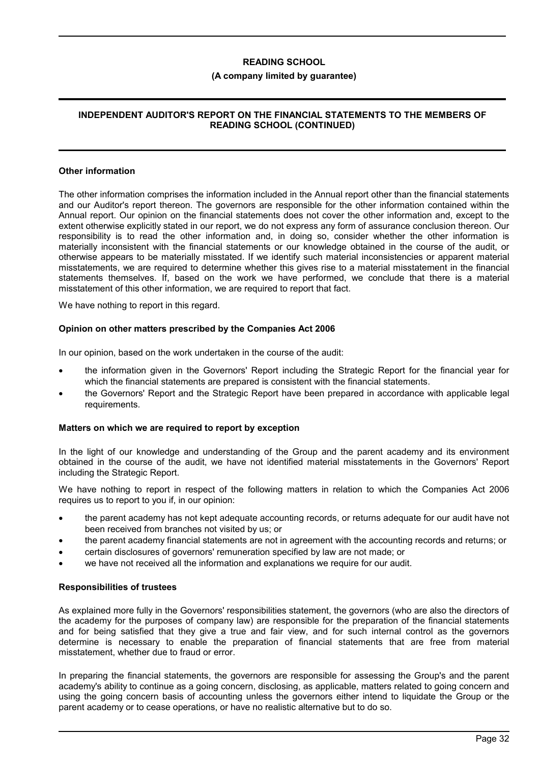### **(A company limited by guarantee)**

# **INDEPENDENT AUDITOR'S REPORT ON THE FINANCIAL STATEMENTS TO THE MEMBERS OF READING SCHOOL (CONTINUED)**

### **Other information**

The other information comprises the information included in the Annual report other than the financial statements and our Auditor's report thereon. The governors are responsible for the other information contained within the Annual report. Our opinion on the financial statements does not cover the other information and, except to the extent otherwise explicitly stated in our report, we do not express any form of assurance conclusion thereon. Our responsibility is to read the other information and, in doing so, consider whether the other information is materially inconsistent with the financial statements or our knowledge obtained in the course of the audit, or otherwise appears to be materially misstated. If we identify such material inconsistencies or apparent material misstatements, we are required to determine whether this gives rise to a material misstatement in the financial statements themselves. If, based on the work we have performed, we conclude that there is a material misstatement of this other information, we are required to report that fact.

We have nothing to report in this regard.

### **Opinion on other matters prescribed by the Companies Act 2006**

In our opinion, based on the work undertaken in the course of the audit:

- the information given in the Governors' Report including the Strategic Report for the financial year for which the financial statements are prepared is consistent with the financial statements.
- the Governors' Report and the Strategic Report have been prepared in accordance with applicable legal requirements.

### **Matters on which we are required to report by exception**

In the light of our knowledge and understanding of the Group and the parent academy and its environment obtained in the course of the audit, we have not identified material misstatements in the Governors' Report including the Strategic Report.

We have nothing to report in respect of the following matters in relation to which the Companies Act 2006 requires us to report to you if, in our opinion:

- the parent academy has not kept adequate accounting records, or returns adequate for our audit have not been received from branches not visited by us; or
- the parent academy financial statements are not in agreement with the accounting records and returns; or
- certain disclosures of governors' remuneration specified by law are not made; or
- we have not received all the information and explanations we require for our audit.

### **Responsibilities of trustees**

As explained more fully in the Governors' responsibilities statement, the governors (who are also the directors of the academy for the purposes of company law) are responsible for the preparation of the financial statements and for being satisfied that they give a true and fair view, and for such internal control as the governors determine is necessary to enable the preparation of financial statements that are free from material misstatement, whether due to fraud or error.

In preparing the financial statements, the governors are responsible for assessing the Group's and the parent academy's ability to continue as a going concern, disclosing, as applicable, matters related to going concern and using the going concern basis of accounting unless the governors either intend to liquidate the Group or the parent academy or to cease operations, or have no realistic alternative but to do so.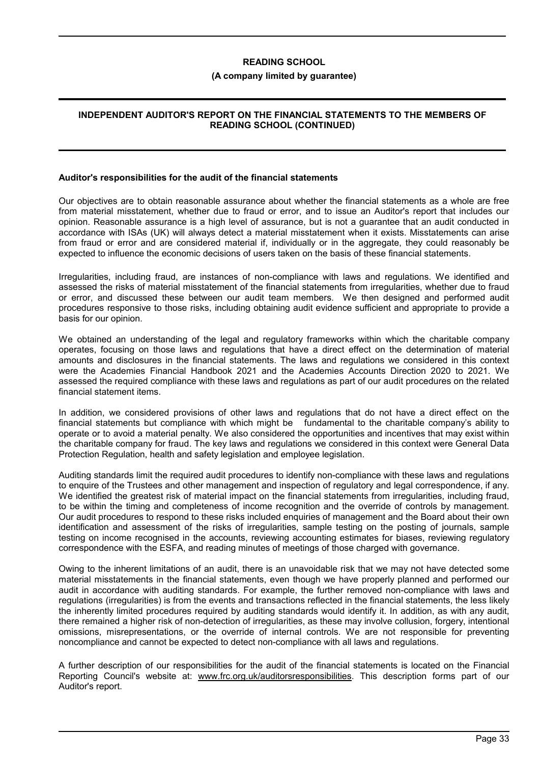### **(A company limited by guarantee)**

### **INDEPENDENT AUDITOR'S REPORT ON THE FINANCIAL STATEMENTS TO THE MEMBERS OF READING SCHOOL (CONTINUED)**

### **Auditor's responsibilities for the audit of the financial statements**

Our objectives are to obtain reasonable assurance about whether the financial statements as a whole are free from material misstatement, whether due to fraud or error, and to issue an Auditor's report that includes our opinion. Reasonable assurance is a high level of assurance, but is not a guarantee that an audit conducted in accordance with ISAs (UK) will always detect a material misstatement when it exists. Misstatements can arise from fraud or error and are considered material if, individually or in the aggregate, they could reasonably be expected to influence the economic decisions of users taken on the basis of these financial statements.

Irregularities, including fraud, are instances of non-compliance with laws and regulations. We identified and assessed the risks of material misstatement of the financial statements from irregularities, whether due to fraud or error, and discussed these between our audit team members. We then designed and performed audit procedures responsive to those risks, including obtaining audit evidence sufficient and appropriate to provide a basis for our opinion.

We obtained an understanding of the legal and regulatory frameworks within which the charitable company operates, focusing on those laws and regulations that have a direct effect on the determination of material amounts and disclosures in the financial statements. The laws and regulations we considered in this context were the Academies Financial Handbook 2021 and the Academies Accounts Direction 2020 to 2021. We assessed the required compliance with these laws and regulations as part of our audit procedures on the related financial statement items.

In addition, we considered provisions of other laws and regulations that do not have a direct effect on the financial statements but compliance with which might be fundamental to the charitable company's ability to operate or to avoid a material penalty. We also considered the opportunities and incentives that may exist within the charitable company for fraud. The key laws and regulations we considered in this context were General Data Protection Regulation, health and safety legislation and employee legislation.

Auditing standards limit the required audit procedures to identify non-compliance with these laws and regulations to enquire of the Trustees and other management and inspection of regulatory and legal correspondence, if any. We identified the greatest risk of material impact on the financial statements from irregularities, including fraud, to be within the timing and completeness of income recognition and the override of controls by management. Our audit procedures to respond to these risks included enquiries of management and the Board about their own identification and assessment of the risks of irregularities, sample testing on the posting of journals, sample testing on income recognised in the accounts, reviewing accounting estimates for biases, reviewing regulatory correspondence with the ESFA, and reading minutes of meetings of those charged with governance.

Owing to the inherent limitations of an audit, there is an unavoidable risk that we may not have detected some material misstatements in the financial statements, even though we have properly planned and performed our audit in accordance with auditing standards. For example, the further removed non-compliance with laws and regulations (irregularities) is from the events and transactions reflected in the financial statements, the less likely the inherently limited procedures required by auditing standards would identify it. In addition, as with any audit, there remained a higher risk of non-detection of irregularities, as these may involve collusion, forgery, intentional omissions, misrepresentations, or the override of internal controls. We are not responsible for preventing noncompliance and cannot be expected to detect non-compliance with all laws and regulations.

A further description of our responsibilities for the audit of the financial statements is located on the Financial Reporting Council's website at: www.frc.org.uk/auditorsresponsibilities. This description forms part of our Auditor's report.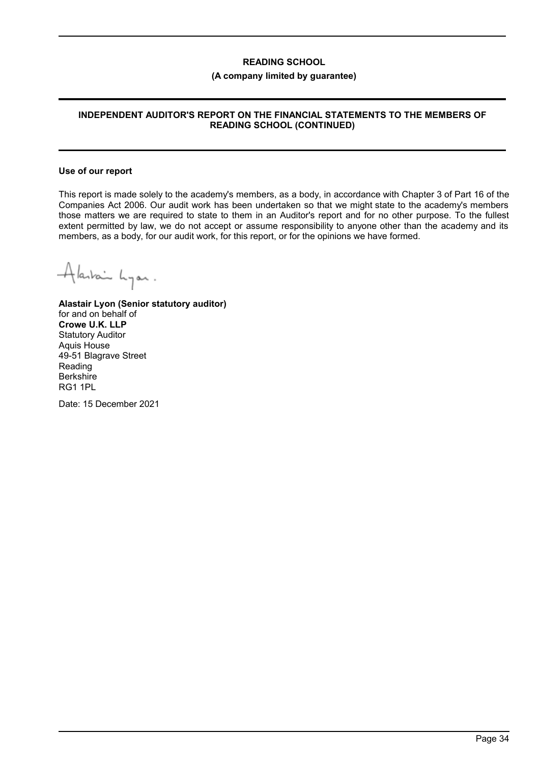### **(A company limited by guarantee)**

# **INDEPENDENT AUDITOR'S REPORT ON THE FINANCIAL STATEMENTS TO THE MEMBERS OF READING SCHOOL (CONTINUED)**

#### **Use of our report**

This report is made solely to the academy's members, as a body, in accordance with Chapter 3 of Part 16 of the Companies Act 2006. Our audit work has been undertaken so that we might state to the academy's members those matters we are required to state to them in an Auditor's report and for no other purpose. To the fullest extent permitted by law, we do not accept or assume responsibility to anyone other than the academy and its members, as a body, for our audit work, for this report, or for the opinions we have formed.

Alaskain Lyon.

**Alastair Lyon (Senior statutory auditor)** for and on behalf of **Crowe U.K. LLP** Statutory Auditor Aquis House 49-51 Blagrave Street Reading **Berkshire** RG1 1PL

Date: 15 December 2021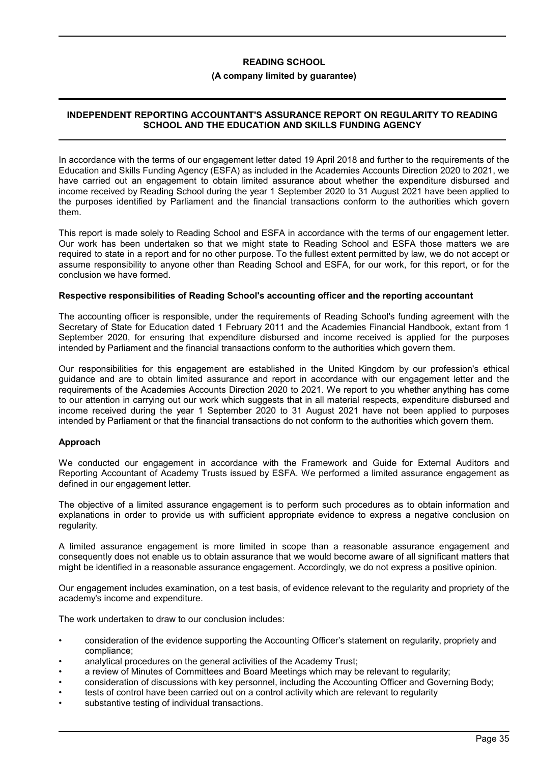### **(A company limited by guarantee)**

## **INDEPENDENT REPORTING ACCOUNTANT'S ASSURANCE REPORT ON REGULARITY TO READING SCHOOL AND THE EDUCATION AND SKILLS FUNDING AGENCY**

In accordance with the terms of our engagement letter dated 19 April 2018 and further to the requirements of the Education and Skills Funding Agency (ESFA) as included in the Academies Accounts Direction 2020 to 2021, we have carried out an engagement to obtain limited assurance about whether the expenditure disbursed and income received by Reading School during the year 1 September 2020 to 31 August 2021 have been applied to the purposes identified by Parliament and the financial transactions conform to the authorities which govern them.

This report is made solely to Reading School and ESFA in accordance with the terms of our engagement letter. Our work has been undertaken so that we might state to Reading School and ESFA those matters we are required to state in a report and for no other purpose. To the fullest extent permitted by law, we do not accept or assume responsibility to anyone other than Reading School and ESFA, for our work, for this report, or for the conclusion we have formed.

### **Respective responsibilities of Reading School's accounting officer and the reporting accountant**

The accounting officer is responsible, under the requirements of Reading School's funding agreement with the Secretary of State for Education dated 1 February 2011 and the Academies Financial Handbook, extant from 1 September 2020, for ensuring that expenditure disbursed and income received is applied for the purposes intended by Parliament and the financial transactions conform to the authorities which govern them.

Our responsibilities for this engagement are established in the United Kingdom by our profession's ethical guidance and are to obtain limited assurance and report in accordance with our engagement letter and the requirements of the Academies Accounts Direction 2020 to 2021. We report to you whether anything has come to our attention in carrying out our work which suggests that in all material respects, expenditure disbursed and income received during the year 1 September 2020 to 31 August 2021 have not been applied to purposes intended by Parliament or that the financial transactions do not conform to the authorities which govern them.

### **Approach**

We conducted our engagement in accordance with the Framework and Guide for External Auditors and Reporting Accountant of Academy Trusts issued by ESFA. We performed a limited assurance engagement as defined in our engagement letter.

The objective of a limited assurance engagement is to perform such procedures as to obtain information and explanations in order to provide us with sufficient appropriate evidence to express a negative conclusion on regularity.

A limited assurance engagement is more limited in scope than a reasonable assurance engagement and consequently does not enable us to obtain assurance that we would become aware of all significant matters that might be identified in a reasonable assurance engagement. Accordingly, we do not express a positive opinion.

Our engagement includes examination, on a test basis, of evidence relevant to the regularity and propriety of the academy's income and expenditure.

The work undertaken to draw to our conclusion includes:

- consideration of the evidence supporting the Accounting Officer's statement on regularity, propriety and compliance;
- analytical procedures on the general activities of the Academy Trust;
- a review of Minutes of Committees and Board Meetings which may be relevant to regularity;
- consideration of discussions with key personnel, including the Accounting Officer and Governing Body;
- tests of control have been carried out on a control activity which are relevant to regularity
- substantive testing of individual transactions.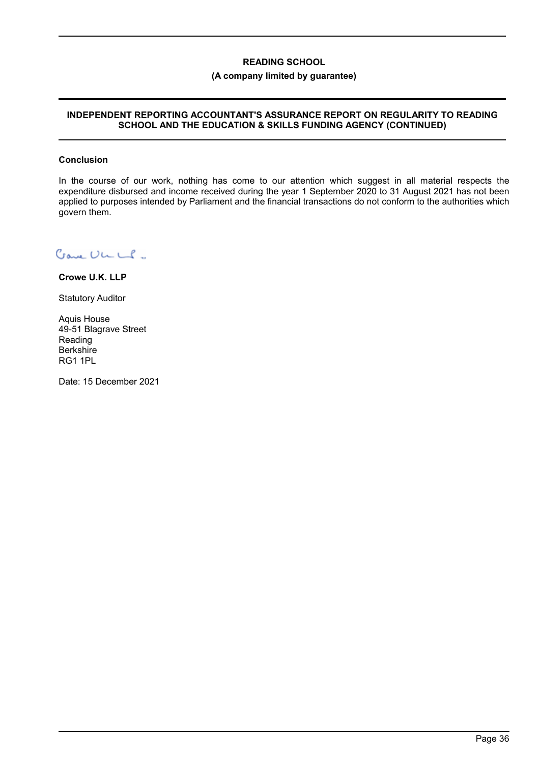## **(A company limited by guarantee)**

## **INDEPENDENT REPORTING ACCOUNTANT'S ASSURANCE REPORT ON REGULARITY TO READING SCHOOL AND THE EDUCATION & SKILLS FUNDING AGENCY (CONTINUED)**

### **Conclusion**

In the course of our work, nothing has come to our attention which suggest in all material respects the expenditure disbursed and income received during the year 1 September 2020 to 31 August 2021 has not been applied to purposes intended by Parliament and the financial transactions do not conform to the authorities which govern them.

Cave ULLS.

**Crowe U.K. LLP**

Statutory Auditor

Aquis House 49-51 Blagrave Street Reading **Berkshire** RG1 1PL

Date: 15 December 2021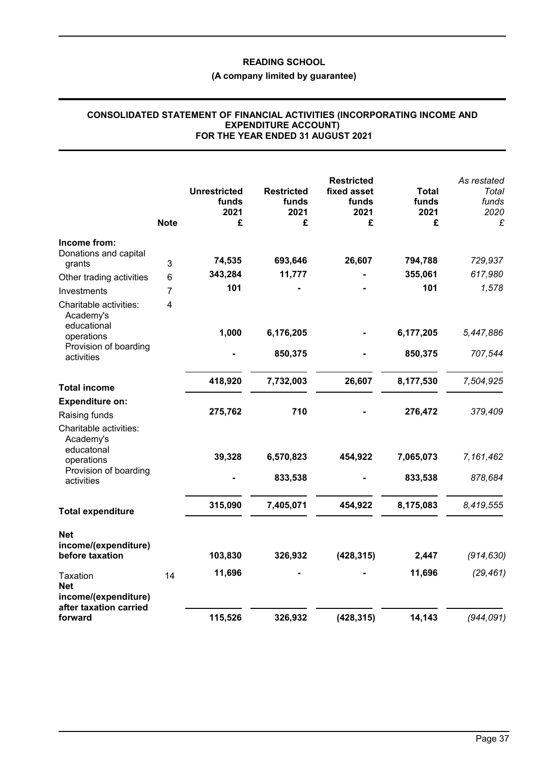# **(A company limited by guarantee)**

# **CONSOLIDATED STATEMENT OF FINANCIAL ACTIVITIES (INCORPORATING INCOME AND EXPENDITURE ACCOUNT) FOR THE YEAR ENDED 31 AUGUST 2021**

|                                                                                 | <b>Note</b> | <b>Unrestricted</b><br>funds<br>2021<br>£ | <b>Restricted</b><br>funds<br>2021<br>£ | <b>Restricted</b><br>fixed asset<br>funds<br>2021<br>£ | <b>Total</b><br>funds<br>2021<br>£ | As restated<br>Total<br>funds<br>2020<br>£ |
|---------------------------------------------------------------------------------|-------------|-------------------------------------------|-----------------------------------------|--------------------------------------------------------|------------------------------------|--------------------------------------------|
| Income from:                                                                    |             |                                           |                                         |                                                        |                                    |                                            |
| Donations and capital<br>grants                                                 | 3           | 74,535                                    | 693,646                                 | 26,607                                                 | 794,788                            | 729,937                                    |
| Other trading activities                                                        | 6           | 343,284                                   | 11,777                                  |                                                        | 355,061                            | 617,980                                    |
| Investments                                                                     | 7           | 101                                       |                                         |                                                        | 101                                | 1,578                                      |
| Charitable activities:<br>Academy's                                             | 4           |                                           |                                         |                                                        |                                    |                                            |
| educational<br>operations                                                       |             | 1,000                                     | 6,176,205                               |                                                        | 6,177,205                          | 5,447,886                                  |
| Provision of boarding<br>activities                                             |             |                                           | 850,375                                 |                                                        | 850,375                            | 707,544                                    |
| <b>Total income</b>                                                             |             | 418,920                                   | 7,732,003                               | 26,607                                                 | 8,177,530                          | 7,504,925                                  |
| <b>Expenditure on:</b>                                                          |             |                                           |                                         |                                                        |                                    |                                            |
| Raising funds                                                                   |             | 275,762                                   | 710                                     |                                                        | 276,472                            | 379,409                                    |
| Charitable activities:<br>Academy's<br>educatonal                               |             |                                           |                                         |                                                        |                                    |                                            |
| operations                                                                      |             | 39,328                                    | 6,570,823                               | 454,922                                                | 7,065,073                          | 7,161,462                                  |
| Provision of boarding<br>activities                                             |             |                                           | 833,538                                 |                                                        | 833,538                            | 878,684                                    |
| <b>Total expenditure</b>                                                        |             | 315,090                                   | 7,405,071                               | 454,922                                                | 8,175,083                          | 8,419,555                                  |
| <b>Net</b><br>income/(expenditure)                                              |             |                                           |                                         |                                                        |                                    |                                            |
| before taxation                                                                 |             | 103,830                                   | 326,932                                 | (428, 315)                                             | 2,447                              | (914, 630)                                 |
| <b>Taxation</b><br><b>Net</b><br>income/(expenditure)<br>after taxation carried | 14          | 11,696                                    |                                         |                                                        | 11,696                             | (29, 461)                                  |
| forward                                                                         |             | 115,526                                   | 326,932                                 | (428, 315)                                             | 14,143                             | (944, 091)                                 |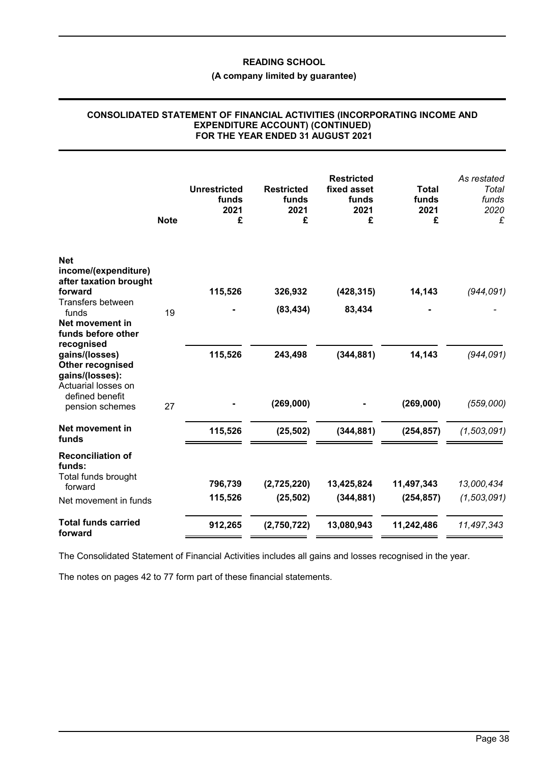# **(A company limited by guarantee)**

#### **CONSOLIDATED STATEMENT OF FINANCIAL ACTIVITIES (INCORPORATING INCOME AND EXPENDITURE ACCOUNT) (CONTINUED) FOR THE YEAR ENDED 31 AUGUST 2021**

|                                                                                            | <b>Note</b> | <b>Unrestricted</b><br>funds<br>2021<br>£ | <b>Restricted</b><br>funds<br>2021<br>£ | <b>Restricted</b><br>fixed asset<br>funds<br>2021<br>£ | <b>Total</b><br>funds<br>2021<br>£ | As restated<br>Total<br>funds<br>2020<br>£ |
|--------------------------------------------------------------------------------------------|-------------|-------------------------------------------|-----------------------------------------|--------------------------------------------------------|------------------------------------|--------------------------------------------|
| <b>Net</b><br>income/(expenditure)<br>after taxation brought<br>forward                    |             | 115,526                                   | 326,932                                 | (428, 315)                                             | 14,143                             | (944, 091)                                 |
| Transfers between<br>funds<br>Net movement in<br>funds before other                        | 19          |                                           | (83, 434)                               | 83,434                                                 |                                    |                                            |
| recognised<br>gains/(losses)<br>Other recognised<br>gains/(losses):<br>Actuarial losses on |             | 115,526                                   | 243,498                                 | (344, 881)                                             | 14,143                             | (944, 091)                                 |
| defined benefit<br>pension schemes                                                         | 27          |                                           | (269,000)                               |                                                        | (269,000)                          | (559,000)                                  |
| Net movement in<br>funds                                                                   |             | 115,526                                   | (25, 502)                               | (344, 881)                                             | (254, 857)                         | (1, 503, 091)                              |
| <b>Reconciliation of</b><br>funds:                                                         |             |                                           |                                         |                                                        |                                    |                                            |
| Total funds brought<br>forward                                                             |             | 796,739                                   | (2,725,220)                             | 13,425,824                                             | 11,497,343                         | 13,000,434                                 |
| Net movement in funds                                                                      |             | 115,526                                   | (25, 502)                               | (344, 881)                                             | (254, 857)                         | (1,503,091)                                |
| <b>Total funds carried</b><br>forward                                                      |             | 912,265                                   | (2,750,722)                             | 13,080,943                                             | 11,242,486                         | 11,497,343                                 |

The Consolidated Statement of Financial Activities includes all gains and losses recognised in the year.

The notes on pages 42 to 77 form part of these financial statements.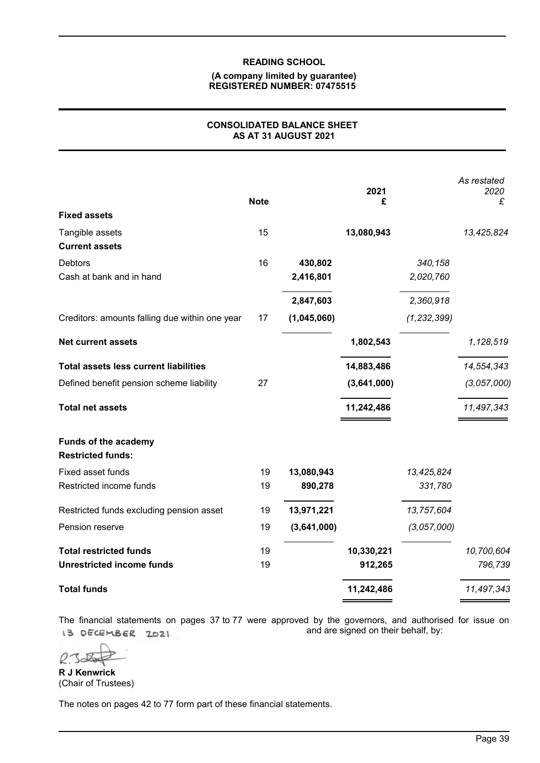## **(A company limited by guarantee) REGISTERED NUMBER: 07475515**

## **CONSOLIDATED BALANCE SHEET AS AT 31 AUGUST 2021**

|                                                         | <b>Note</b> |             | 2021<br>£   |               | As restated<br>2020<br>£ |
|---------------------------------------------------------|-------------|-------------|-------------|---------------|--------------------------|
| <b>Fixed assets</b>                                     |             |             |             |               |                          |
| Tangible assets<br><b>Current assets</b>                | 15          |             | 13,080,943  |               | 13,425,824               |
| <b>Debtors</b>                                          | 16          | 430,802     |             | 340,158       |                          |
| Cash at bank and in hand                                |             | 2,416,801   |             | 2,020,760     |                          |
|                                                         |             | 2,847,603   |             | 2,360,918     |                          |
| Creditors: amounts falling due within one year          | 17          | (1,045,060) |             | (1, 232, 399) |                          |
| <b>Net current assets</b>                               |             |             | 1,802,543   |               | 1,128,519                |
| <b>Total assets less current liabilities</b>            |             |             | 14,883,486  |               | 14,554,343               |
| Defined benefit pension scheme liability                | 27          |             | (3,641,000) |               | (3,057,000)              |
| <b>Total net assets</b>                                 |             |             | 11,242,486  |               | 11,497,343               |
| <b>Funds of the academy</b><br><b>Restricted funds:</b> |             |             |             |               |                          |
| Fixed asset funds                                       | 19          | 13,080,943  |             | 13,425,824    |                          |
| Restricted income funds                                 | 19          | 890,278     |             | 331,780       |                          |
| Restricted funds excluding pension asset                | 19          | 13,971,221  |             | 13,757,604    |                          |
| Pension reserve                                         | 19          | (3,641,000) |             | (3,057,000)   |                          |
| <b>Total restricted funds</b>                           | 19          |             | 10,330,221  |               | 10,700,604               |
| <b>Unrestricted income funds</b>                        | 19          |             | 912,265     |               | 796,739                  |
| <b>Total funds</b>                                      |             |             | 11,242,486  |               | 11,497,343               |

The financial statements on pages 37 to 77 were approved by the governors, and authorised for issue on L3 DECEMBER 2021 and are signed on their behalf, by:

 $\nu$ 

**R J Kenwrick** (Chair of Trustees)

The notes on pages 42 to 77 form part of these financial statements.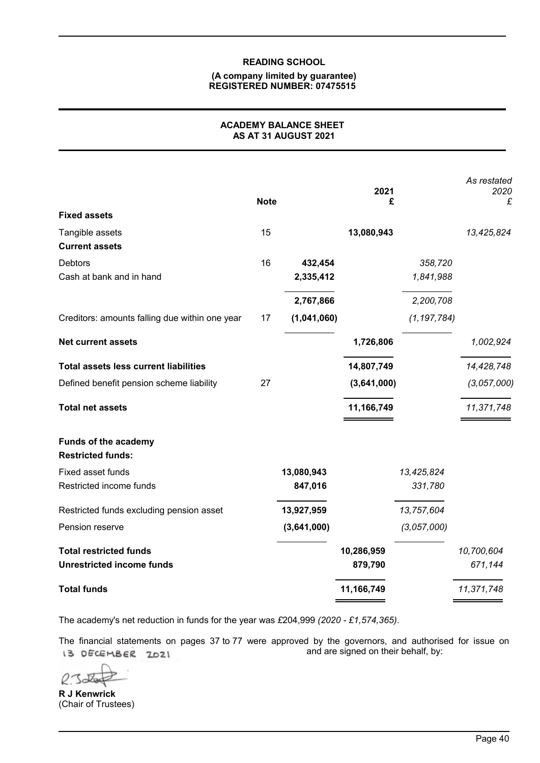### **(A company limited by guarantee) REGISTERED NUMBER: 07475515**

## **ACADEMY BALANCE SHEET AS AT 31 AUGUST 2021**

|                                                  | <b>Note</b> |                      | 2021<br>£   |                      | As restated<br>2020<br>£ |
|--------------------------------------------------|-------------|----------------------|-------------|----------------------|--------------------------|
| <b>Fixed assets</b>                              |             |                      |             |                      |                          |
| Tangible assets<br><b>Current assets</b>         | 15          |                      | 13,080,943  |                      | 13,425,824               |
| Debtors<br>Cash at bank and in hand              | 16          | 432,454<br>2,335,412 |             | 358,720<br>1,841,988 |                          |
|                                                  |             |                      |             |                      |                          |
|                                                  |             | 2,767,866            |             | 2,200,708            |                          |
| Creditors: amounts falling due within one year   | 17          | (1,041,060)          |             | (1, 197, 784)        |                          |
| <b>Net current assets</b>                        |             |                      | 1,726,806   |                      | 1,002,924                |
| <b>Total assets less current liabilities</b>     |             |                      | 14,807,749  |                      | 14,428,748               |
| Defined benefit pension scheme liability         | 27          |                      | (3,641,000) |                      | (3,057,000)              |
| <b>Total net assets</b>                          |             |                      | 11,166,749  |                      | 11,371,748               |
| Funds of the academy<br><b>Restricted funds:</b> |             |                      |             |                      |                          |
| Fixed asset funds                                |             | 13,080,943           |             | 13,425,824           |                          |
| Restricted income funds                          |             | 847,016              |             | 331,780              |                          |
| Restricted funds excluding pension asset         |             | 13,927,959           |             | 13,757,604           |                          |
| Pension reserve                                  |             | (3,641,000)          |             | (3,057,000)          |                          |
| <b>Total restricted funds</b>                    |             |                      | 10,286,959  |                      | 10,700,604               |
| <b>Unrestricted income funds</b>                 |             |                      | 879,790     |                      | 671,144                  |
| <b>Total funds</b>                               |             |                      | 11,166,749  |                      | 11,371,748               |

The academy's net reduction in funds for the year was *£*204,999 *(2020 - £1,574,365)*.

The financial statements on pages 37 to 77 were approved by the governors, and authorised for issue on IS DECEMBER 2021 and are signed on their behalf, by:

**R J Kenwrick** (Chair of Trustees)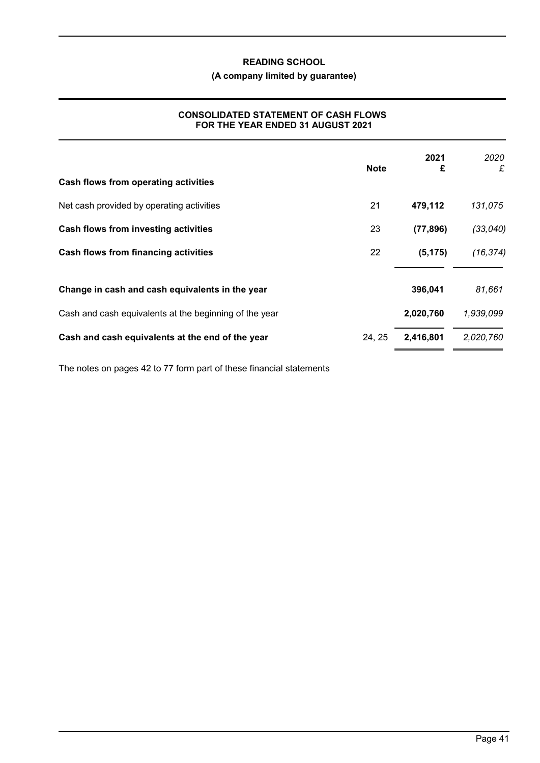## **(A company limited by guarantee)**

## **CONSOLIDATED STATEMENT OF CASH FLOWS FOR THE YEAR ENDED 31 AUGUST 2021**

|                                                        | <b>Note</b> | 2021<br>£ | 2020<br>£ |
|--------------------------------------------------------|-------------|-----------|-----------|
| Cash flows from operating activities                   |             |           |           |
| Net cash provided by operating activities              | 21          | 479,112   | 131,075   |
| Cash flows from investing activities                   | 23          | (77, 896) | (33, 040) |
| Cash flows from financing activities                   | 22          | (5, 175)  | (16, 374) |
| Change in cash and cash equivalents in the year        |             | 396,041   | 81,661    |
| Cash and cash equivalents at the beginning of the year |             | 2,020,760 | 1,939,099 |
| Cash and cash equivalents at the end of the year       | 24, 25      | 2,416,801 | 2,020,760 |

The notes on pages 42 to 77 form part of these financial statements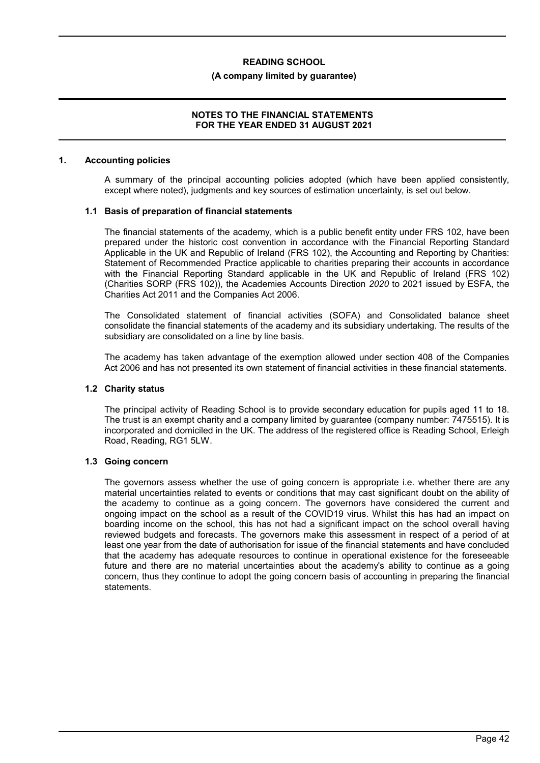### **(A company limited by guarantee)**

### **NOTES TO THE FINANCIAL STATEMENTS FOR THE YEAR ENDED 31 AUGUST 2021**

#### **1. Accounting policies**

A summary of the principal accounting policies adopted (which have been applied consistently, except where noted), judgments and key sources of estimation uncertainty, is set out below.

### **1.1 Basis of preparation of financial statements**

The financial statements of the academy, which is a public benefit entity under FRS 102, have been prepared under the historic cost convention in accordance with the Financial Reporting Standard Applicable in the UK and Republic of Ireland (FRS 102), the Accounting and Reporting by Charities: Statement of Recommended Practice applicable to charities preparing their accounts in accordance with the Financial Reporting Standard applicable in the UK and Republic of Ireland (FRS 102) (Charities SORP (FRS 102)), the Academies Accounts Direction *2020* to 2021 issued by ESFA, the Charities Act 2011 and the Companies Act 2006.

The Consolidated statement of financial activities (SOFA) and Consolidated balance sheet consolidate the financial statements of the academy and its subsidiary undertaking. The results of the subsidiary are consolidated on a line by line basis.

The academy has taken advantage of the exemption allowed under section 408 of the Companies Act 2006 and has not presented its own statement of financial activities in these financial statements.

### **1.2 Charity status**

The principal activity of Reading School is to provide secondary education for pupils aged 11 to 18. The trust is an exempt charity and a company limited by guarantee (company number: 7475515). It is incorporated and domiciled in the UK. The address of the registered office is Reading School, Erleigh Road, Reading, RG1 5LW.

### **1.3 Going concern**

The governors assess whether the use of going concern is appropriate i.e. whether there are any material uncertainties related to events or conditions that may cast significant doubt on the ability of the academy to continue as a going concern. The governors have considered the current and ongoing impact on the school as a result of the COVID19 virus. Whilst this has had an impact on boarding income on the school, this has not had a significant impact on the school overall having reviewed budgets and forecasts. The governors make this assessment in respect of a period of at least one year from the date of authorisation for issue of the financial statements and have concluded that the academy has adequate resources to continue in operational existence for the foreseeable future and there are no material uncertainties about the academy's ability to continue as a going concern, thus they continue to adopt the going concern basis of accounting in preparing the financial statements.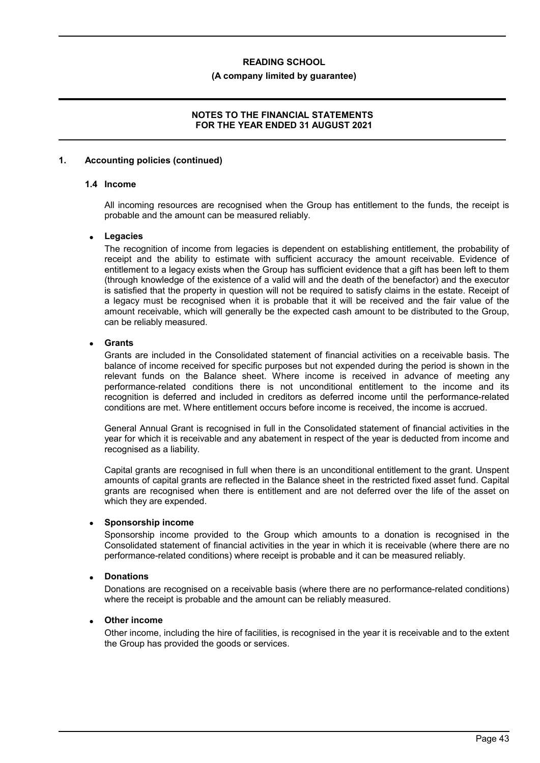### **(A company limited by guarantee)**

### **NOTES TO THE FINANCIAL STATEMENTS FOR THE YEAR ENDED 31 AUGUST 2021**

### **1. Accounting policies (continued)**

## **1.4 Income**

All incoming resources are recognised when the Group has entitlement to the funds, the receipt is probable and the amount can be measured reliably.

### **Legacies**

The recognition of income from legacies is dependent on establishing entitlement, the probability of receipt and the ability to estimate with sufficient accuracy the amount receivable. Evidence of entitlement to a legacy exists when the Group has sufficient evidence that a gift has been left to them (through knowledge of the existence of a valid will and the death of the benefactor) and the executor is satisfied that the property in question will not be required to satisfy claims in the estate. Receipt of a legacy must be recognised when it is probable that it will be received and the fair value of the amount receivable, which will generally be the expected cash amount to be distributed to the Group, can be reliably measured.

### **Grants**

Grants are included in the Consolidated statement of financial activities on a receivable basis. The balance of income received for specific purposes but not expended during the period is shown in the relevant funds on the Balance sheet. Where income is received in advance of meeting any performance-related conditions there is not unconditional entitlement to the income and its recognition is deferred and included in creditors as deferred income until the performance-related conditions are met. Where entitlement occurs before income is received, the income is accrued.

General Annual Grant is recognised in full in the Consolidated statement of financial activities in the year for which it is receivable and any abatement in respect of the year is deducted from income and recognised as a liability.

Capital grants are recognised in full when there is an unconditional entitlement to the grant. Unspent amounts of capital grants are reflected in the Balance sheet in the restricted fixed asset fund. Capital grants are recognised when there is entitlement and are not deferred over the life of the asset on which they are expended.

### **Sponsorship income**

Sponsorship income provided to the Group which amounts to a donation is recognised in the Consolidated statement of financial activities in the year in which it is receivable (where there are no performance-related conditions) where receipt is probable and it can be measured reliably.

### **Donations**

Donations are recognised on a receivable basis (where there are no performance-related conditions) where the receipt is probable and the amount can be reliably measured.

### **Other income**

Other income, including the hire of facilities, is recognised in the year it is receivable and to the extent the Group has provided the goods or services.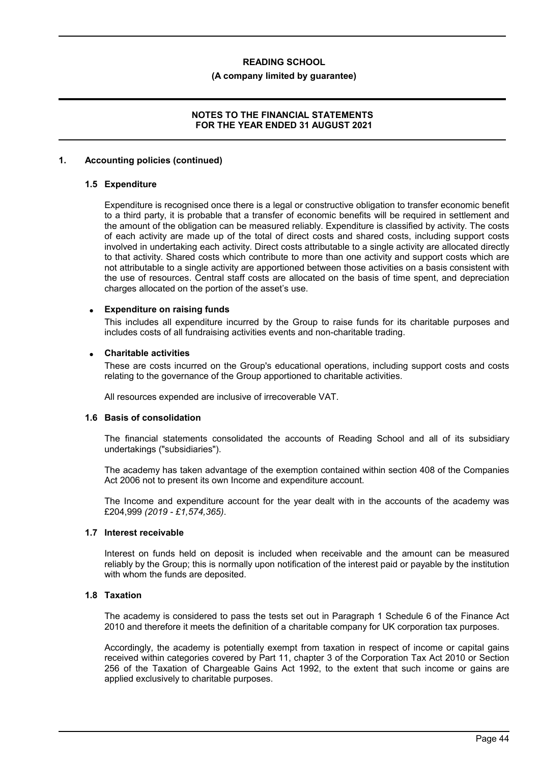### **(A company limited by guarantee)**

### **NOTES TO THE FINANCIAL STATEMENTS FOR THE YEAR ENDED 31 AUGUST 2021**

### **1. Accounting policies (continued)**

### **1.5 Expenditure**

Expenditure is recognised once there is a legal or constructive obligation to transfer economic benefit to a third party, it is probable that a transfer of economic benefits will be required in settlement and the amount of the obligation can be measured reliably. Expenditure is classified by activity. The costs of each activity are made up of the total of direct costs and shared costs, including support costs involved in undertaking each activity. Direct costs attributable to a single activity are allocated directly to that activity. Shared costs which contribute to more than one activity and support costs which are not attributable to a single activity are apportioned between those activities on a basis consistent with the use of resources. Central staff costs are allocated on the basis of time spent, and depreciation charges allocated on the portion of the asset's use.

### **Expenditure on raising funds**

This includes all expenditure incurred by the Group to raise funds for its charitable purposes and includes costs of all fundraising activities events and non-charitable trading.

### **Charitable activities**

These are costs incurred on the Group's educational operations, including support costs and costs relating to the governance of the Group apportioned to charitable activities.

All resources expended are inclusive of irrecoverable VAT.

### **1.6 Basis of consolidation**

The financial statements consolidated the accounts of Reading School and all of its subsidiary undertakings ("subsidiaries").

The academy has taken advantage of the exemption contained within section 408 of the Companies Act 2006 not to present its own Income and expenditure account.

The Income and expenditure account for the year dealt with in the accounts of the academy was £204,999 *(2019 - £1,574,365)*.

## **1.7 Interest receivable**

Interest on funds held on deposit is included when receivable and the amount can be measured reliably by the Group; this is normally upon notification of the interest paid or payable by the institution with whom the funds are deposited.

### **1.8 Taxation**

The academy is considered to pass the tests set out in Paragraph 1 Schedule 6 of the Finance Act 2010 and therefore it meets the definition of a charitable company for UK corporation tax purposes.

Accordingly, the academy is potentially exempt from taxation in respect of income or capital gains received within categories covered by Part 11, chapter 3 of the Corporation Tax Act 2010 or Section 256 of the Taxation of Chargeable Gains Act 1992, to the extent that such income or gains are applied exclusively to charitable purposes.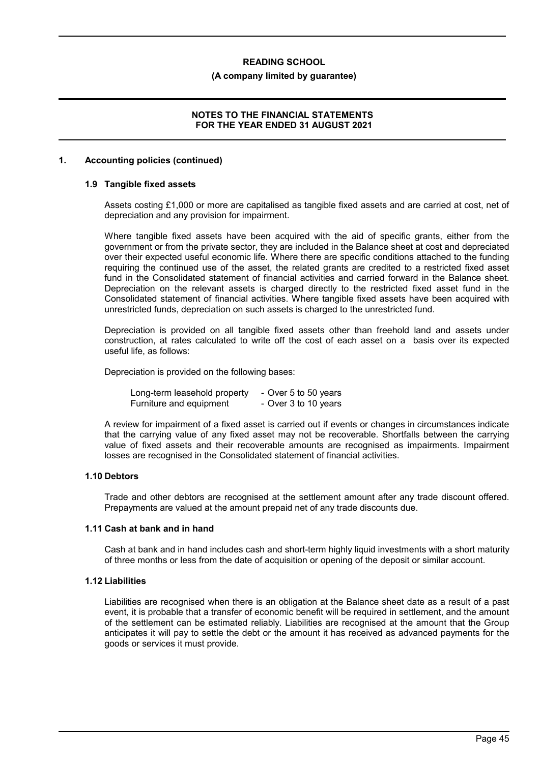### **(A company limited by guarantee)**

### **NOTES TO THE FINANCIAL STATEMENTS FOR THE YEAR ENDED 31 AUGUST 2021**

### **1. Accounting policies (continued)**

## **1.9 Tangible fixed assets**

Assets costing £1,000 or more are capitalised as tangible fixed assets and are carried at cost, net of depreciation and any provision for impairment.

Where tangible fixed assets have been acquired with the aid of specific grants, either from the government or from the private sector, they are included in the Balance sheet at cost and depreciated over their expected useful economic life. Where there are specific conditions attached to the funding requiring the continued use of the asset, the related grants are credited to a restricted fixed asset fund in the Consolidated statement of financial activities and carried forward in the Balance sheet. Depreciation on the relevant assets is charged directly to the restricted fixed asset fund in the Consolidated statement of financial activities. Where tangible fixed assets have been acquired with unrestricted funds, depreciation on such assets is charged to the unrestricted fund.

Depreciation is provided on all tangible fixed assets other than freehold land and assets under construction, at rates calculated to write off the cost of each asset on a basis over its expected useful life, as follows:

Depreciation is provided on the following bases:

| Long-term leasehold property | - Over 5 to 50 years |
|------------------------------|----------------------|
| Furniture and equipment      | - Over 3 to 10 years |

A review for impairment of a fixed asset is carried out if events or changes in circumstances indicate that the carrying value of any fixed asset may not be recoverable. Shortfalls between the carrying value of fixed assets and their recoverable amounts are recognised as impairments. Impairment losses are recognised in the Consolidated statement of financial activities.

### **1.10 Debtors**

Trade and other debtors are recognised at the settlement amount after any trade discount offered. Prepayments are valued at the amount prepaid net of any trade discounts due.

### **1.11 Cash at bank and in hand**

Cash at bank and in hand includes cash and short-term highly liquid investments with a short maturity of three months or less from the date of acquisition or opening of the deposit or similar account.

### **1.12 Liabilities**

Liabilities are recognised when there is an obligation at the Balance sheet date as a result of a past event, it is probable that a transfer of economic benefit will be required in settlement, and the amount of the settlement can be estimated reliably. Liabilities are recognised at the amount that the Group anticipates it will pay to settle the debt or the amount it has received as advanced payments for the goods or services it must provide.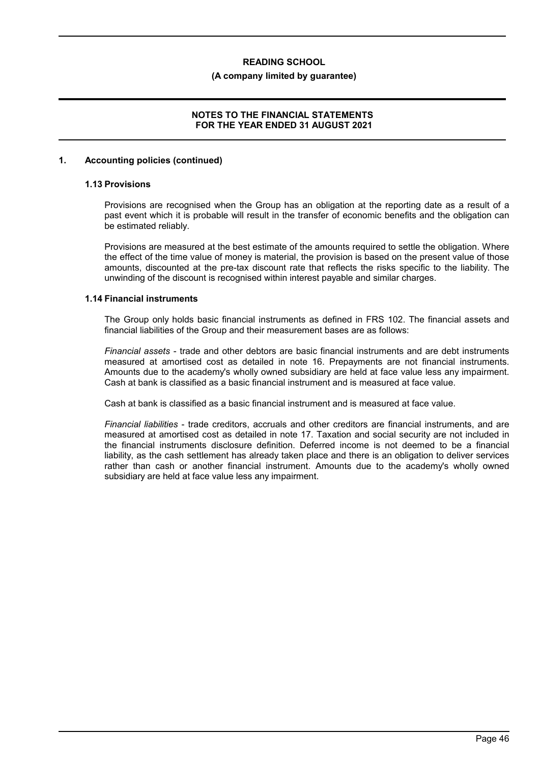### **(A company limited by guarantee)**

### **NOTES TO THE FINANCIAL STATEMENTS FOR THE YEAR ENDED 31 AUGUST 2021**

### **1. Accounting policies (continued)**

## **1.13 Provisions**

Provisions are recognised when the Group has an obligation at the reporting date as a result of a past event which it is probable will result in the transfer of economic benefits and the obligation can be estimated reliably.

Provisions are measured at the best estimate of the amounts required to settle the obligation. Where the effect of the time value of money is material, the provision is based on the present value of those amounts, discounted at the pre-tax discount rate that reflects the risks specific to the liability. The unwinding of the discount is recognised within interest payable and similar charges.

### **1.14 Financial instruments**

The Group only holds basic financial instruments as defined in FRS 102. The financial assets and financial liabilities of the Group and their measurement bases are as follows:

*Financial assets* - trade and other debtors are basic financial instruments and are debt instruments measured at amortised cost as detailed in note 16. Prepayments are not financial instruments. Amounts due to the academy's wholly owned subsidiary are held at face value less any impairment. Cash at bank is classified as a basic financial instrument and is measured at face value.

Cash at bank is classified as a basic financial instrument and is measured at face value.

*Financial liabilities* - trade creditors, accruals and other creditors are financial instruments, and are measured at amortised cost as detailed in note 17. Taxation and social security are not included in the financial instruments disclosure definition. Deferred income is not deemed to be a financial liability, as the cash settlement has already taken place and there is an obligation to deliver services rather than cash or another financial instrument. Amounts due to the academy's wholly owned subsidiary are held at face value less any impairment.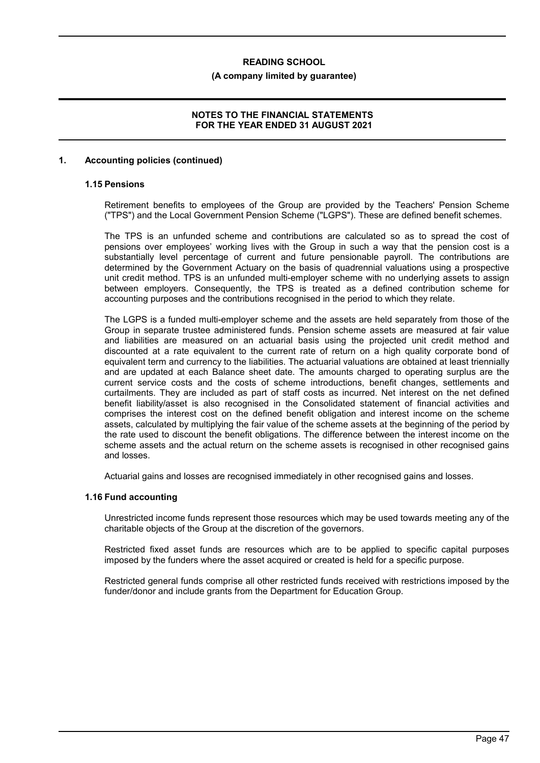### **(A company limited by guarantee)**

## **NOTES TO THE FINANCIAL STATEMENTS FOR THE YEAR ENDED 31 AUGUST 2021**

### **1. Accounting policies (continued)**

## **1.15 Pensions**

Retirement benefits to employees of the Group are provided by the Teachers' Pension Scheme ("TPS") and the Local Government Pension Scheme ("LGPS"). These are defined benefit schemes.

The TPS is an unfunded scheme and contributions are calculated so as to spread the cost of pensions over employees' working lives with the Group in such a way that the pension cost is a substantially level percentage of current and future pensionable payroll. The contributions are determined by the Government Actuary on the basis of quadrennial valuations using a prospective unit credit method. TPS is an unfunded multi-employer scheme with no underlying assets to assign between employers. Consequently, the TPS is treated as a defined contribution scheme for accounting purposes and the contributions recognised in the period to which they relate.

The LGPS is a funded multi-employer scheme and the assets are held separately from those of the Group in separate trustee administered funds. Pension scheme assets are measured at fair value and liabilities are measured on an actuarial basis using the projected unit credit method and discounted at a rate equivalent to the current rate of return on a high quality corporate bond of equivalent term and currency to the liabilities. The actuarial valuations are obtained at least triennially and are updated at each Balance sheet date. The amounts charged to operating surplus are the current service costs and the costs of scheme introductions, benefit changes, settlements and curtailments. They are included as part of staff costs as incurred. Net interest on the net defined benefit liability/asset is also recognised in the Consolidated statement of financial activities and comprises the interest cost on the defined benefit obligation and interest income on the scheme assets, calculated by multiplying the fair value of the scheme assets at the beginning of the period by the rate used to discount the benefit obligations. The difference between the interest income on the scheme assets and the actual return on the scheme assets is recognised in other recognised gains and losses.

Actuarial gains and losses are recognised immediately in other recognised gains and losses.

### **1.16 Fund accounting**

Unrestricted income funds represent those resources which may be used towards meeting any of the charitable objects of the Group at the discretion of the governors.

Restricted fixed asset funds are resources which are to be applied to specific capital purposes imposed by the funders where the asset acquired or created is held for a specific purpose.

Restricted general funds comprise all other restricted funds received with restrictions imposed by the funder/donor and include grants from the Department for Education Group.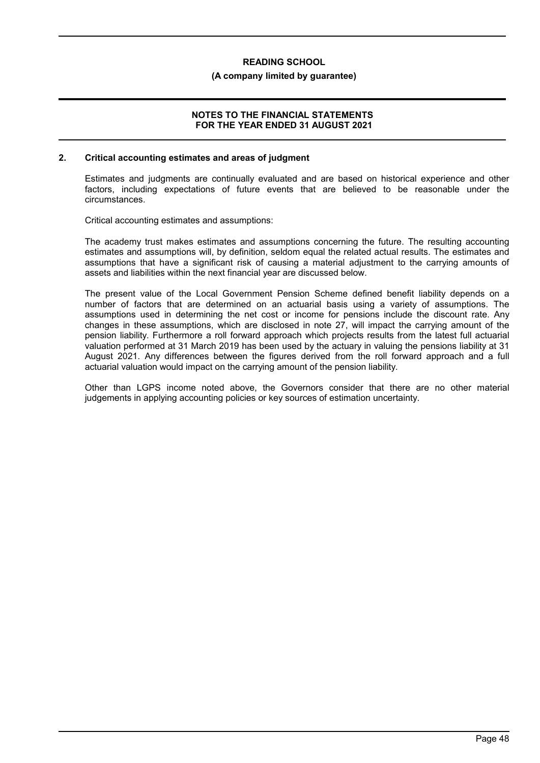### **(A company limited by guarantee)**

### **NOTES TO THE FINANCIAL STATEMENTS FOR THE YEAR ENDED 31 AUGUST 2021**

#### **2. Critical accounting estimates and areas of judgment**

Estimates and judgments are continually evaluated and are based on historical experience and other factors, including expectations of future events that are believed to be reasonable under the circumstances.

Critical accounting estimates and assumptions:

The academy trust makes estimates and assumptions concerning the future. The resulting accounting estimates and assumptions will, by definition, seldom equal the related actual results. The estimates and assumptions that have a significant risk of causing a material adjustment to the carrying amounts of assets and liabilities within the next financial year are discussed below.

The present value of the Local Government Pension Scheme defined benefit liability depends on a number of factors that are determined on an actuarial basis using a variety of assumptions. The assumptions used in determining the net cost or income for pensions include the discount rate. Any changes in these assumptions, which are disclosed in note 27, will impact the carrying amount of the pension liability. Furthermore a roll forward approach which projects results from the latest full actuarial valuation performed at 31 March 2019 has been used by the actuary in valuing the pensions liability at 31 August 2021. Any differences between the figures derived from the roll forward approach and a full actuarial valuation would impact on the carrying amount of the pension liability.

Other than LGPS income noted above, the Governors consider that there are no other material judgements in applying accounting policies or key sources of estimation uncertainty.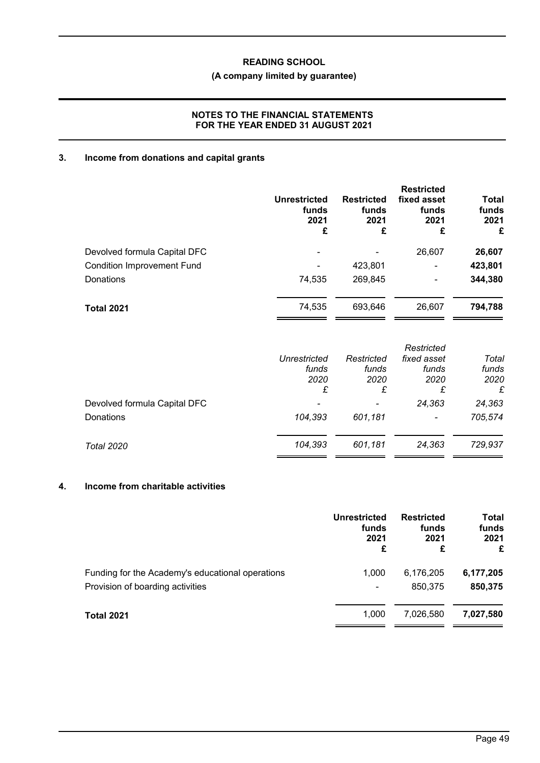# **(A company limited by guarantee)**

## **NOTES TO THE FINANCIAL STATEMENTS FOR THE YEAR ENDED 31 AUGUST 2021**

# **3. Income from donations and capital grants**

|                                   | <b>Unrestricted</b><br>funds<br>2021<br>£ | <b>Restricted</b><br>funds<br>2021<br>£ | <b>Restricted</b><br>fixed asset<br>funds<br>2021<br>£ | <b>Total</b><br>funds<br>2021<br>£ |
|-----------------------------------|-------------------------------------------|-----------------------------------------|--------------------------------------------------------|------------------------------------|
| Devolved formula Capital DFC      |                                           |                                         | 26,607                                                 | 26,607                             |
| <b>Condition Improvement Fund</b> | ۰                                         | 423,801                                 | $\overline{\phantom{0}}$                               | 423,801                            |
| <b>Donations</b>                  | 74,535                                    | 269,845                                 | $\overline{\phantom{0}}$                               | 344,380                            |
| <b>Total 2021</b>                 | 74,535                                    | 693,646                                 | 26,607                                                 | 794,788                            |

|                              | <b>Unrestricted</b><br>funds<br>2020<br>£ | Restricted<br>funds<br>2020<br>£ | Restricted<br>fixed asset<br>funds<br>2020<br>£ | Total<br>funds<br>2020<br>£ |
|------------------------------|-------------------------------------------|----------------------------------|-------------------------------------------------|-----------------------------|
| Devolved formula Capital DFC |                                           |                                  | 24,363                                          | 24,363                      |
| Donations                    | 104,393                                   | 601,181                          | $\overline{\phantom{a}}$                        | 705,574                     |
| Total 2020                   | 104,393                                   | 601,181                          | 24,363                                          | 729,937                     |

# **4. Income from charitable activities**

|                                                  | Unrestricted<br>funds<br>2021<br>£ | <b>Restricted</b><br>funds<br>2021<br>£ | Total<br>funds<br>2021<br>£ |
|--------------------------------------------------|------------------------------------|-----------------------------------------|-----------------------------|
| Funding for the Academy's educational operations | 1.000                              | 6,176,205                               | 6,177,205                   |
| Provision of boarding activities                 | ۰                                  | 850,375                                 | 850,375                     |
| <b>Total 2021</b>                                | 1.000                              | 7,026,580                               | 7,027,580                   |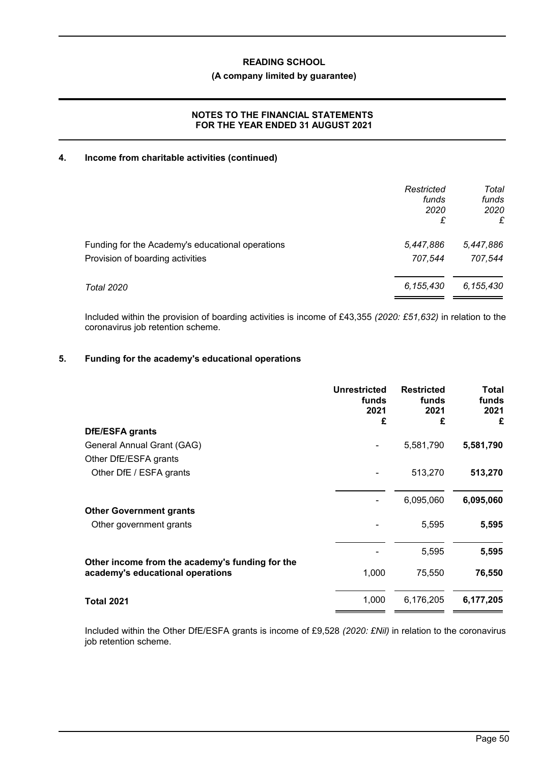## **(A company limited by guarantee)**

## **NOTES TO THE FINANCIAL STATEMENTS FOR THE YEAR ENDED 31 AUGUST 2021**

## **4. Income from charitable activities (continued)**

|                                                  | Restricted<br>funds<br>2020<br>£ | Total<br>funds<br>2020<br>£ |
|--------------------------------------------------|----------------------------------|-----------------------------|
| Funding for the Academy's educational operations | 5,447,886                        | 5,447,886                   |
| Provision of boarding activities                 | 707.544                          | 707,544                     |
| Total 2020                                       | 6,155,430                        | 6,155,430                   |

Included within the provision of boarding activities is income of £43,355 *(2020: £51,632)* in relation to the coronavirus job retention scheme.

### **5. Funding for the academy's educational operations**

|                                                                                     | <b>Unrestricted</b><br>funds<br>2021<br>£ | <b>Restricted</b><br>funds<br>2021<br>£ | <b>Total</b><br>funds<br>2021<br>£ |
|-------------------------------------------------------------------------------------|-------------------------------------------|-----------------------------------------|------------------------------------|
| <b>DfE/ESFA grants</b>                                                              |                                           |                                         |                                    |
| General Annual Grant (GAG)                                                          |                                           | 5,581,790                               | 5,581,790                          |
| Other DfE/ESFA grants                                                               |                                           |                                         |                                    |
| Other DfE / ESFA grants                                                             |                                           | 513,270                                 | 513,270                            |
|                                                                                     |                                           | 6,095,060                               | 6,095,060                          |
| <b>Other Government grants</b>                                                      |                                           |                                         |                                    |
| Other government grants                                                             |                                           | 5,595                                   | 5,595                              |
|                                                                                     |                                           | 5,595                                   | 5,595                              |
| Other income from the academy's funding for the<br>academy's educational operations | 1,000                                     | 75,550                                  | 76,550                             |
| <b>Total 2021</b>                                                                   | 1,000                                     | 6,176,205                               | 6,177,205                          |

Included within the Other DfE/ESFA grants is income of £9,528 *(2020: £Nil)* in relation to the coronavirus job retention scheme.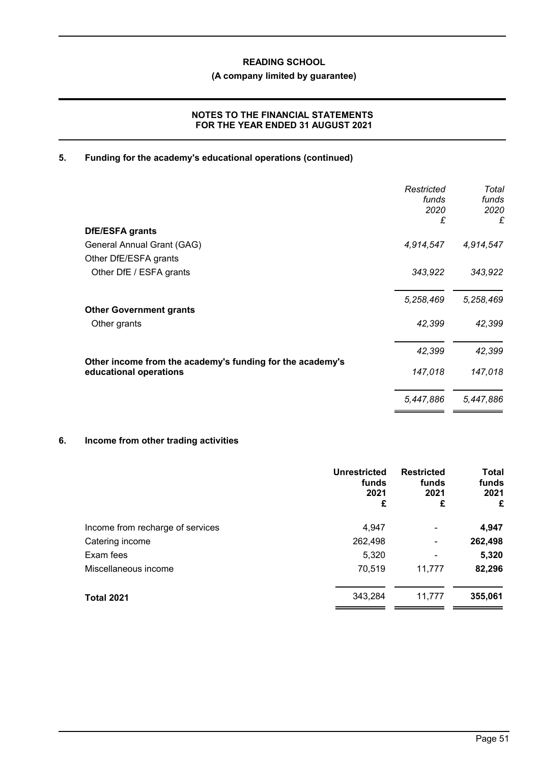# **(A company limited by guarantee)**

## **NOTES TO THE FINANCIAL STATEMENTS FOR THE YEAR ENDED 31 AUGUST 2021**

## **5. Funding for the academy's educational operations (continued)**

|                                                                                     | Restricted<br>funds<br>2020<br>£ | Total<br>funds<br>2020<br>£ |
|-------------------------------------------------------------------------------------|----------------------------------|-----------------------------|
| <b>DfE/ESFA grants</b>                                                              |                                  |                             |
| General Annual Grant (GAG)                                                          | 4,914,547                        | 4,914,547                   |
| Other DfE/ESFA grants                                                               |                                  |                             |
| Other DfE / ESFA grants                                                             | 343,922                          | 343,922                     |
|                                                                                     | 5,258,469                        | 5,258,469                   |
| <b>Other Government grants</b>                                                      |                                  |                             |
| Other grants                                                                        | 42,399                           | 42,399                      |
|                                                                                     | 42,399                           | 42,399                      |
| Other income from the academy's funding for the academy's<br>educational operations | 147,018                          | 147,018                     |
|                                                                                     | 5,447,886                        | 5,447,886                   |

# **6. Income from other trading activities**

|                                  | <b>Unrestricted</b><br>funds<br>2021<br>£ | <b>Restricted</b><br>funds<br>2021<br>£ | <b>Total</b><br>funds<br>2021<br>£ |
|----------------------------------|-------------------------------------------|-----------------------------------------|------------------------------------|
| Income from recharge of services | 4,947                                     | -                                       | 4,947                              |
| Catering income                  | 262,498                                   | -                                       | 262,498                            |
| Exam fees                        | 5,320                                     | -                                       | 5,320                              |
| Miscellaneous income             | 70,519                                    | 11,777                                  | 82,296                             |
| <b>Total 2021</b>                | 343,284                                   | 11,777                                  | 355,061                            |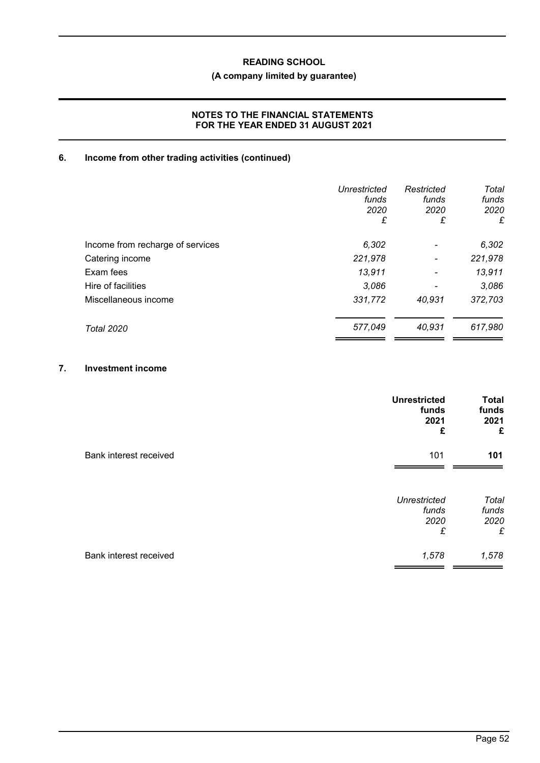# **(A company limited by guarantee)**

## **NOTES TO THE FINANCIAL STATEMENTS FOR THE YEAR ENDED 31 AUGUST 2021**

# **6. Income from other trading activities (continued)**

|                                  | <b>Unrestricted</b><br>funds<br>2020<br>£ | Restricted<br>funds<br>2020<br>£ | Total<br>funds<br>2020<br>£ |
|----------------------------------|-------------------------------------------|----------------------------------|-----------------------------|
| Income from recharge of services | 6,302                                     |                                  | 6,302                       |
| Catering income                  | 221,978                                   | $\overline{\phantom{a}}$         | 221,978                     |
| Exam fees                        | 13.911                                    | $\overline{\phantom{a}}$         | 13,911                      |
| Hire of facilities               | 3,086                                     |                                  | 3,086                       |
| Miscellaneous income             | 331,772                                   | 40,931                           | 372,703                     |
| <b>Total 2020</b>                | 577,049                                   | 40.931                           | 617,980                     |

## **7. Investment income**

|                        | <b>Unrestricted</b><br>funds<br>2021<br>£ | <b>Total</b><br>funds<br>2021<br>£ |
|------------------------|-------------------------------------------|------------------------------------|
| Bank interest received | 101                                       | 101                                |
|                        | <b>Unrestricted</b><br>funds<br>2020<br>£ | Total<br>funds<br>2020<br>£        |
| Bank interest received | 1,578                                     | 1,578                              |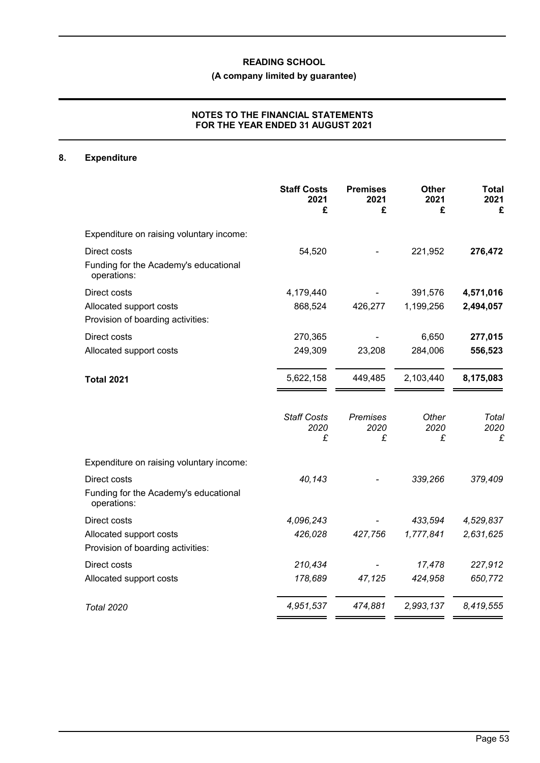# **(A company limited by guarantee)**

## **NOTES TO THE FINANCIAL STATEMENTS FOR THE YEAR ENDED 31 AUGUST 2021**

# **8. Expenditure**

|                                                                      | <b>Staff Costs</b><br>2021<br>£ | <b>Premises</b><br>2021<br>£ | <b>Other</b><br>2021<br>£ | <b>Total</b><br>2021<br>£ |
|----------------------------------------------------------------------|---------------------------------|------------------------------|---------------------------|---------------------------|
| Expenditure on raising voluntary income:                             |                                 |                              |                           |                           |
| Direct costs<br>Funding for the Academy's educational<br>operations: | 54,520                          |                              | 221,952                   | 276,472                   |
| Direct costs                                                         | 4,179,440                       |                              | 391,576                   | 4,571,016                 |
| Allocated support costs<br>Provision of boarding activities:         | 868,524                         | 426,277                      | 1,199,256                 | 2,494,057                 |
| Direct costs                                                         | 270,365                         |                              | 6,650                     | 277,015                   |
| Allocated support costs                                              | 249,309                         | 23,208                       | 284,006                   | 556,523                   |
| <b>Total 2021</b>                                                    | 5,622,158                       | 449,485                      | 2,103,440                 | 8,175,083                 |
|                                                                      | <b>Staff Costs</b><br>2020<br>£ | <b>Premises</b><br>2020<br>£ | Other<br>2020<br>£        | Total<br>2020<br>£        |
| Expenditure on raising voluntary income:                             |                                 |                              |                           |                           |
| Direct costs<br>Funding for the Academy's educational<br>operations: | 40,143                          |                              | 339,266                   | 379,409                   |
| Direct costs                                                         | 4,096,243                       |                              | 433,594                   | 4,529,837                 |
| Allocated support costs<br>Provision of boarding activities:         | 426,028                         | 427,756                      | 1,777,841                 | 2,631,625                 |
| Direct costs                                                         | 210,434                         |                              | 17,478                    | 227,912                   |
| Allocated support costs                                              | 178,689                         | 47,125                       | 424,958                   | 650,772                   |
| <b>Total 2020</b>                                                    | 4,951,537                       | 474,881                      | 2,993,137                 | 8,419,555                 |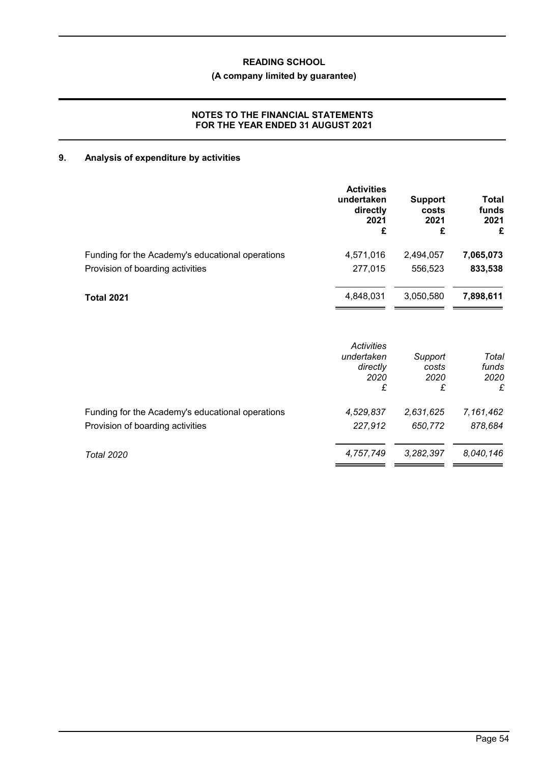# **(A company limited by guarantee)**

## **NOTES TO THE FINANCIAL STATEMENTS FOR THE YEAR ENDED 31 AUGUST 2021**

# **9. Analysis of expenditure by activities**

|                                                  | <b>Activities</b><br>undertaken<br>directly<br>2021<br>£ | <b>Support</b><br>costs<br>2021<br>£ | Total<br>funds<br>2021<br>£ |
|--------------------------------------------------|----------------------------------------------------------|--------------------------------------|-----------------------------|
| Funding for the Academy's educational operations | 4,571,016                                                | 2,494,057                            | 7,065,073                   |
| Provision of boarding activities                 | 277,015                                                  | 556,523                              | 833,538                     |
| <b>Total 2021</b>                                | 4,848,031                                                | 3,050,580                            | 7,898,611                   |
|                                                  | <b>Activities</b><br>undertaken<br>directly<br>2020      | Support<br>costs<br>2020             | Total<br>funds<br>2020      |
|                                                  | £                                                        | £                                    | £                           |
| Funding for the Academy's educational operations | 4,529,837                                                | 2,631,625                            | 7,161,462                   |
| Provision of boarding activities                 | 227,912                                                  | 650,772                              | 878,684                     |
| <b>Total 2020</b>                                | 4,757,749                                                | 3,282,397                            | 8,040,146                   |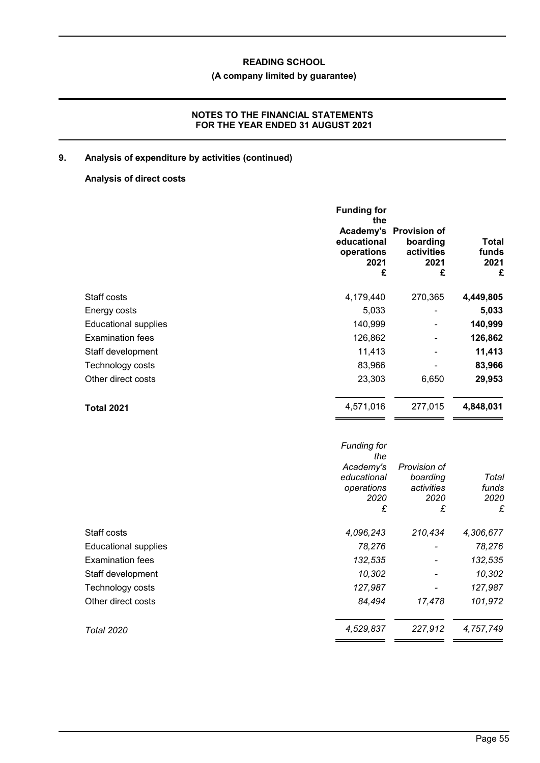# **(A company limited by guarantee)**

## **NOTES TO THE FINANCIAL STATEMENTS FOR THE YEAR ENDED 31 AUGUST 2021**

# **9. Analysis of expenditure by activities (continued)**

# **Analysis of direct costs**

|                             | <b>Funding for</b><br>the<br>Academy's<br>educational<br>operations<br>2021<br>£ | <b>Provision of</b><br>boarding<br>activities<br>2021<br>£ | Total<br>funds<br>2021<br>£ |
|-----------------------------|----------------------------------------------------------------------------------|------------------------------------------------------------|-----------------------------|
| Staff costs                 | 4,179,440                                                                        | 270,365                                                    | 4,449,805                   |
| Energy costs                | 5,033                                                                            | -                                                          | 5,033                       |
| <b>Educational supplies</b> | 140,999                                                                          |                                                            | 140,999                     |
| <b>Examination fees</b>     | 126,862                                                                          | ۰                                                          | 126,862                     |
| Staff development           | 11,413                                                                           |                                                            | 11,413                      |
| Technology costs            | 83,966                                                                           |                                                            | 83,966                      |
| Other direct costs          | 23,303                                                                           | 6,650                                                      | 29,953                      |
| <b>Total 2021</b>           | 4,571,016                                                                        | 277,015                                                    | 4,848,031                   |

|                             | <b>Funding for</b><br>the |              |           |
|-----------------------------|---------------------------|--------------|-----------|
|                             | Academy's                 | Provision of |           |
|                             | educational               | boarding     | Total     |
|                             | operations                | activities   | funds     |
|                             | 2020                      | 2020         | 2020      |
|                             | £                         | £            | £         |
| Staff costs                 | 4,096,243                 | 210,434      | 4,306,677 |
| <b>Educational supplies</b> | 78,276                    |              | 78,276    |
| <b>Examination fees</b>     | 132,535                   |              | 132,535   |
| Staff development           | 10,302                    |              | 10,302    |
| Technology costs            | 127,987                   |              | 127,987   |
| Other direct costs          | 84,494                    | 17,478       | 101,972   |
| Total 2020                  | 4,529,837                 | 227,912      | 4,757,749 |
|                             |                           |              |           |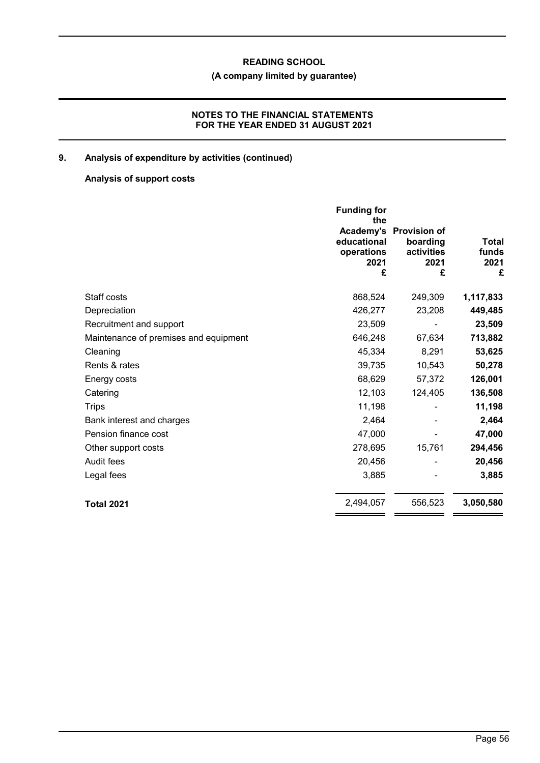# **(A company limited by guarantee)**

## **NOTES TO THE FINANCIAL STATEMENTS FOR THE YEAR ENDED 31 AUGUST 2021**

# **9. Analysis of expenditure by activities (continued)**

# **Analysis of support costs**

|                                       | <b>Funding for</b><br>the<br>Academy's<br>educational<br>operations<br>2021<br>£ | <b>Provision of</b><br>boarding<br>activities<br>2021<br>£ | Total<br>funds<br>2021<br>£ |
|---------------------------------------|----------------------------------------------------------------------------------|------------------------------------------------------------|-----------------------------|
| Staff costs                           | 868,524                                                                          | 249,309                                                    | 1,117,833                   |
| Depreciation                          | 426,277                                                                          | 23,208                                                     | 449,485                     |
| Recruitment and support               | 23,509                                                                           |                                                            | 23,509                      |
| Maintenance of premises and equipment | 646,248                                                                          | 67,634                                                     | 713,882                     |
| Cleaning                              | 45,334                                                                           | 8,291                                                      | 53,625                      |
| Rents & rates                         | 39,735                                                                           | 10,543                                                     | 50,278                      |
| Energy costs                          | 68,629                                                                           | 57,372                                                     | 126,001                     |
| Catering                              | 12,103                                                                           | 124,405                                                    | 136,508                     |
| <b>Trips</b>                          | 11,198                                                                           |                                                            | 11,198                      |
| Bank interest and charges             | 2,464                                                                            |                                                            | 2,464                       |
| Pension finance cost                  | 47,000                                                                           |                                                            | 47,000                      |
| Other support costs                   | 278,695                                                                          | 15,761                                                     | 294,456                     |
| Audit fees                            | 20,456                                                                           |                                                            | 20,456                      |
| Legal fees                            | 3,885                                                                            |                                                            | 3,885                       |
| <b>Total 2021</b>                     | 2,494,057                                                                        | 556,523                                                    | 3,050,580                   |
|                                       |                                                                                  |                                                            |                             |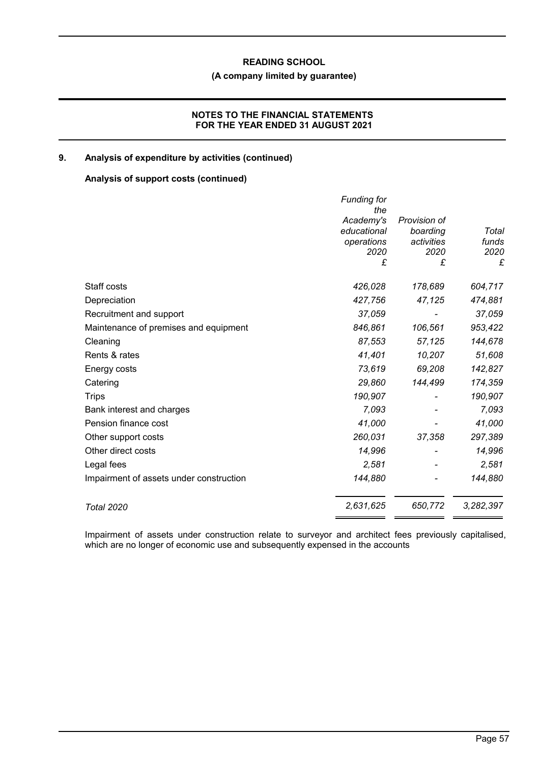# **(A company limited by guarantee)**

## **NOTES TO THE FINANCIAL STATEMENTS FOR THE YEAR ENDED 31 AUGUST 2021**

## **9. Analysis of expenditure by activities (continued)**

## **Analysis of support costs (continued)**

|                                         | <b>Funding for</b><br>the<br>Academy's<br>educational<br>operations<br>2020<br>£ | Provision of<br>boarding<br>activities<br>2020<br>£ | Total<br>funds<br>2020<br>£ |
|-----------------------------------------|----------------------------------------------------------------------------------|-----------------------------------------------------|-----------------------------|
| Staff costs                             | 426,028                                                                          | 178,689                                             | 604,717                     |
| Depreciation                            | 427,756                                                                          | 47,125                                              | 474,881                     |
| Recruitment and support                 | 37,059                                                                           |                                                     | 37,059                      |
| Maintenance of premises and equipment   | 846,861                                                                          | 106,561                                             | 953,422                     |
| Cleaning                                | 87,553                                                                           | 57,125                                              | 144,678                     |
| Rents & rates                           | 41,401                                                                           | 10,207                                              | 51,608                      |
| Energy costs                            | 73,619                                                                           | 69,208                                              | 142,827                     |
| Catering                                | 29,860                                                                           | 144,499                                             | 174,359                     |
| <b>Trips</b>                            | 190,907                                                                          |                                                     | 190,907                     |
| Bank interest and charges               | 7,093                                                                            |                                                     | 7,093                       |
| Pension finance cost                    | 41,000                                                                           |                                                     | 41,000                      |
| Other support costs                     | 260,031                                                                          | 37,358                                              | 297,389                     |
| Other direct costs                      | 14,996                                                                           |                                                     | 14,996                      |
| Legal fees                              | 2,581                                                                            |                                                     | 2,581                       |
| Impairment of assets under construction | 144,880                                                                          |                                                     | 144,880                     |
| <b>Total 2020</b>                       | 2,631,625                                                                        | 650,772                                             | 3,282,397                   |

Impairment of assets under construction relate to surveyor and architect fees previously capitalised, which are no longer of economic use and subsequently expensed in the accounts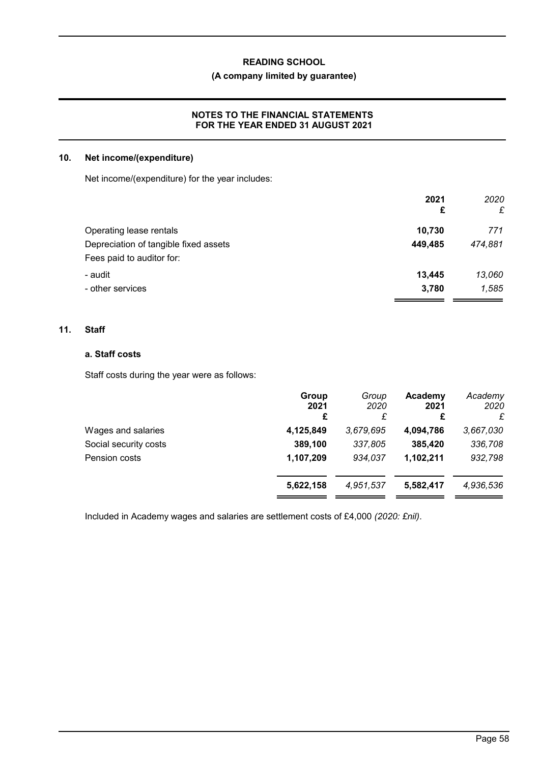# **(A company limited by guarantee)**

## **NOTES TO THE FINANCIAL STATEMENTS FOR THE YEAR ENDED 31 AUGUST 2021**

### **10. Net income/(expenditure)**

Net income/(expenditure) for the year includes:

|                                       | 2021<br>£ | 2020<br>£ |
|---------------------------------------|-----------|-----------|
|                                       |           |           |
| Operating lease rentals               | 10,730    | 771       |
| Depreciation of tangible fixed assets | 449,485   | 474,881   |
| Fees paid to auditor for:             |           |           |
| - audit                               | 13,445    | 13,060    |
| - other services                      | 3,780     | 1,585     |

## **11. Staff**

## **a. Staff costs**

Staff costs during the year were as follows:

| 2021<br>£ | 2020<br>£ | 2021<br>£ | Academy<br>2020<br>£      |
|-----------|-----------|-----------|---------------------------|
| 4,125,849 | 3,679,695 | 4,094,786 | 3,667,030                 |
| 389,100   | 337,805   | 385,420   | 336,708                   |
| 1,107,209 | 934,037   | 1,102,211 | 932,798                   |
| 5,622,158 | 4,951,537 | 5,582,417 | 4,936,536                 |
|           |           |           | Group<br>Academy<br>Group |

Included in Academy wages and salaries are settlement costs of £4,000 *(2020: £nil)*.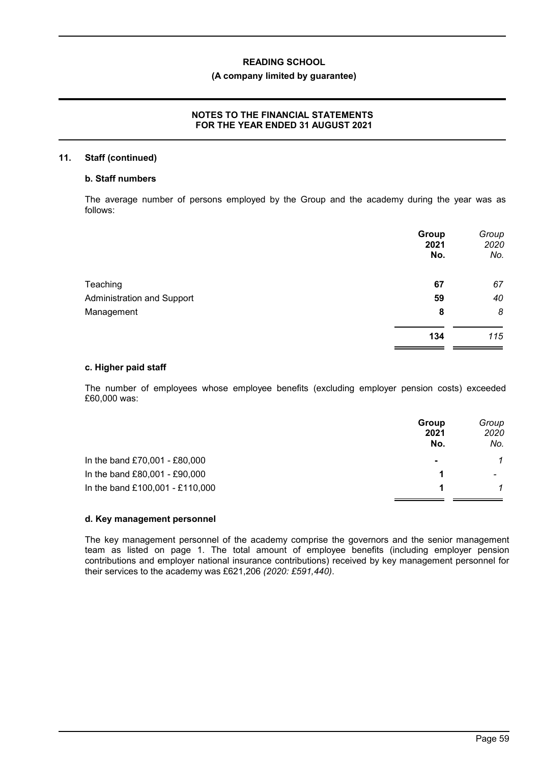## **(A company limited by guarantee)**

## **NOTES TO THE FINANCIAL STATEMENTS FOR THE YEAR ENDED 31 AUGUST 2021**

### **11. Staff (continued)**

## **b. Staff numbers**

The average number of persons employed by the Group and the academy during the year was as follows:

|                                   | Group<br>2021<br>No. | Group<br>2020<br>No. |
|-----------------------------------|----------------------|----------------------|
| Teaching                          | 67                   | 67                   |
| <b>Administration and Support</b> | 59                   | 40                   |
| Management                        | 8                    | 8                    |
|                                   | 134                  | 115                  |

### **c. Higher paid staff**

The number of employees whose employee benefits (excluding employer pension costs) exceeded £60,000 was:

|                                 | Group<br>2021<br>No. | Group<br>2020<br>No. |
|---------------------------------|----------------------|----------------------|
| In the band £70,001 - £80,000   | $\blacksquare$       | 1                    |
| In the band £80,001 - £90,000   |                      | $\qquad \qquad$      |
| In the band £100,001 - £110,000 |                      |                      |

### **d. Key management personnel**

The key management personnel of the academy comprise the governors and the senior management team as listed on page 1. The total amount of employee benefits (including employer pension contributions and employer national insurance contributions) received by key management personnel for their services to the academy was £621,206 *(2020: £591,440)*.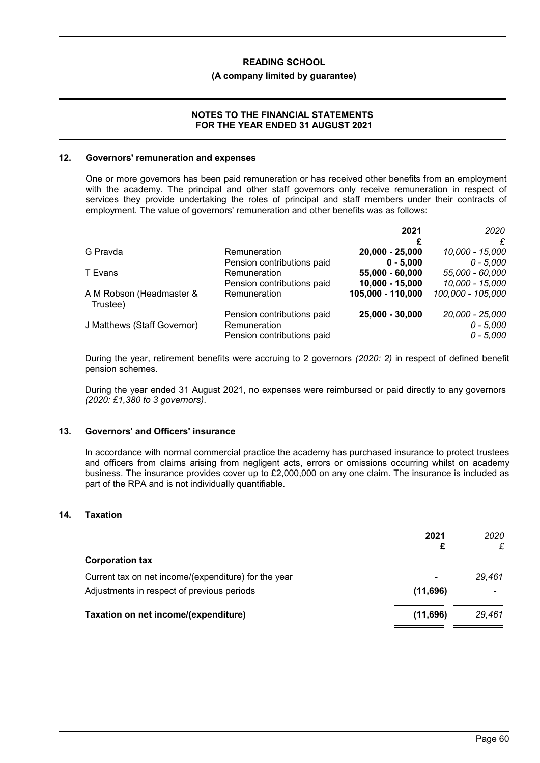### **(A company limited by guarantee)**

### **NOTES TO THE FINANCIAL STATEMENTS FOR THE YEAR ENDED 31 AUGUST 2021**

#### **12. Governors' remuneration and expenses**

One or more governors has been paid remuneration or has received other benefits from an employment with the academy. The principal and other staff governors only receive remuneration in respect of services they provide undertaking the roles of principal and staff members under their contracts of employment. The value of governors' remuneration and other benefits was as follows:

|                                      |                            | 2021              | 2020              |
|--------------------------------------|----------------------------|-------------------|-------------------|
|                                      |                            | £                 |                   |
| G Pravda                             | Remuneration               | 20,000 - 25,000   | 10,000 - 15,000   |
|                                      | Pension contributions paid | $0 - 5.000$       | $0 - 5,000$       |
| T Evans                              | Remuneration               | 55,000 - 60,000   | 55,000 - 60,000   |
|                                      | Pension contributions paid | $10,000 - 15,000$ | 10,000 - 15,000   |
| A M Robson (Headmaster &<br>Trustee) | Remuneration               | 105,000 - 110,000 | 100,000 - 105,000 |
|                                      | Pension contributions paid | 25,000 - 30,000   | 20,000 - 25,000   |
| J Matthews (Staff Governor)          | Remuneration               |                   | $0 - 5,000$       |
|                                      | Pension contributions paid |                   | $0 - 5,000$       |

During the year, retirement benefits were accruing to 2 governors *(2020: 2)* in respect of defined benefit pension schemes.

During the year ended 31 August 2021, no expenses were reimbursed or paid directly to any governors *(2020: £1,380 to 3 governors)*.

## **13. Governors' and Officers' insurance**

In accordance with normal commercial practice the academy has purchased insurance to protect trustees and officers from claims arising from negligent acts, errors or omissions occurring whilst on academy business. The insurance provides cover up to £2,000,000 on any one claim. The insurance is included as part of the RPA and is not individually quantifiable.

### **14. Taxation**

|                                                      | 2021           | 2020<br>£ |
|------------------------------------------------------|----------------|-----------|
| <b>Corporation tax</b>                               |                |           |
| Current tax on net income/(expenditure) for the year | $\blacksquare$ | 29.461    |
| Adjustments in respect of previous periods           | (11,696)       |           |
| Taxation on net income/(expenditure)                 | (11,696)       | 29.461    |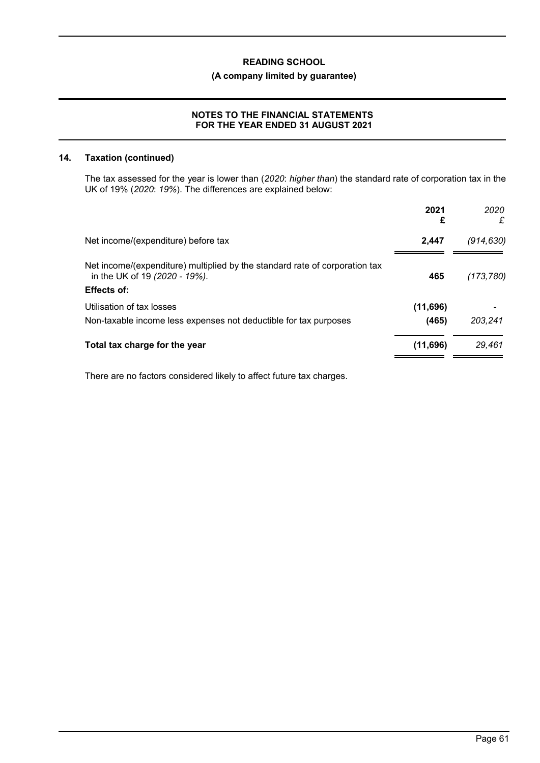# **(A company limited by guarantee)**

## **NOTES TO THE FINANCIAL STATEMENTS FOR THE YEAR ENDED 31 AUGUST 2021**

### **14. Taxation (continued)**

The tax assessed for the year is lower than (*2020*: *higher than*) the standard rate of corporation tax in the UK of 19% (*2020*: *19%*). The differences are explained below:

|                                                                                                                                    | 2021<br>£         | 2020<br>£  |
|------------------------------------------------------------------------------------------------------------------------------------|-------------------|------------|
| Net income/(expenditure) before tax                                                                                                | 2.447             | (914, 630) |
| Net income/(expenditure) multiplied by the standard rate of corporation tax<br>in the UK of 19 (2020 - 19%).<br><b>Effects of:</b> | 465               | (173, 780) |
| Utilisation of tax losses<br>Non-taxable income less expenses not deductible for tax purposes                                      | (11,696)<br>(465) | 203.241    |
| Total tax charge for the year                                                                                                      | (11, 696)         | 29,461     |

There are no factors considered likely to affect future tax charges.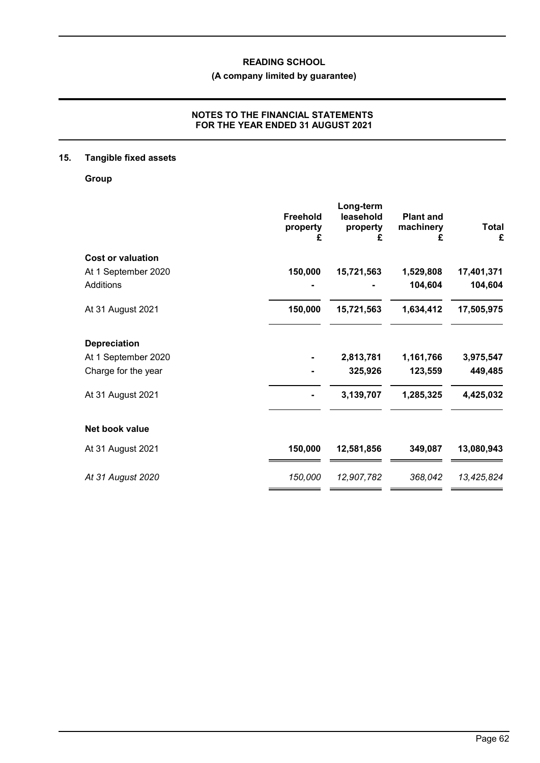# **(A company limited by guarantee)**

## **NOTES TO THE FINANCIAL STATEMENTS FOR THE YEAR ENDED 31 AUGUST 2021**

# **15. Tangible fixed assets**

**Group**

|                          | <b>Freehold</b><br>property<br>£ | Long-term<br>leasehold<br>property<br>£ | <b>Plant and</b><br>machinery<br>£ | <b>Total</b><br>£ |
|--------------------------|----------------------------------|-----------------------------------------|------------------------------------|-------------------|
| <b>Cost or valuation</b> |                                  |                                         |                                    |                   |
| At 1 September 2020      | 150,000                          | 15,721,563                              | 1,529,808                          | 17,401,371        |
| Additions                |                                  |                                         | 104,604                            | 104,604           |
| At 31 August 2021        | 150,000                          | 15,721,563                              | 1,634,412                          | 17,505,975        |
| <b>Depreciation</b>      |                                  |                                         |                                    |                   |
| At 1 September 2020      |                                  | 2,813,781                               | 1,161,766                          | 3,975,547         |
| Charge for the year      |                                  | 325,926                                 | 123,559                            | 449,485           |
| At 31 August 2021        |                                  | 3,139,707                               | 1,285,325                          | 4,425,032         |
| Net book value           |                                  |                                         |                                    |                   |
| At 31 August 2021        | 150,000                          | 12,581,856                              | 349,087                            | 13,080,943        |
| At 31 August 2020        | 150,000                          | 12,907,782                              | 368,042                            | 13,425,824        |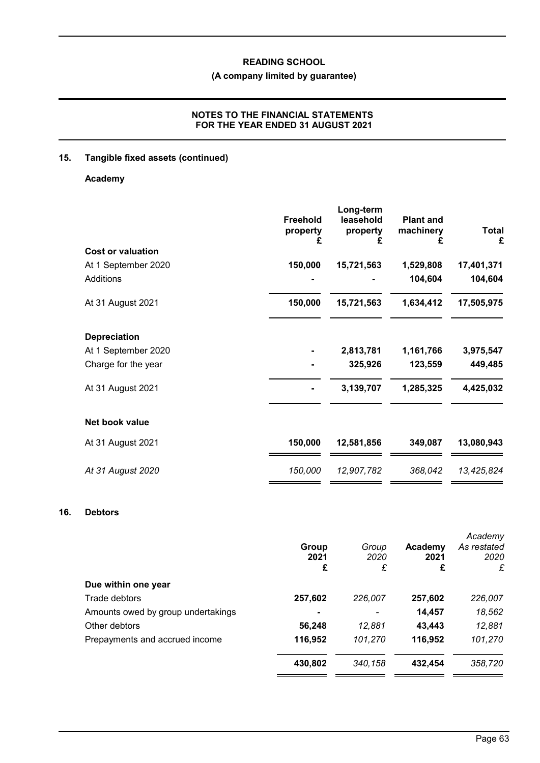# **(A company limited by guarantee)**

## **NOTES TO THE FINANCIAL STATEMENTS FOR THE YEAR ENDED 31 AUGUST 2021**

# **15. Tangible fixed assets (continued)**

# **Academy**

|                          | <b>Freehold</b><br>property<br>£ | Long-term<br>leasehold<br>property<br>£ | <b>Plant and</b><br>machinery<br>£ | <b>Total</b><br>£ |
|--------------------------|----------------------------------|-----------------------------------------|------------------------------------|-------------------|
| <b>Cost or valuation</b> |                                  |                                         |                                    |                   |
| At 1 September 2020      | 150,000                          | 15,721,563                              | 1,529,808                          | 17,401,371        |
| Additions                |                                  |                                         | 104,604                            | 104,604           |
| At 31 August 2021        | 150,000                          | 15,721,563                              | 1,634,412                          | 17,505,975        |
| <b>Depreciation</b>      |                                  |                                         |                                    |                   |
| At 1 September 2020      |                                  | 2,813,781                               | 1,161,766                          | 3,975,547         |
| Charge for the year      |                                  | 325,926                                 | 123,559                            | 449,485           |
| At 31 August 2021        |                                  | 3,139,707                               | 1,285,325                          | 4,425,032         |
| Net book value           |                                  |                                         |                                    |                   |
| At 31 August 2021        | 150,000                          | 12,581,856                              | 349,087                            | 13,080,943        |
| At 31 August 2020        | 150,000                          | 12,907,782                              | 368,042                            | 13,425,824        |

# **16. Debtors**

|                                    | Group<br>2021<br>£ | Group<br>2020<br>£ | Academy<br>2021<br>£ | Academy<br>As restated<br>2020<br>£ |
|------------------------------------|--------------------|--------------------|----------------------|-------------------------------------|
| Due within one year                |                    |                    |                      |                                     |
| Trade debtors                      | 257,602            | 226,007            | 257,602              | 226,007                             |
| Amounts owed by group undertakings |                    |                    | 14,457               | 18,562                              |
| Other debtors                      | 56,248             | 12,881             | 43,443               | 12,881                              |
| Prepayments and accrued income     | 116,952            | 101,270            | 116,952              | 101,270                             |
|                                    | 430,802            | 340,158            | 432.454              | 358,720                             |
|                                    |                    |                    |                      |                                     |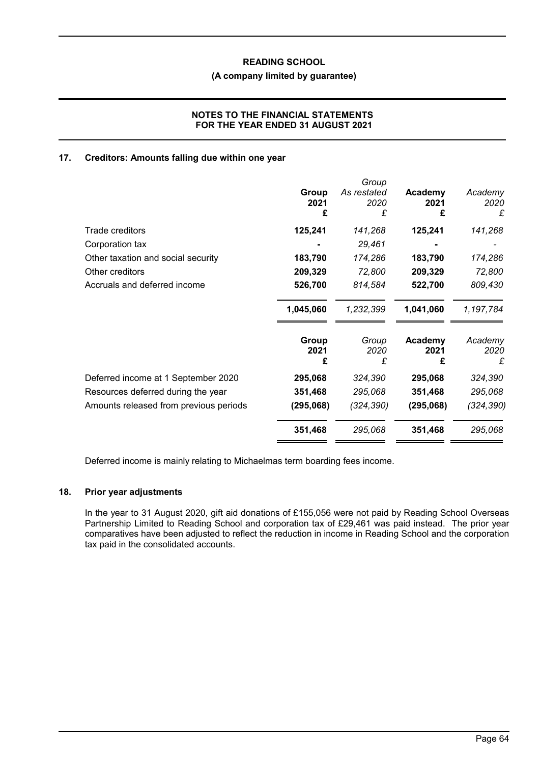### **(A company limited by guarantee)**

## **NOTES TO THE FINANCIAL STATEMENTS FOR THE YEAR ENDED 31 AUGUST 2021**

## **17. Creditors: Amounts falling due within one year**

|                                        |           | Group       |           |            |
|----------------------------------------|-----------|-------------|-----------|------------|
|                                        | Group     | As restated | Academy   | Academy    |
|                                        | 2021      | 2020        | 2021      | 2020       |
|                                        | £         | £           | £         | £          |
| Trade creditors                        | 125,241   | 141,268     | 125,241   | 141,268    |
| Corporation tax                        |           | 29,461      |           |            |
| Other taxation and social security     | 183,790   | 174,286     | 183,790   | 174,286    |
| Other creditors                        | 209,329   | 72,800      | 209,329   | 72,800     |
| Accruals and deferred income           | 526,700   | 814,584     | 522,700   | 809,430    |
|                                        | 1,045,060 | 1,232,399   | 1,041,060 | 1,197,784  |
|                                        | Group     | Group       | Academy   | Academy    |
|                                        | 2021      | 2020        | 2021      | 2020       |
|                                        | £         | £           | £         | £          |
| Deferred income at 1 September 2020    | 295,068   | 324,390     | 295,068   | 324,390    |
| Resources deferred during the year     | 351,468   | 295,068     | 351,468   | 295,068    |
| Amounts released from previous periods | (295,068) | (324,390)   | (295,068) | (324, 390) |
|                                        | 351,468   | 295,068     | 351,468   | 295,068    |
|                                        |           |             |           |            |

Deferred income is mainly relating to Michaelmas term boarding fees income.

# **18. Prior year adjustments**

In the year to 31 August 2020, gift aid donations of £155,056 were not paid by Reading School Overseas Partnership Limited to Reading School and corporation tax of £29,461 was paid instead. The prior year comparatives have been adjusted to reflect the reduction in income in Reading School and the corporation tax paid in the consolidated accounts.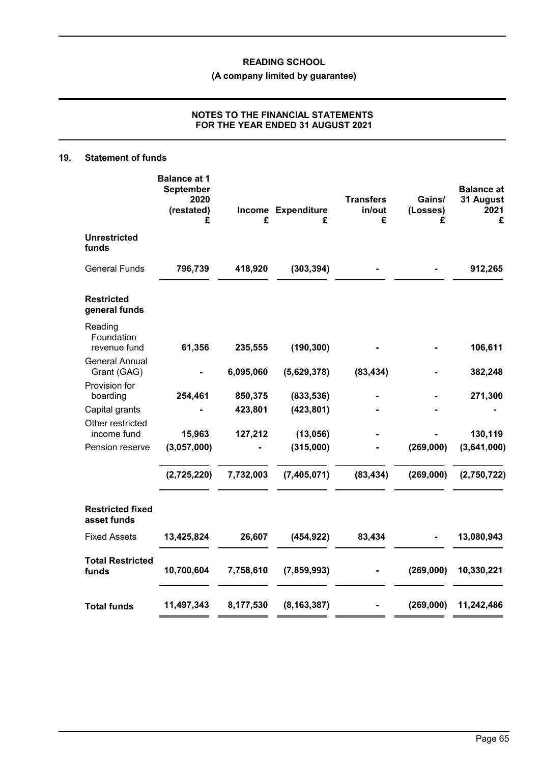# **(A company limited by guarantee)**

# **NOTES TO THE FINANCIAL STATEMENTS FOR THE YEAR ENDED 31 AUGUST 2021**

## **19. Statement of funds**

|                                        | <b>Balance at 1</b><br>September<br>2020<br>(restated)<br>£ | £         | Income Expenditure<br>£ | <b>Transfers</b><br>in/out<br>£ | Gains/<br>(Losses)<br>£ | <b>Balance at</b><br>31 August<br>2021<br>£ |
|----------------------------------------|-------------------------------------------------------------|-----------|-------------------------|---------------------------------|-------------------------|---------------------------------------------|
| <b>Unrestricted</b><br>funds           |                                                             |           |                         |                                 |                         |                                             |
| <b>General Funds</b>                   | 796,739                                                     | 418,920   | (303, 394)              |                                 |                         | 912,265                                     |
| <b>Restricted</b><br>general funds     |                                                             |           |                         |                                 |                         |                                             |
| Reading<br>Foundation<br>revenue fund  | 61,356                                                      | 235,555   | (190, 300)              |                                 |                         | 106,611                                     |
| <b>General Annual</b><br>Grant (GAG)   |                                                             | 6,095,060 | (5,629,378)             | (83, 434)                       |                         | 382,248                                     |
| Provision for<br>boarding              | 254,461                                                     | 850,375   | (833, 536)              |                                 |                         | 271,300                                     |
| Capital grants<br>Other restricted     |                                                             | 423,801   | (423, 801)              |                                 |                         |                                             |
| income fund                            | 15,963                                                      | 127,212   | (13,056)                |                                 |                         | 130,119                                     |
| Pension reserve                        | (3,057,000)                                                 |           | (315,000)               |                                 | (269,000)               | (3,641,000)                                 |
|                                        | (2,725,220)                                                 | 7,732,003 | (7,405,071)             | (83, 434)                       | (269,000)               | (2,750,722)                                 |
| <b>Restricted fixed</b><br>asset funds |                                                             |           |                         |                                 |                         |                                             |
| <b>Fixed Assets</b>                    | 13,425,824                                                  | 26,607    | (454, 922)              | 83,434                          |                         | 13,080,943                                  |
| <b>Total Restricted</b><br>funds       | 10,700,604                                                  | 7,758,610 | (7, 859, 993)           |                                 | (269,000)               | 10,330,221                                  |
| <b>Total funds</b>                     | 11,497,343                                                  | 8,177,530 | (8, 163, 387)           |                                 | (269,000)               | 11,242,486                                  |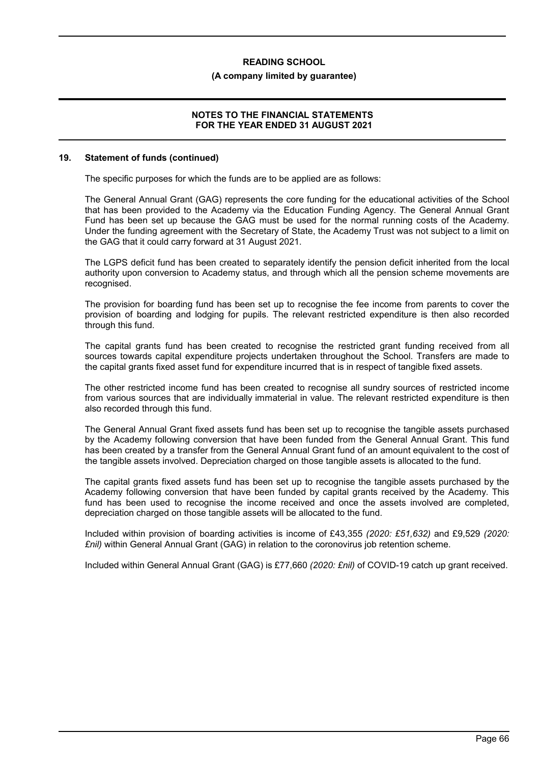### **(A company limited by guarantee)**

### **NOTES TO THE FINANCIAL STATEMENTS FOR THE YEAR ENDED 31 AUGUST 2021**

#### **19. Statement of funds (continued)**

The specific purposes for which the funds are to be applied are as follows:

The General Annual Grant (GAG) represents the core funding for the educational activities of the School that has been provided to the Academy via the Education Funding Agency. The General Annual Grant Fund has been set up because the GAG must be used for the normal running costs of the Academy. Under the funding agreement with the Secretary of State, the Academy Trust was not subject to a limit on the GAG that it could carry forward at 31 August 2021.

The LGPS deficit fund has been created to separately identify the pension deficit inherited from the local authority upon conversion to Academy status, and through which all the pension scheme movements are recognised.

The provision for boarding fund has been set up to recognise the fee income from parents to cover the provision of boarding and lodging for pupils. The relevant restricted expenditure is then also recorded through this fund.

The capital grants fund has been created to recognise the restricted grant funding received from all sources towards capital expenditure projects undertaken throughout the School. Transfers are made to the capital grants fixed asset fund for expenditure incurred that is in respect of tangible fixed assets.

The other restricted income fund has been created to recognise all sundry sources of restricted income from various sources that are individually immaterial in value. The relevant restricted expenditure is then also recorded through this fund.

The General Annual Grant fixed assets fund has been set up to recognise the tangible assets purchased by the Academy following conversion that have been funded from the General Annual Grant. This fund has been created by a transfer from the General Annual Grant fund of an amount equivalent to the cost of the tangible assets involved. Depreciation charged on those tangible assets is allocated to the fund.

The capital grants fixed assets fund has been set up to recognise the tangible assets purchased by the Academy following conversion that have been funded by capital grants received by the Academy. This fund has been used to recognise the income received and once the assets involved are completed. depreciation charged on those tangible assets will be allocated to the fund.

Included within provision of boarding activities is income of £43,355 *(2020: £51,632)* and £9,529 *(2020: £nil)* within General Annual Grant (GAG) in relation to the coronovirus job retention scheme.

Included within General Annual Grant (GAG) is £77,660 *(2020: £nil)* of COVID-19 catch up grant received.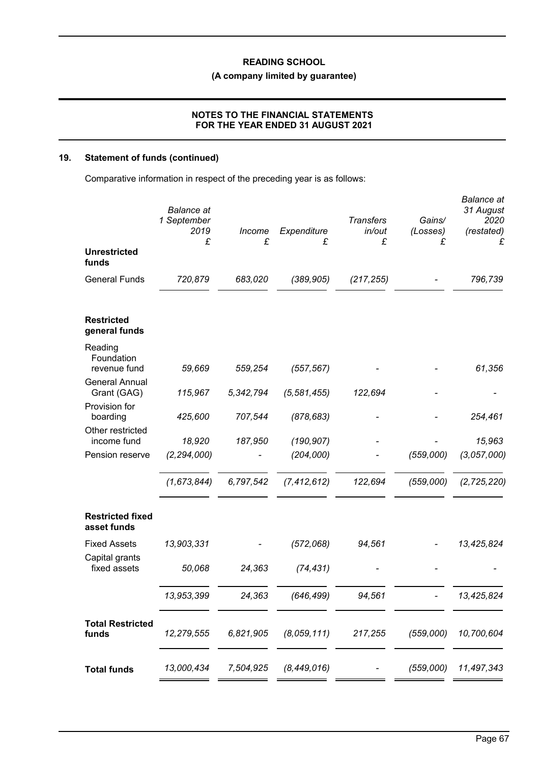# **(A company limited by guarantee)**

## **NOTES TO THE FINANCIAL STATEMENTS FOR THE YEAR ENDED 31 AUGUST 2021**

# **19. Statement of funds (continued)**

Comparative information in respect of the preceding year is as follows:

|                                        | <b>Balance</b> at<br>1 September<br>2019<br>£ | Income<br>£ | Expenditure<br>£ | <b>Transfers</b><br>in/out<br>£ | Gains/<br>(Losses)<br>£ | <b>Balance</b> at<br>31 August<br>2020<br>(restated)<br>£ |
|----------------------------------------|-----------------------------------------------|-------------|------------------|---------------------------------|-------------------------|-----------------------------------------------------------|
| <b>Unrestricted</b><br>funds           |                                               |             |                  |                                 |                         |                                                           |
| <b>General Funds</b>                   | 720,879                                       | 683,020     | (389, 905)       | (217, 255)                      |                         | 796,739                                                   |
| <b>Restricted</b><br>general funds     |                                               |             |                  |                                 |                         |                                                           |
| Reading<br>Foundation<br>revenue fund  | 59,669                                        | 559,254     | (557, 567)       |                                 |                         | 61,356                                                    |
| <b>General Annual</b><br>Grant (GAG)   | 115,967                                       | 5,342,794   | (5, 581, 455)    | 122,694                         |                         |                                                           |
| Provision for<br>boarding              | 425,600                                       | 707,544     | (878, 683)       |                                 |                         | 254,461                                                   |
| Other restricted<br>income fund        | 18,920                                        | 187,950     | (190, 907)       |                                 |                         | 15,963                                                    |
| Pension reserve                        | (2, 294, 000)                                 |             | (204,000)        |                                 | (559,000)               | (3,057,000)                                               |
|                                        | (1,673,844)                                   | 6,797,542   | (7, 412, 612)    | 122,694                         | (559,000)               | (2, 725, 220)                                             |
| <b>Restricted fixed</b><br>asset funds |                                               |             |                  |                                 |                         |                                                           |
| <b>Fixed Assets</b>                    | 13,903,331                                    |             | (572,068)        | 94,561                          |                         | 13,425,824                                                |
| Capital grants<br>fixed assets         | 50,068                                        | 24,363      | (74, 431)        |                                 |                         |                                                           |
|                                        | 13,953,399                                    | 24,363      | (646, 499)       | 94,561                          |                         | 13,425,824                                                |
| <b>Total Restricted</b><br>funds       | 12,279,555                                    | 6,821,905   | (8,059,111)      | 217,255                         | (559,000)               | 10,700,604                                                |
| <b>Total funds</b>                     | 13,000,434                                    | 7,504,925   | (8,449,016)      |                                 | (559,000)               | 11,497,343                                                |
|                                        |                                               |             |                  |                                 |                         |                                                           |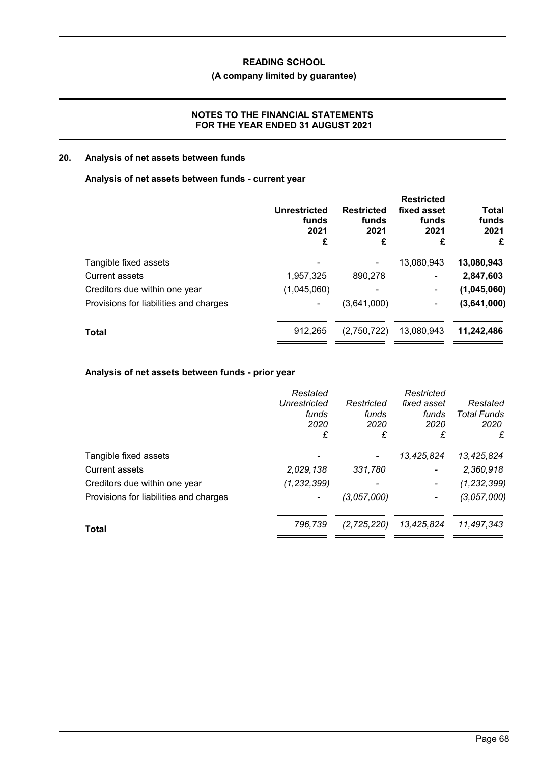# **(A company limited by guarantee)**

## **NOTES TO THE FINANCIAL STATEMENTS FOR THE YEAR ENDED 31 AUGUST 2021**

## **20. Analysis of net assets between funds**

## **Analysis of net assets between funds - current year**

|                                        | Unrestricted<br>funds<br>2021<br>£ | <b>Restricted</b><br>funds<br>2021<br>£ | <b>Restricted</b><br>fixed asset<br>funds<br>2021<br>£ | Total<br>funds<br>2021<br>£ |
|----------------------------------------|------------------------------------|-----------------------------------------|--------------------------------------------------------|-----------------------------|
| Tangible fixed assets                  |                                    |                                         | 13,080,943                                             | 13,080,943                  |
| Current assets                         | 1,957,325                          | 890,278                                 | -                                                      | 2,847,603                   |
| Creditors due within one year          | (1,045,060)                        |                                         | -                                                      | (1,045,060)                 |
| Provisions for liabilities and charges |                                    | (3,641,000)                             | ۰                                                      | (3,641,000)                 |
| <b>Total</b>                           | 912,265                            | (2,750,722)                             | 13,080,943                                             | 11,242,486                  |
|                                        |                                    |                                         |                                                        |                             |

# **Analysis of net assets between funds - prior year**

|                                        | Restated<br>Unrestricted<br>funds<br>2020<br>£ | Restricted<br>funds<br>2020<br>£ | Restricted<br>fixed asset<br>funds<br>2020<br>£ | Restated<br><b>Total Funds</b><br>2020<br>£ |
|----------------------------------------|------------------------------------------------|----------------------------------|-------------------------------------------------|---------------------------------------------|
| Tangible fixed assets                  |                                                |                                  | 13,425,824                                      | 13,425,824                                  |
| <b>Current assets</b>                  | 2,029,138                                      | 331,780                          | $\blacksquare$                                  | 2,360,918                                   |
| Creditors due within one year          | (1, 232, 399)                                  |                                  |                                                 | (1, 232, 399)                               |
| Provisions for liabilities and charges |                                                | (3,057,000)                      | -                                               | (3,057,000)                                 |
| Total                                  | 796,739                                        | (2, 725, 220)                    | 13,425,824                                      | 11,497,343                                  |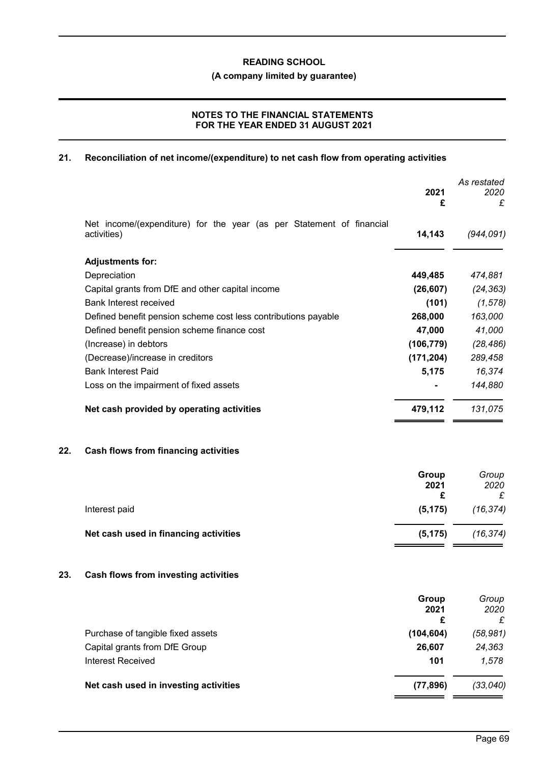**(A company limited by guarantee)**

# **NOTES TO THE FINANCIAL STATEMENTS FOR THE YEAR ENDED 31 AUGUST 2021**

# **21. Reconciliation of net income/(expenditure) to net cash flow from operating activities**

|     |                                                                                     | 2021<br>£          | As restated<br>2020<br>£ |
|-----|-------------------------------------------------------------------------------------|--------------------|--------------------------|
|     | Net income/(expenditure) for the year (as per Statement of financial<br>activities) | 14,143             | (944, 091)               |
|     | <b>Adjustments for:</b>                                                             |                    |                          |
|     | Depreciation                                                                        | 449,485            | 474,881                  |
|     | Capital grants from DfE and other capital income                                    | (26, 607)          | (24, 363)                |
|     | <b>Bank Interest received</b>                                                       | (101)              | (1, 578)                 |
|     | Defined benefit pension scheme cost less contributions payable                      | 268,000            | 163,000                  |
|     | Defined benefit pension scheme finance cost                                         | 47,000             | 41,000                   |
|     | (Increase) in debtors                                                               | (106, 779)         | (28, 486)                |
|     | (Decrease)/increase in creditors                                                    | (171, 204)         | 289,458                  |
|     | <b>Bank Interest Paid</b>                                                           | 5,175              | 16,374                   |
|     | Loss on the impairment of fixed assets                                              |                    | 144,880                  |
|     | Net cash provided by operating activities                                           | 479,112            | 131,075                  |
| 22. | <b>Cash flows from financing activities</b>                                         |                    |                          |
|     |                                                                                     | Group<br>2021<br>£ | Group<br>2020<br>£       |
|     | Interest paid                                                                       | (5, 175)           | (16, 374)                |
|     | Net cash used in financing activities                                               | (5, 175)           | (16, 374)                |
| 23. | Cash flows from investing activities                                                |                    |                          |
|     |                                                                                     | Group<br>2021      | Group<br>2020            |
|     |                                                                                     | £                  | £                        |
|     | Purchase of tangible fixed assets                                                   | (104, 604)         | (58, 981)                |
|     | Capital grants from DfE Group<br><b>Interest Received</b>                           | 26,607<br>101      | 24,363<br>1,578          |
|     |                                                                                     |                    |                          |
|     | Net cash used in investing activities                                               | (77, 896)          | (33, 040)                |
|     |                                                                                     |                    |                          |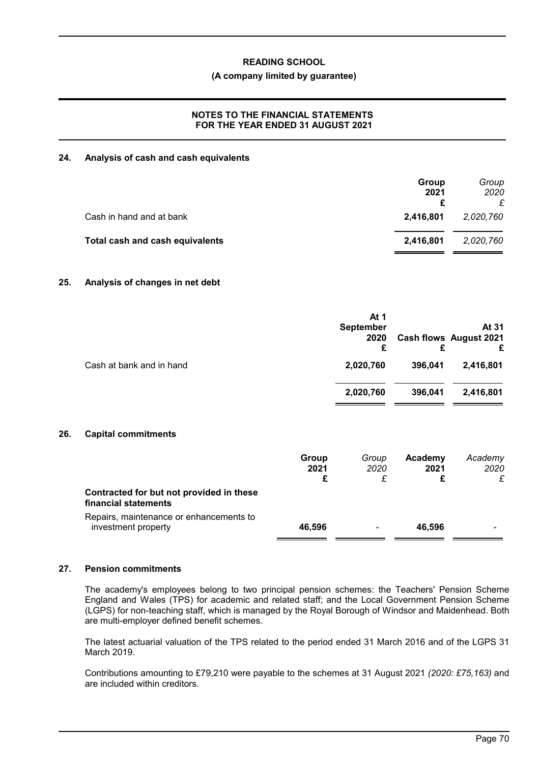### **(A company limited by guarantee)**

## **NOTES TO THE FINANCIAL STATEMENTS FOR THE YEAR ENDED 31 AUGUST 2021**

### **24. Analysis of cash and cash equivalents**

|                                 | Group<br>2021<br>£ | Group<br>2020 |
|---------------------------------|--------------------|---------------|
| Cash in hand and at bank        | 2,416,801          | 2,020,760     |
| Total cash and cash equivalents | 2,416,801          | 2,020,760     |

### **25. Analysis of changes in net debt**

|                          | At 1<br><b>September</b><br>2020<br>£ | £       | At 31<br><b>Cash flows August 2021</b><br>£ |
|--------------------------|---------------------------------------|---------|---------------------------------------------|
| Cash at bank and in hand | 2,020,760                             | 396,041 | 2,416,801                                   |
|                          | 2,020,760                             | 396,041 | 2,416,801                                   |

### **26. Capital commitments**

|                                                                  | Group<br>2021<br>£ | Group<br>2020 | Academy<br>2021 | Academy<br>2020<br>£ |
|------------------------------------------------------------------|--------------------|---------------|-----------------|----------------------|
| Contracted for but not provided in these<br>financial statements |                    |               |                 |                      |
| Repairs, maintenance or enhancements to<br>investment property   | 46.596             |               | 46.596          |                      |

### **27. Pension commitments**

The academy's employees belong to two principal pension schemes: the Teachers' Pension Scheme England and Wales (TPS) for academic and related staff; and the Local Government Pension Scheme (LGPS) for non-teaching staff, which is managed by the Royal Borough of Windsor and Maidenhead. Both are multi-employer defined benefit schemes.

The latest actuarial valuation of the TPS related to the period ended 31 March 2016 and of the LGPS 31 March 2019.

Contributions amounting to £79,210 were payable to the schemes at 31 August 2021 *(2020: £75,163)* and are included within creditors.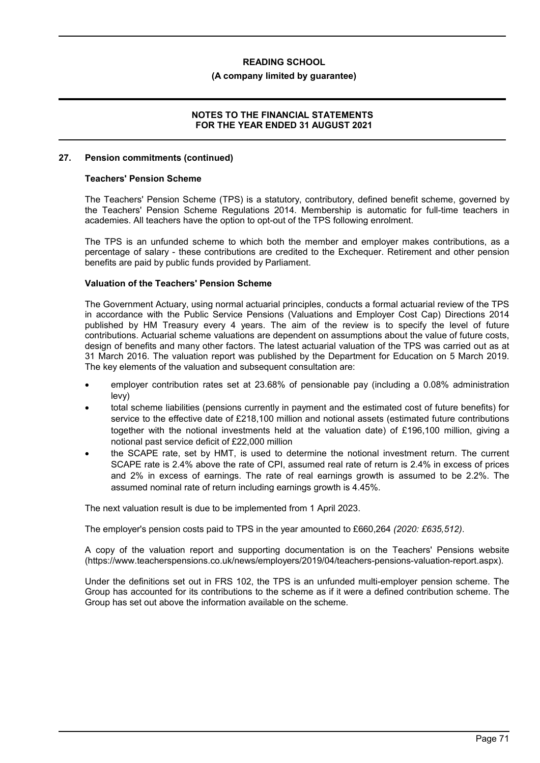#### **(A company limited by guarantee)**

#### **NOTES TO THE FINANCIAL STATEMENTS FOR THE YEAR ENDED 31 AUGUST 2021**

#### **27. Pension commitments (continued)**

#### **Teachers' Pension Scheme**

The Teachers' Pension Scheme (TPS) is a statutory, contributory, defined benefit scheme, governed by the Teachers' Pension Scheme Regulations 2014. Membership is automatic for full-time teachers in academies. All teachers have the option to opt-out of the TPS following enrolment.

The TPS is an unfunded scheme to which both the member and employer makes contributions, as a percentage of salary - these contributions are credited to the Exchequer. Retirement and other pension benefits are paid by public funds provided by Parliament.

#### **Valuation of the Teachers' Pension Scheme**

The Government Actuary, using normal actuarial principles, conducts a formal actuarial review of the TPS in accordance with the Public Service Pensions (Valuations and Employer Cost Cap) Directions 2014 published by HM Treasury every 4 years. The aim of the review is to specify the level of future contributions. Actuarial scheme valuations are dependent on assumptions about the value of future costs, design of benefits and many other factors. The latest actuarial valuation of the TPS was carried out as at 31 March 2016. The valuation report was published by the Department for Education on 5 March 2019. The key elements of the valuation and subsequent consultation are:

- employer contribution rates set at 23.68% of pensionable pay (including a 0.08% administration levy)
- total scheme liabilities (pensions currently in payment and the estimated cost of future benefits) for service to the effective date of £218,100 million and notional assets (estimated future contributions together with the notional investments held at the valuation date) of £196,100 million, giving a notional past service deficit of £22,000 million
- the SCAPE rate, set by HMT, is used to determine the notional investment return. The current SCAPE rate is 2.4% above the rate of CPI, assumed real rate of return is 2.4% in excess of prices and 2% in excess of earnings. The rate of real earnings growth is assumed to be 2.2%. The assumed nominal rate of return including earnings growth is 4.45%.

The next valuation result is due to be implemented from 1 April 2023.

The employer's pension costs paid to TPS in the year amounted to £660,264 *(2020: £635,512)*.

A copy of the valuation report and supporting documentation is on the Teachers' Pensions website (https://www.teacherspensions.co.uk/news/employers/2019/04/teachers-pensions-valuation-report.aspx).

Under the definitions set out in FRS 102, the TPS is an unfunded multi-employer pension scheme. The Group has accounted for its contributions to the scheme as if it were a defined contribution scheme. The Group has set out above the information available on the scheme.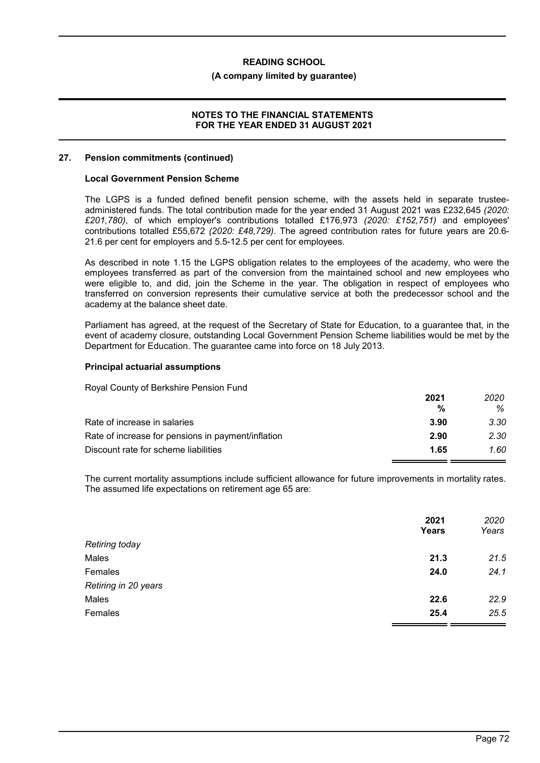#### **(A company limited by guarantee)**

#### **NOTES TO THE FINANCIAL STATEMENTS FOR THE YEAR ENDED 31 AUGUST 2021**

#### **27. Pension commitments (continued)**

#### **Local Government Pension Scheme**

The LGPS is a funded defined benefit pension scheme, with the assets held in separate trusteeadministered funds. The total contribution made for the year ended 31 August 2021 was £232,645 *(2020: £201,780)*, of which employer's contributions totalled £176,973 *(2020: £152,751)* and employees' contributions totalled £55,672 *(2020: £48,729)*. The agreed contribution rates for future years are 20.6- 21.6 per cent for employers and 5.5-12.5 per cent for employees.

As described in note 1.15 the LGPS obligation relates to the employees of the academy, who were the employees transferred as part of the conversion from the maintained school and new employees who were eligible to, and did, join the Scheme in the year. The obligation in respect of employees who transferred on conversion represents their cumulative service at both the predecessor school and the academy at the balance sheet date.

Parliament has agreed, at the request of the Secretary of State for Education, to a guarantee that, in the event of academy closure, outstanding Local Government Pension Scheme liabilities would be met by the Department for Education. The guarantee came into force on 18 July 2013.

#### **Principal actuarial assumptions**

Royal County of Berkshire Pension Fund

|                                                    | 2021 | 2020 |
|----------------------------------------------------|------|------|
|                                                    | %    | %    |
| Rate of increase in salaries                       | 3.90 | 3.30 |
| Rate of increase for pensions in payment/inflation | 2.90 | 2.30 |
| Discount rate for scheme liabilities               | 1.65 | 1.60 |

The current mortality assumptions include sufficient allowance for future improvements in mortality rates. The assumed life expectations on retirement age 65 are:

|                      | 2021  | 2020<br>Years |
|----------------------|-------|---------------|
|                      | Years |               |
| Retiring today       |       |               |
| Males                | 21.3  | 21.5          |
| Females              | 24.0  | 24.1          |
| Retiring in 20 years |       |               |
| Males                | 22.6  | 22.9          |
| Females              | 25.4  | 25.5          |
|                      |       |               |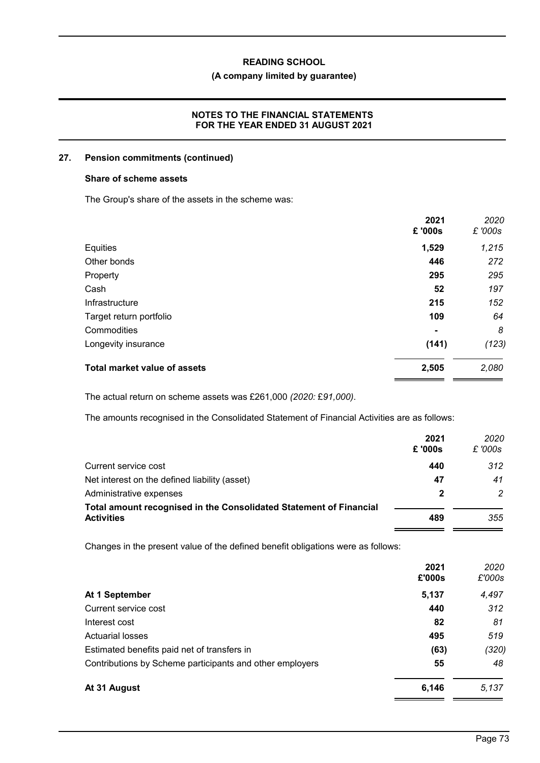## **(A company limited by guarantee)**

## **NOTES TO THE FINANCIAL STATEMENTS FOR THE YEAR ENDED 31 AUGUST 2021**

#### **27. Pension commitments (continued)**

#### **Share of scheme assets**

The Group's share of the assets in the scheme was:

|                              | 2021<br>£'000s | 2020<br>£ '000s |
|------------------------------|----------------|-----------------|
| Equities                     | 1,529          | 1,215           |
| Other bonds                  | 446            | 272             |
| Property                     | 295            | 295             |
| Cash                         | 52             | 197             |
| Infrastructure               | 215            | 152             |
| Target return portfolio      | 109            | 64              |
| Commodities                  | $\blacksquare$ | 8               |
| Longevity insurance          | (141)          | (123)           |
| Total market value of assets | 2,505          | 2,080           |

The actual return on scheme assets was £261,000 *(2020:* £*91,000)*.

The amounts recognised in the Consolidated Statement of Financial Activities are as follows:

|                                                                    | 2021   | 2020          |
|--------------------------------------------------------------------|--------|---------------|
|                                                                    | £'000s | £ '000s       |
| Current service cost                                               | 440    | 312           |
| Net interest on the defined liability (asset)                      | 47     | 41            |
| Administrative expenses                                            | 2      | $\mathcal{P}$ |
| Total amount recognised in the Consolidated Statement of Financial |        |               |
| <b>Activities</b>                                                  | 489    | 355           |
|                                                                    |        |               |

Changes in the present value of the defined benefit obligations were as follows:

|                                                          | 2021<br>£'000s | 2020<br>£'000s |
|----------------------------------------------------------|----------------|----------------|
| At 1 September                                           | 5,137          | 4,497          |
| Current service cost                                     | 440            | 312            |
| Interest cost                                            | 82             | 81             |
| <b>Actuarial losses</b>                                  | 495            | 519            |
| Estimated benefits paid net of transfers in              | (63)           | (320)          |
| Contributions by Scheme participants and other employers | 55             | 48             |
| At 31 August                                             | 6,146          | 5,137          |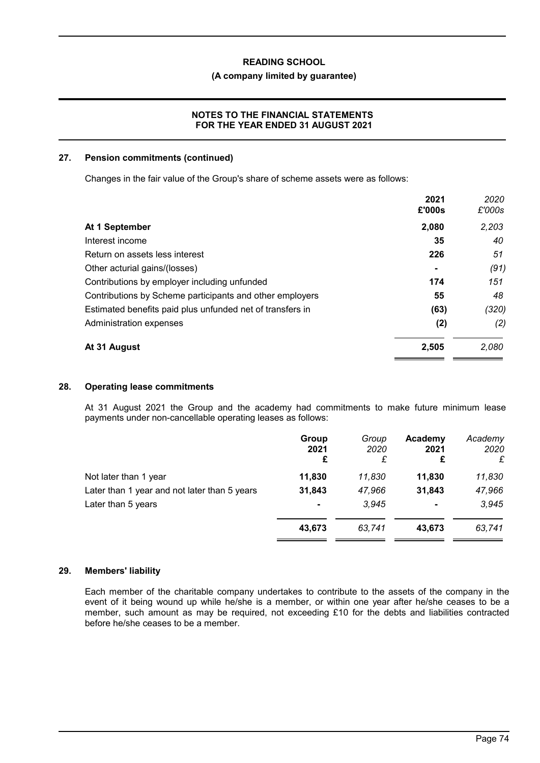#### **(A company limited by guarantee)**

## **NOTES TO THE FINANCIAL STATEMENTS FOR THE YEAR ENDED 31 AUGUST 2021**

#### **27. Pension commitments (continued)**

Changes in the fair value of the Group's share of scheme assets were as follows:

|                                                           | 2021<br>£'000s | 2020<br>£'000s |
|-----------------------------------------------------------|----------------|----------------|
| At 1 September                                            | 2,080          | 2,203          |
| Interest income                                           | 35             | 40             |
| Return on assets less interest                            | 226            | 51             |
| Other acturial gains/(losses)                             | $\blacksquare$ | (91)           |
| Contributions by employer including unfunded              | 174            | 151            |
| Contributions by Scheme participants and other employers  | 55             | 48             |
| Estimated benefits paid plus unfunded net of transfers in | (63)           | (320)          |
| Administration expenses                                   | (2)            | (2)            |
| At 31 August                                              | 2,505          | 2,080          |

#### **28. Operating lease commitments**

At 31 August 2021 the Group and the academy had commitments to make future minimum lease payments under non-cancellable operating leases as follows:

|                                              | Group<br>2021<br>£ | Group<br>2020<br>£ | Academy<br>2021<br>£ | Academy<br>2020<br>£ |
|----------------------------------------------|--------------------|--------------------|----------------------|----------------------|
| Not later than 1 year                        | 11,830             | 11.830             | 11,830               | 11,830               |
| Later than 1 year and not later than 5 years | 31,843             | 47,966             | 31,843               | 47,966               |
| Later than 5 years                           | $\blacksquare$     | 3.945              | $\blacksquare$       | 3,945                |
|                                              | 43,673             | 63,741             | 43,673               | 63,741               |

#### **29. Members' liability**

Each member of the charitable company undertakes to contribute to the assets of the company in the event of it being wound up while he/she is a member, or within one year after he/she ceases to be a member, such amount as may be required, not exceeding £10 for the debts and liabilities contracted before he/she ceases to be a member.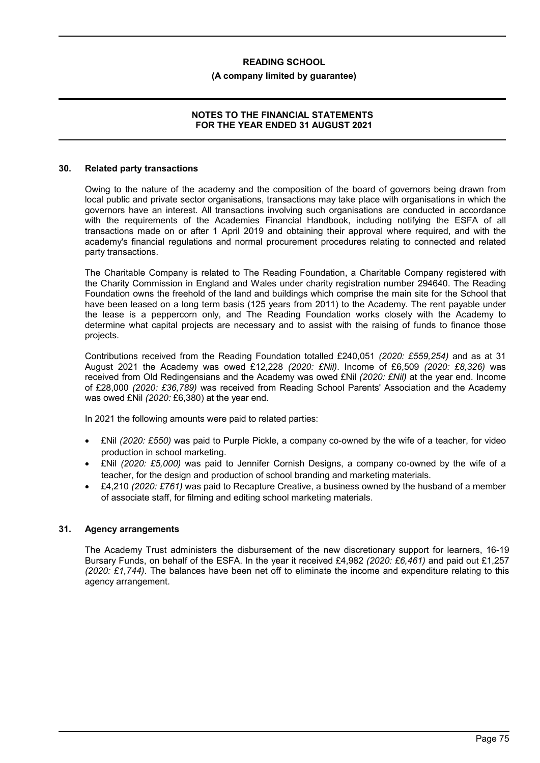#### **(A company limited by guarantee)**

#### **NOTES TO THE FINANCIAL STATEMENTS FOR THE YEAR ENDED 31 AUGUST 2021**

#### **30. Related party transactions**

Owing to the nature of the academy and the composition of the board of governors being drawn from local public and private sector organisations, transactions may take place with organisations in which the governors have an interest. All transactions involving such organisations are conducted in accordance with the requirements of the Academies Financial Handbook, including notifying the ESFA of all transactions made on or after 1 April 2019 and obtaining their approval where required, and with the academy's financial regulations and normal procurement procedures relating to connected and related party transactions.

The Charitable Company is related to The Reading Foundation, a Charitable Company registered with the Charity Commission in England and Wales under charity registration number 294640. The Reading Foundation owns the freehold of the land and buildings which comprise the main site for the School that have been leased on a long term basis (125 years from 2011) to the Academy. The rent payable under the lease is a peppercorn only, and The Reading Foundation works closely with the Academy to determine what capital projects are necessary and to assist with the raising of funds to finance those projects.

Contributions received from the Reading Foundation totalled £240,051 *(2020: £559,254)* and as at 31 August 2021 the Academy was owed £12,228 *(2020: £Nil)*. Income of £6,509 *(2020: £8,326)* was received from Old Redingensians and the Academy was owed £Nil *(2020: £Nil)* at the year end. Income of £28,000 *(2020: £36,789)* was received from Reading School Parents' Association and the Academy was owed £Nil *(2020:* £6,380) at the year end.

In 2021 the following amounts were paid to related parties:

- £Nil *(2020: £550)* was paid to Purple Pickle, a company co-owned by the wife of a teacher, for video production in school marketing.
- £Nil *(2020: £5,000)* was paid to Jennifer Cornish Designs, a company co-owned by the wife of a teacher, for the design and production of school branding and marketing materials.
- £4,210 *(2020: £761)* was paid to Recapture Creative, a business owned by the husband of a member of associate staff, for filming and editing school marketing materials.

#### **31. Agency arrangements**

The Academy Trust administers the disbursement of the new discretionary support for learners, 16-19 Bursary Funds, on behalf of the ESFA. In the year it received £4,982 *(2020: £6,461)* and paid out £1,257 *(2020: £1,744)*. The balances have been net off to eliminate the income and expenditure relating to this agency arrangement.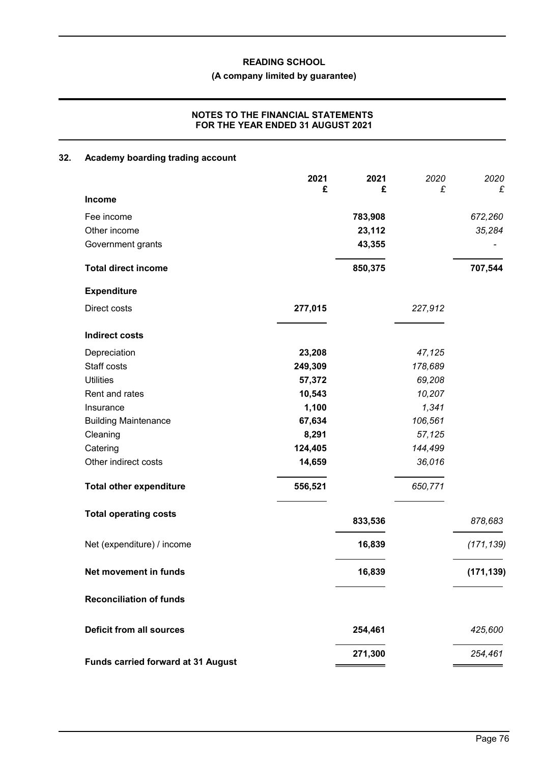#### **(A company limited by guarantee)**

## **NOTES TO THE FINANCIAL STATEMENTS FOR THE YEAR ENDED 31 AUGUST 2021**

# **32. Academy boarding trading account 2021 2021** *2020 2020* **£ £** *£ £* **Income** Fee income **783,908** *672,260* Other income **23,112** *35,284* Government grants **43,355 Total direct income 850,375 707,544 Expenditure** Direct costs **277,015** *227,912* **Indirect costs** Depreciation **23,208** *47,125* Staff costs **249,309** *178,689* Utilities **57,372** *69,208* Rent and rates **10,543** *10,207* Insurance **1,100** *1,341* Building Maintenance **67,634** *106,561* Cleaning **8,291** *57,125* Catering **124,405** *144,499* Other indirect costs **14,659** *36,016* **Total other expenditure 556,521** *650,771* **Total operating costs 833,536** *878,683* Net (expenditure) / income **16,839** *(171,139)* **Net movement in funds 16,839 (171,139) Reconciliation of funds Deficit from all sources 254,461** *425,600*

**Funds carried forward at 31 August**

**271,300** *254,461*